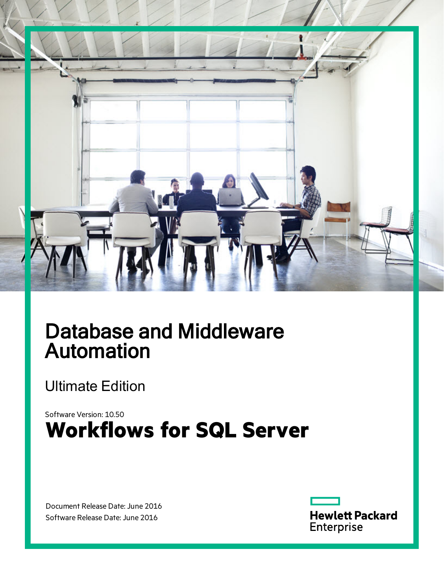

# Database and Middleware Automation

Ultimate Edition

## Software Version: 10.50 **Workflows for SQL Server**

Document Release Date: June 2016 Software Release Date: June 2016

**Hewlett Packard** Enterprise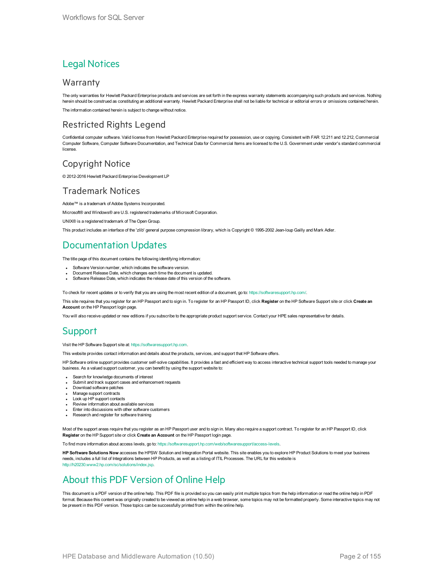### Legal Notices

### **Warranty**

The only warranties for Hewlett Packard Enterprise products and services are set forth in the express warranty statements accompanying such products and services. Nothing herein should be construed as constituting an additional warranty. Hewlett Packard Enterprise shall not be liable for technical or editorial errors or omissions contained herein.

The information contained herein is subject to change without notice.

### Restricted Rights Legend

Confidential computer software. Valid license from Hewlett Packard Enterprise required for possession, use or copying. Consistent with FAR 12.211 and 12.212, Commercial Computer Software, Computer Software Documentation, and Technical Data for Commercial Items are licensed to the U.S. Government under vendor's standard commercial license.

### Copyright Notice

© 2012-2016 Hewlett Packard Enterprise Development LP

### Trademark Notices

Adobe™ is a trademark of Adobe Systems Incorporated.

Microsoft® and Windows® are U.S. registered trademarks of Microsoft Corporation.

UNIX<sup>®</sup> is a registered trademark of The Open Group.

This product includes an interface of the 'zlib' general purpose compression library, which is Copyright © 1995-2002 Jean-loup Gailly and Mark Adler.

### Documentation Updates

The title page of this document contains the following identifying information:

- Software Version number, which indicates the software version.
- <sup>l</sup> Document Release Date, which changes each time the document is updated.
- Software Release Date, which indicates the release date of this version of the software.

To check for recent updates or to verify that you are using the most recent edition of a document, go to: <https://softwaresupport.hp.com/>.

This site requires that you register for an HP Passport and to sign in. To register for an HP Passport ID, click **Register** on the HP Software Support site or click **Create an Account** on the HP Passport login page.

You will also receive updated or new editions if you subscribe to the appropriate product support service. Contact your HPE sales representative for details.

### **Support**

Visit the HP Software Support site at: [https://softwaresupport.hp.com](https://softwaresupport.hp.com/).

This website provides contact information and details about the products, services, and support that HP Software offers.

HP Software online support provides customer self-solve capabilities. It provides a fast and efficient way to access interactive technical support tools needed to manage your business. As a valued support customer, you can benefit by using the support website to:

- Search for knowledge documents of interest
- Submit and track support cases and enhancement requests
- Download software patches
- Manage support contracts
- Look up HP support contacts
- Review information about available services
- Enter into discussions with other software customers
- Research and register for software training

Most of the support areas require that you register as an HP Passport user and to sign in. Many also require a support contract. To register for an HP Passport ID, click **Register** on the HP Support site or click **Create an Account** on the HP Passport login page.

To find more information about access levels, go to: [https://softwaresupport.hp.com/web/softwaresupport/access-levels.](https://softwaresupport.hp.com/web/softwaresupport/access-levels)

**HP Software Solutions Now** accesses the HPSW Solution and Integration Portal website. This site enables you to explore HP Product Solutions to meet your business needs, includes a full list of Integrations between HP Products, as well as a listing of ITIL Processes. The URL for this website is [http://h20230.www2.hp.com/sc/solutions/index.jsp.](http://h20230.www2.hp.com/sc/solutions/index.jsp)

### About this PDF Version of Online Help

This document is a PDF version of the online help. This PDF file is provided so you can easily print multiple topics from the help information or read the online help in PDF format. Because this content was originally created to be viewed as online help in a web browser, some topics may not be formatted properly. Some interactive topics may not be present in this PDF version. Those topics can be successfully printed from within the online help.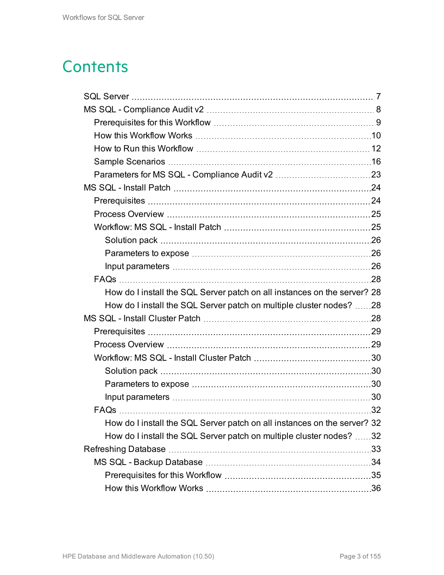# **Contents**

| How do I install the SQL Server patch on all instances on the server? 28 |  |
|--------------------------------------------------------------------------|--|
| How do I install the SQL Server patch on multiple cluster nodes? 28      |  |
|                                                                          |  |
|                                                                          |  |
|                                                                          |  |
|                                                                          |  |
|                                                                          |  |
|                                                                          |  |
|                                                                          |  |
|                                                                          |  |
| How do I install the SQL Server patch on all instances on the server? 32 |  |
| How do I install the SQL Server patch on multiple cluster nodes? 32      |  |
|                                                                          |  |
|                                                                          |  |
|                                                                          |  |
|                                                                          |  |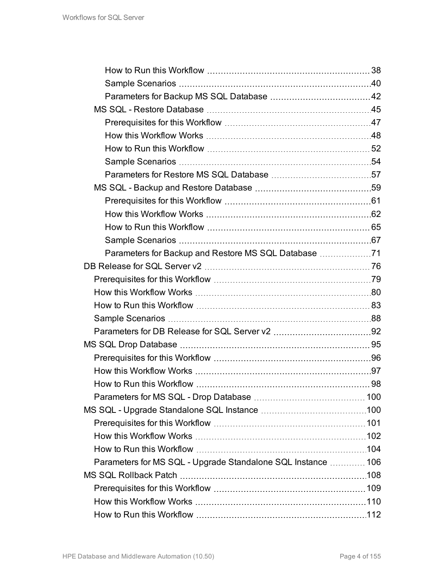| Parameters for Backup and Restore MS SQL Database            |  |
|--------------------------------------------------------------|--|
|                                                              |  |
|                                                              |  |
|                                                              |  |
|                                                              |  |
|                                                              |  |
|                                                              |  |
|                                                              |  |
|                                                              |  |
|                                                              |  |
|                                                              |  |
|                                                              |  |
|                                                              |  |
|                                                              |  |
|                                                              |  |
|                                                              |  |
| Parameters for MS SQL - Upgrade Standalone SQL Instance  106 |  |
|                                                              |  |
|                                                              |  |
|                                                              |  |
|                                                              |  |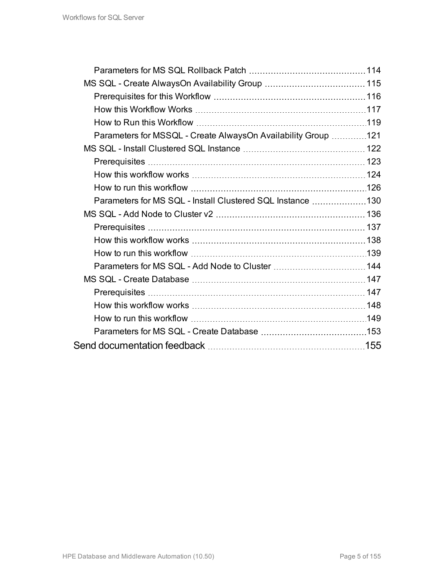| Parameters for MSSQL - Create AlwaysOn Availability Group 121 |  |
|---------------------------------------------------------------|--|
|                                                               |  |
|                                                               |  |
|                                                               |  |
|                                                               |  |
| Parameters for MS SQL - Install Clustered SQL Instance 130    |  |
|                                                               |  |
|                                                               |  |
|                                                               |  |
|                                                               |  |
|                                                               |  |
|                                                               |  |
|                                                               |  |
|                                                               |  |
|                                                               |  |
|                                                               |  |
|                                                               |  |
|                                                               |  |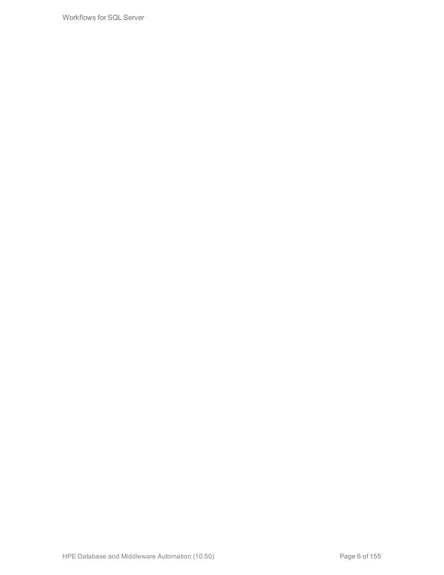Workflows for SQL Server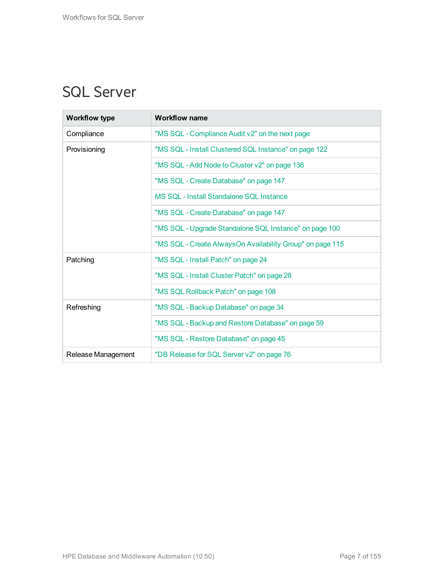# <span id="page-6-0"></span>SQL Server

| <b>Workflow type</b> | <b>Workflow name</b>                                      |
|----------------------|-----------------------------------------------------------|
| Compliance           | "MS SQL - Compliance Audit v2" on the next page           |
| Provisioning         | "MS SQL - Install Clustered SQL Instance" on page 122     |
|                      | "MS SQL - Add Node to Cluster v2" on page 136             |
|                      | "MS SQL - Create Database" on page 147                    |
|                      | MS SQL - Install Standalone SQL Instance                  |
|                      | "MS SQL - Create Database" on page 147                    |
|                      | "MS SQL - Upgrade Standalone SQL Instance" on page 100    |
|                      | "MS SQL - Create AlwaysOn Availability Group" on page 115 |
| Patching             | "MS SQL - Install Patch" on page 24                       |
|                      | "MS SQL - Install Cluster Patch" on page 28               |
|                      | "MS SQL Rollback Patch" on page 108                       |
| Refreshing           | "MS SQL - Backup Database" on page 34                     |
|                      | "MS SQL - Backup and Restore Database" on page 59         |
|                      | "MS SQL - Restore Database" on page 45                    |
| Release Management   | "DB Release for SQL Server v2" on page 76                 |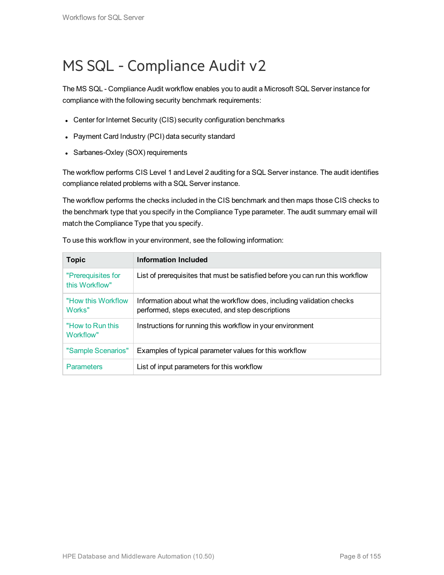## <span id="page-7-0"></span>MS SQL - Compliance Audit v2

The MS SQL - Compliance Audit workflow enables you to audit a Microsoft SQL Server instance for compliance with the following security benchmark requirements:

- Center for Internet Security (CIS) security configuration benchmarks
- Payment Card Industry (PCI) data security standard
- Sarbanes-Oxley (SOX) requirements

The workflow performs CIS Level 1 and Level 2 auditing for a SQL Server instance. The audit identifies compliance related problems with a SQL Server instance.

The workflow performs the checks included in the CIS benchmark and then maps those CIS checks to the benchmark type that you specify in the Compliance Type parameter. The audit summary email will match the Compliance Type that you specify.

| <b>Topic</b>                         | Information Included                                                                                                      |
|--------------------------------------|---------------------------------------------------------------------------------------------------------------------------|
| "Prerequisites for<br>this Workflow" | List of prerequisites that must be satisfied before you can run this workflow                                             |
| "How this Workflow"<br>Works"        | Information about what the workflow does, including validation checks<br>performed, steps executed, and step descriptions |
| "How to Run this<br>Workflow"        | Instructions for running this workflow in your environment                                                                |
| "Sample Scenarios"                   | Examples of typical parameter values for this workflow                                                                    |
| <b>Parameters</b>                    | List of input parameters for this workflow                                                                                |

To use this workflow in your environment, see the following information: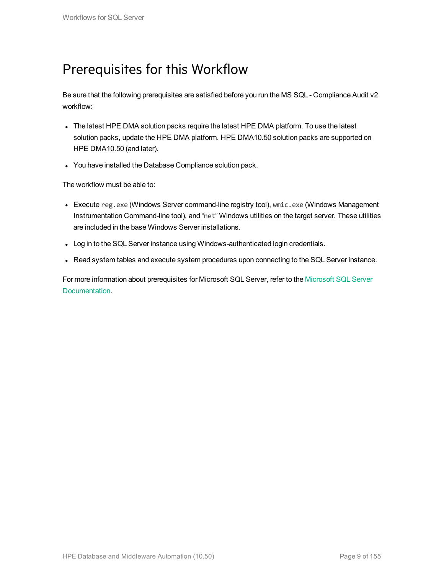## <span id="page-8-0"></span>Prerequisites for this Workflow

Be sure that the following prerequisites are satisfied before you run the MS SQL - Compliance Audit v2 workflow:

- The latest HPE DMA solution packs require the latest HPE DMA platform. To use the latest solution packs, update the HPE DMA platform. HPE DMA10.50 solution packs are supported on HPE DMA10.50 (and later).
- You have installed the Database Compliance solution pack.

The workflow must be able to:

- Execute reg.exe (Windows Server command-line registry tool), wmic.exe (Windows Management Instrumentation Command-line tool), and "net" Windows utilities on the target server. These utilities are included in the base Windows Server installations.
- Log in to the SQL Server instance using Windows-authenticated login credentials.
- Read system tables and execute system procedures upon connecting to the SQL Server instance.

For more information about prerequisites for Microsoft SQL Server, refer to the [Microsoft SQL Server](http://msdn.microsoft.com/en-us/library) [Documentation](http://msdn.microsoft.com/en-us/library).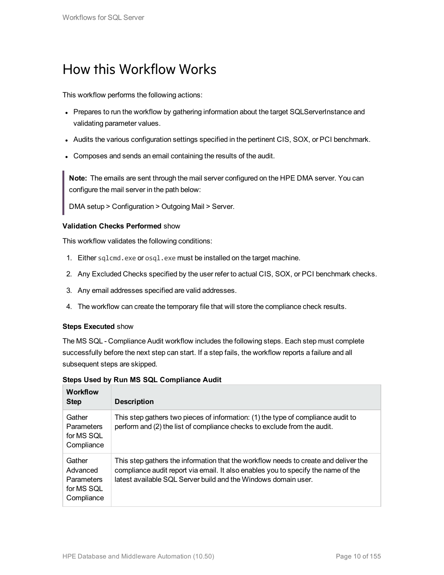## <span id="page-9-0"></span>How this Workflow Works

This workflow performs the following actions:

- Prepares to run the workflow by gathering information about the target SQLServerInstance and validating parameter values.
- Audits the various configuration settings specified in the pertinent CIS, SOX, or PCI benchmark.
- Composes and sends an email containing the results of the audit.

**Note:** The emails are sent through the mail server configured on the HPE DMA server. You can configure the mail server in the path below:

DMA setup > Configuration > Outgoing Mail > Server.

### **Validation Checks Performed** show

This workflow validates the following conditions:

- 1. Either sqlcmd.exe or osql.exe must be installed on the target machine.
- 2. Any Excluded Checks specified by the user refer to actual CIS, SOX, or PCI benchmark checks.
- 3. Any email addresses specified are valid addresses.
- 4. The workflow can create the temporary file that will store the compliance check results.

#### **Steps Executed** show

The MS SQL - Compliance Audit workflow includes the following steps. Each step must complete successfully before the next step can start. If a step fails, the workflow reports a failure and all subsequent steps are skipped.

#### **Steps Used by Run MS SQL Compliance Audit**

| <b>Workflow</b><br><b>Step</b>                                      | <b>Description</b>                                                                                                                                                                                                                         |
|---------------------------------------------------------------------|--------------------------------------------------------------------------------------------------------------------------------------------------------------------------------------------------------------------------------------------|
| Gather<br><b>Parameters</b><br>for MS SQL<br>Compliance             | This step gathers two pieces of information: (1) the type of compliance audit to<br>perform and (2) the list of compliance checks to exclude from the audit.                                                                               |
| Gather<br>Advanced<br><b>Parameters</b><br>for MS SQL<br>Compliance | This step gathers the information that the workflow needs to create and deliver the<br>compliance audit report via email. It also enables you to specify the name of the<br>latest available SQL Server build and the Windows domain user. |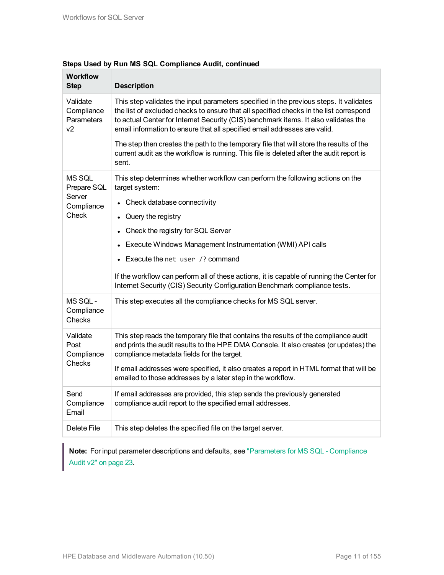| Workflow<br><b>Step</b>                                | <b>Description</b>                                                                                                                                                                                                                                                                                                                                                                                                                                                                                                                                   |
|--------------------------------------------------------|------------------------------------------------------------------------------------------------------------------------------------------------------------------------------------------------------------------------------------------------------------------------------------------------------------------------------------------------------------------------------------------------------------------------------------------------------------------------------------------------------------------------------------------------------|
| Validate<br>Compliance<br>Parameters<br>v2             | This step validates the input parameters specified in the previous steps. It validates<br>the list of excluded checks to ensure that all specified checks in the list correspond<br>to actual Center for Internet Security (CIS) benchmark items. It also validates the<br>email information to ensure that all specified email addresses are valid.<br>The step then creates the path to the temporary file that will store the results of the<br>current audit as the workflow is running. This file is deleted after the audit report is<br>sent. |
| MS SQL<br>Prepare SQL<br>Server<br>Compliance<br>Check | This step determines whether workflow can perform the following actions on the<br>target system:<br>• Check database connectivity<br>• Query the registry<br>Check the registry for SQL Server<br>Execute Windows Management Instrumentation (WMI) API calls<br>• Execute the net user /? command<br>If the workflow can perform all of these actions, it is capable of running the Center for<br>Internet Security (CIS) Security Configuration Benchmark compliance tests.                                                                         |
| MS SQL -<br>Compliance<br>Checks                       | This step executes all the compliance checks for MS SQL server.                                                                                                                                                                                                                                                                                                                                                                                                                                                                                      |
| Validate<br>Post<br>Compliance<br>Checks               | This step reads the temporary file that contains the results of the compliance audit<br>and prints the audit results to the HPE DMA Console. It also creates (or updates) the<br>compliance metadata fields for the target.<br>If email addresses were specified, it also creates a report in HTML format that will be<br>emailed to those addresses by a later step in the workflow.                                                                                                                                                                |
| Send<br>Compliance<br>Email                            | If email addresses are provided, this step sends the previously generated<br>compliance audit report to the specified email addresses.                                                                                                                                                                                                                                                                                                                                                                                                               |
| Delete File                                            | This step deletes the specified file on the target server.                                                                                                                                                                                                                                                                                                                                                                                                                                                                                           |

### **Steps Used by Run MS SQL Compliance Audit, continued**

**Note:** For input parameter descriptions and defaults, see ["Parameters](#page-22-0) for MS SQL - Compliance [Audit](#page-22-0) v2" on page 23.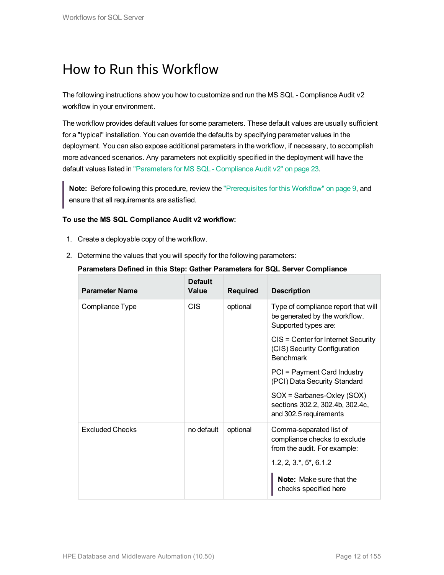## <span id="page-11-0"></span>How to Run this Workflow

The following instructions show you how to customize and run the MS SQL - Compliance Audit v2 workflow in your environment.

The workflow provides default values for some parameters. These default values are usually sufficient for a "typical" installation. You can override the defaults by specifying parameter values in the deployment. You can also expose additional parameters in the workflow, if necessary, to accomplish more advanced scenarios. Any parameters not explicitly specified in the deployment will have the default values listed in ["Parameters](#page-22-0) for MS SQL - Compliance Audit v2" on page 23.

**Note:** Before following this procedure, review the ["Prerequisites](#page-8-0) for this Workflow" on page 9, and ensure that all requirements are satisfied.

### **To use the MS SQL Compliance Audit v2 workflow:**

- 1. Create a deployable copy of the workflow.
- 2. Determine the values that you will specify for the following parameters:

| <b>Parameter Name</b>  | <b>Default</b><br>Value | <b>Required</b> | <b>Description</b>                                                                           |
|------------------------|-------------------------|-----------------|----------------------------------------------------------------------------------------------|
| Compliance Type        | <b>CIS</b>              | optional        | Type of compliance report that will<br>be generated by the workflow.<br>Supported types are: |
|                        |                         |                 | CIS = Center for Internet Security<br>(CIS) Security Configuration<br><b>Benchmark</b>       |
|                        |                         |                 | PCI = Payment Card Industry<br>(PCI) Data Security Standard                                  |
|                        |                         |                 | SOX = Sarbanes-Oxley (SOX)<br>sections 302.2, 302.4b, 302.4c,<br>and 302.5 requirements      |
| <b>Excluded Checks</b> | no default              | optional        | Comma-separated list of<br>compliance checks to exclude<br>from the audit. For example:      |
|                        |                         |                 | 1.2, 2, $3.*$ , $5*.6.1.2$                                                                   |
|                        |                         |                 | Note: Make sure that the<br>checks specified here                                            |

### **Parameters Defined in this Step: Gather Parameters for SQL Server Compliance**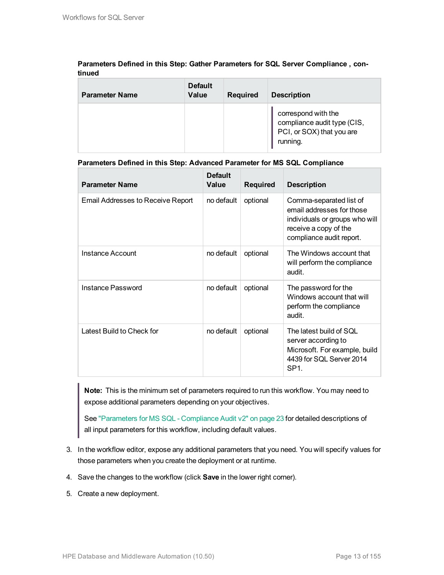|        |  |  |  | Parameters Defined in this Step: Gather Parameters for SQL Server Compliance, con- |  |
|--------|--|--|--|------------------------------------------------------------------------------------|--|
| tinued |  |  |  |                                                                                    |  |

| <b>Parameter Name</b> | <b>Default</b><br>Value | <b>Required</b> | <b>Description</b>                                                                          |
|-----------------------|-------------------------|-----------------|---------------------------------------------------------------------------------------------|
|                       |                         |                 | correspond with the<br>compliance audit type (CIS,<br>PCI, or SOX) that you are<br>running. |

#### **Parameters Defined in this Step: Advanced Parameter for MS SQL Compliance**

| <b>Parameter Name</b>             | <b>Default</b><br>Value | <b>Required</b> | <b>Description</b>                                                                                                                          |
|-----------------------------------|-------------------------|-----------------|---------------------------------------------------------------------------------------------------------------------------------------------|
| Email Addresses to Receive Report | no default              | optional        | Comma-separated list of<br>email addresses for those<br>individuals or groups who will<br>receive a copy of the<br>compliance audit report. |
| Instance Account                  | no default              | optional        | The Windows account that<br>will perform the compliance<br>audit.                                                                           |
| Instance Password                 | no default              | optional        | The password for the<br>Windows account that will<br>perform the compliance<br>audit.                                                       |
| Latest Build to Check for         | no default              | optional        | The latest build of SQL<br>server according to<br>Microsoft. For example, build<br>4439 for SQL Server 2014<br>SP <sub>1.</sub>             |

**Note:** This is the minimum set of parameters required to run this workflow. You may need to expose additional parameters depending on your objectives.

See ["Parameters](#page-22-0) for MS SQL - Compliance Audit v2" on page 23 for detailed descriptions of all input parameters for this workflow, including default values.

- 3. In the workflow editor, expose any additional parameters that you need. You will specify values for those parameters when you create the deployment or at runtime.
- 4. Save the changes to the workflow (click **Save** in the lower right corner).
- 5. Create a new deployment.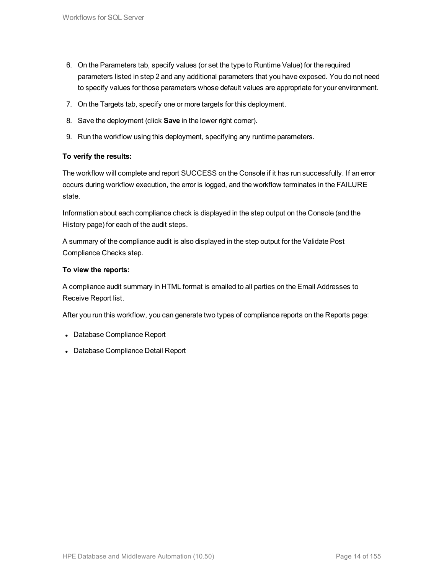- 6. On the Parameters tab, specify values (or set the type to Runtime Value) for the required parameters listed in step 2 and any additional parameters that you have exposed. You do not need to specify values for those parameters whose default values are appropriate for your environment.
- 7. On the Targets tab, specify one or more targets for this deployment.
- 8. Save the deployment (click **Save** in the lower right corner).
- 9. Run the workflow using this deployment, specifying any runtime parameters.

#### **To verify the results:**

The workflow will complete and report SUCCESS on the Console if it has run successfully. If an error occurs during workflow execution, the error is logged, and the workflow terminates in the FAILURE state.

Information about each compliance check is displayed in the step output on the Console (and the History page) for each of the audit steps.

A summary of the compliance audit is also displayed in the step output for the Validate Post Compliance Checks step.

#### **To view the reports:**

A compliance audit summary in HTML format is emailed to all parties on the Email Addresses to Receive Report list.

After you run this workflow, you can generate two types of compliance reports on the Reports page:

- Database Compliance Report
- Database Compliance Detail Report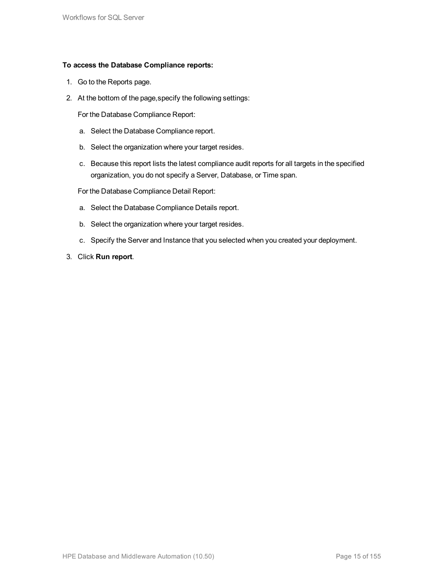#### **To access the Database Compliance reports:**

- 1. Go to the Reports page.
- 2. At the bottom of the page,specify the following settings:

For the Database Compliance Report:

- a. Select the Database Compliance report.
- b. Select the organization where your target resides.
- c. Because this report lists the latest compliance audit reports for all targets in the specified organization, you do not specify a Server, Database, or Time span.

For the Database Compliance Detail Report:

- a. Select the Database Compliance Details report.
- b. Select the organization where your target resides.
- c. Specify the Server and Instance that you selected when you created your deployment.
- 3. Click **Run report**.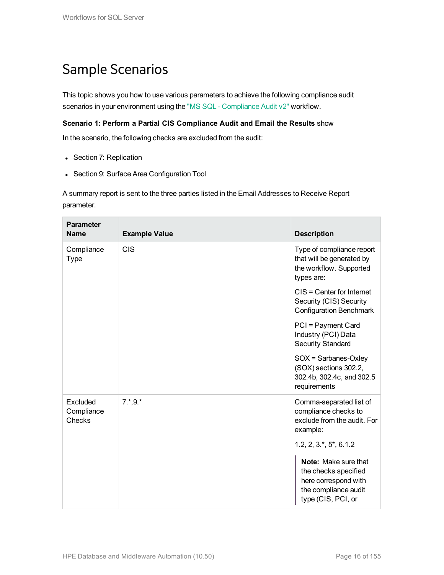## <span id="page-15-0"></span>Sample Scenarios

This topic shows you how to use various parameters to achieve the following compliance audit scenarios in your environment using the "MS SQL - [Compliance](#page-7-0) Audit v2" workflow.

#### **Scenario 1: Perform a Partial CIS Compliance Audit and Email the Results** show

In the scenario, the following checks are excluded from the audit:

- Section 7: Replication
- Section 9: Surface Area Configuration Tool

A summary report is sent to the three parties listed in the Email Addresses to Receive Report parameter.

| <b>Parameter</b><br><b>Name</b>  | <b>Example Value</b> | <b>Description</b>                                                                                                 |
|----------------------------------|----------------------|--------------------------------------------------------------------------------------------------------------------|
| Compliance<br><b>Type</b>        | <b>CIS</b>           | Type of compliance report<br>that will be generated by<br>the workflow. Supported<br>types are:                    |
|                                  |                      | $CIS = Center for Internet$<br>Security (CIS) Security<br><b>Configuration Benchmark</b>                           |
|                                  |                      | PCI = Payment Card<br>Industry (PCI) Data<br><b>Security Standard</b>                                              |
|                                  |                      | SOX = Sarbanes-Oxley<br>(SOX) sections 302.2,<br>302.4b, 302.4c, and 302.5<br>requirements                         |
| Excluded<br>Compliance<br>Checks | $7.*.9.*$            | Comma-separated list of<br>compliance checks to<br>exclude from the audit. For<br>example:                         |
|                                  |                      | 1.2, 2, 3.*, 5*, 6.1.2                                                                                             |
|                                  |                      | Note: Make sure that<br>the checks specified<br>here correspond with<br>the compliance audit<br>type (CIS, PCI, or |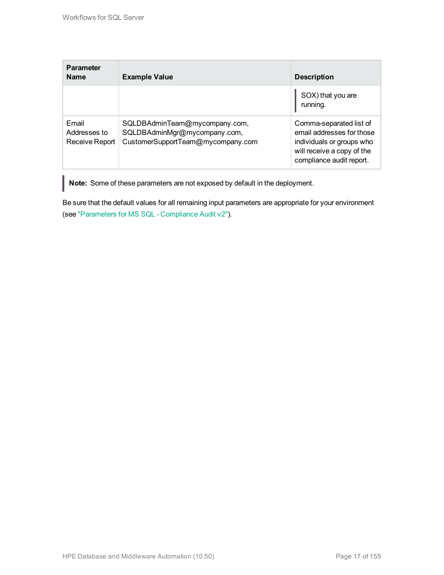| <b>Parameter</b><br><b>Name</b>         | <b>Example Value</b>                                                                               | <b>Description</b>                                                                                                                          |
|-----------------------------------------|----------------------------------------------------------------------------------------------------|---------------------------------------------------------------------------------------------------------------------------------------------|
|                                         |                                                                                                    | SOX) that you are<br>running.                                                                                                               |
| Email<br>Addresses to<br>Receive Report | SQLDBAdminTeam@mycompany.com,<br>SQLDBAdminMgr@mycompany.com,<br>CustomerSupportTeam@mycompany.com | Comma-separated list of<br>email addresses for those<br>individuals or groups who<br>will receive a copy of the<br>compliance audit report. |

**Note:** Some of these parameters are not exposed by default in the deployment.

Be sure that the default values for all remaining input parameters are appropriate for your environment (see ["Parameters](#page-22-0) for MS SQL - Compliance Audit v2").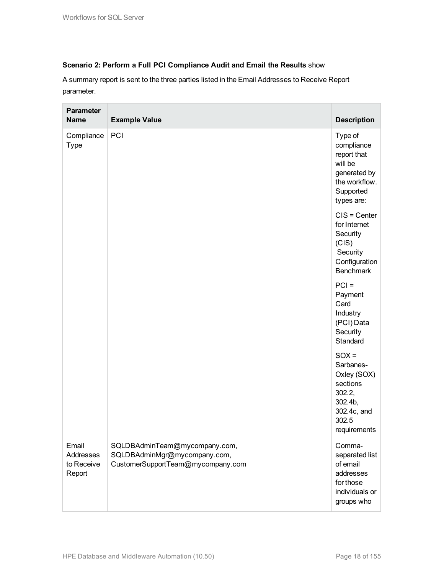### **Scenario 2: Perform a Full PCI Compliance Audit and Email the Results** show

A summary report is sent to the three parties listed in the Email Addresses to Receive Report parameter.

| <b>Parameter</b><br><b>Name</b>            | <b>Example Value</b>                                                                               | <b>Description</b>                                                                                           |
|--------------------------------------------|----------------------------------------------------------------------------------------------------|--------------------------------------------------------------------------------------------------------------|
| Compliance<br><b>Type</b>                  | PCI                                                                                                | Type of<br>compliance<br>report that<br>will be<br>generated by<br>the workflow.<br>Supported<br>types are:  |
|                                            |                                                                                                    | $CIS = Center$<br>for Internet<br>Security<br>(CIS)<br>Security<br>Configuration<br><b>Benchmark</b>         |
|                                            |                                                                                                    | $PCI =$<br>Payment<br>Card<br>Industry<br>(PCI) Data<br>Security<br>Standard                                 |
|                                            |                                                                                                    | $SOX =$<br>Sarbanes-<br>Oxley (SOX)<br>sections<br>302.2,<br>302.4b,<br>302.4c, and<br>302.5<br>requirements |
| Email<br>Addresses<br>to Receive<br>Report | SQLDBAdminTeam@mycompany.com,<br>SQLDBAdminMgr@mycompany.com,<br>CustomerSupportTeam@mycompany.com | Comma-<br>separated list<br>of email<br>addresses<br>for those<br>individuals or<br>groups who               |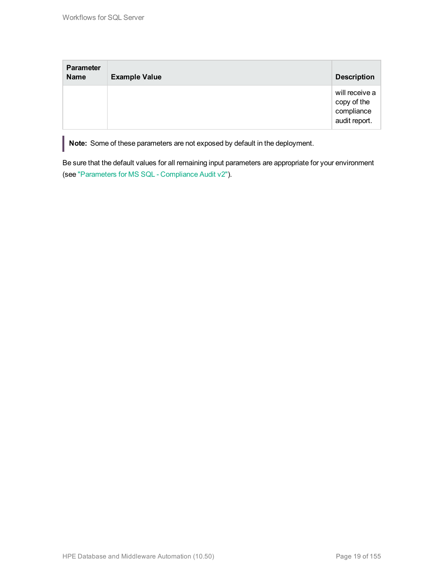| <b>Parameter</b><br><b>Name</b> | <b>Example Value</b> | <b>Description</b>                                           |
|---------------------------------|----------------------|--------------------------------------------------------------|
|                                 |                      | will receive a<br>copy of the<br>compliance<br>audit report. |

**Note:** Some of these parameters are not exposed by default in the deployment.

Be sure that the default values for all remaining input parameters are appropriate for your environment (see ["Parameters](#page-22-0) for MS SQL - Compliance Audit v2").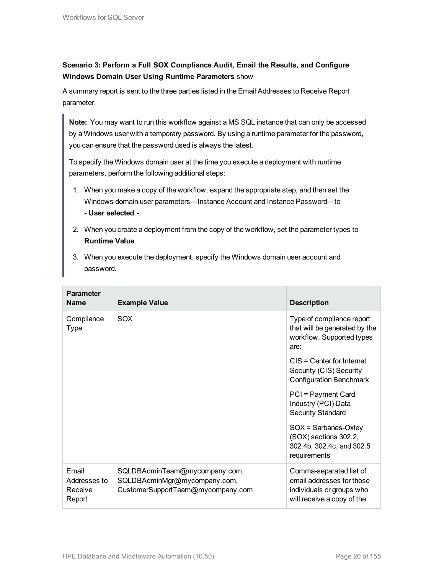### **Scenario 3: Perform a Full SOX Compliance Audit, Email the Results, and Configure Windows Domain User Using Runtime Parameters** show

A summary report is sent to the three parties listed in the Email Addresses to Receive Report parameter.

**Note:** You may want to run this workflow against a MS SQL instance that can only be accessed by a Windows user with a temporary password. By using a runtime parameter for the password, you can ensure that the password used is always the latest.

To specify the Windows domain user at the time you execute a deployment with runtime parameters, perform the following additional steps:

- 1. When you make a copy of the workflow, expand the appropriate step, and then set the Windows domain user parameters—Instance Account and Instance Password—to **- User selected -**.
- 2. When you create a deployment from the copy of the workflow, set the parameter types to **Runtime Value**.
- 3. When you execute the deployment, specify the Windows domain user account and password.

| <b>Parameter</b><br><b>Name</b>            | <b>Example Value</b>                                                                               | <b>Description</b>                                                                                              |
|--------------------------------------------|----------------------------------------------------------------------------------------------------|-----------------------------------------------------------------------------------------------------------------|
| Compliance<br><b>Type</b>                  | <b>SOX</b>                                                                                         | Type of compliance report<br>that will be generated by the<br>workflow. Supported types<br>are:                 |
|                                            |                                                                                                    | $CIS = Center for Internet$<br>Security (CIS) Security<br><b>Configuration Benchmark</b>                        |
|                                            |                                                                                                    | PCI = Payment Card<br>Industry (PCI) Data<br><b>Security Standard</b>                                           |
|                                            |                                                                                                    | SOX = Sarbanes-Oxley<br>(SOX) sections 302.2,<br>302.4b, 302.4c, and 302.5<br>requirements                      |
| Email<br>Addresses to<br>Receive<br>Report | SQLDBAdminTeam@mycompany.com,<br>SQLDBAdminMgr@mycompany.com,<br>CustomerSupportTeam@mycompany.com | Comma-separated list of<br>email addresses for those<br>individuals or groups who<br>will receive a copy of the |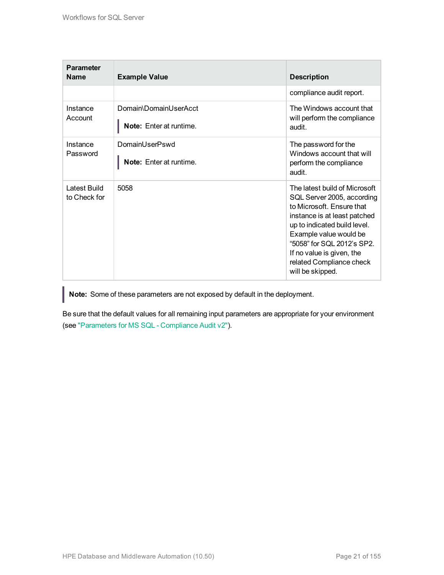| <b>Parameter</b><br><b>Name</b> | <b>Example Value</b>                             | <b>Description</b>                                                                                                                                                                                                                                                                            |
|---------------------------------|--------------------------------------------------|-----------------------------------------------------------------------------------------------------------------------------------------------------------------------------------------------------------------------------------------------------------------------------------------------|
|                                 |                                                  | compliance audit report.                                                                                                                                                                                                                                                                      |
| Instance<br>Account             | Domain\DomainUserAcct<br>Note: Enter at runtime. | The Windows account that<br>will perform the compliance<br>audit.                                                                                                                                                                                                                             |
| Instance<br>Password            | DomainUserPswd<br>Note: Enter at runtime.        | The password for the<br>Windows account that will<br>perform the compliance<br>audit.                                                                                                                                                                                                         |
| Latest Build<br>to Check for    | 5058                                             | The latest build of Microsoft<br>SQL Server 2005, according<br>to Microsoft, Ensure that<br>instance is at least patched<br>up to indicated build level.<br>Example value would be<br>"5058" for SQL 2012's SP2.<br>If no value is given, the<br>related Compliance check<br>will be skipped. |

**Note:** Some of these parameters are not exposed by default in the deployment.

Be sure that the default values for all remaining input parameters are appropriate for your environment (see ["Parameters](#page-22-0) for MS SQL - Compliance Audit v2").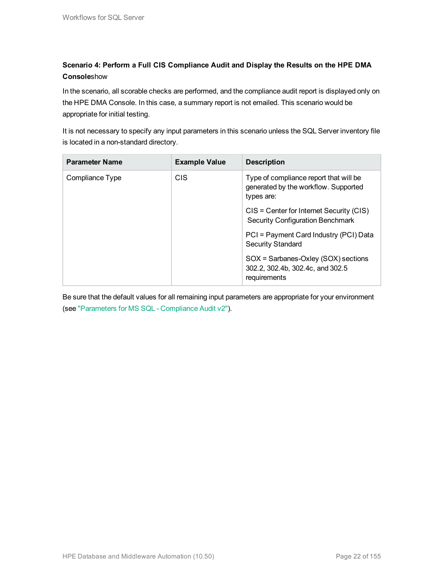### **Scenario 4: Perform a Full CIS Compliance Audit and Display the Results on the HPE DMA Console**show

In the scenario, all scorable checks are performed, and the compliance audit report is displayed only on the HPE DMA Console. In this case, a summary report is not emailed. This scenario would be appropriate for initial testing.

It is not necessary to specify any input parameters in this scenario unless the SQL Server inventory file is located in a non-standard directory.

| <b>Parameter Name</b> | <b>Example Value</b> | <b>Description</b>                                                                           |
|-----------------------|----------------------|----------------------------------------------------------------------------------------------|
| Compliance Type       | <b>CIS</b>           | Type of compliance report that will be<br>generated by the workflow. Supported<br>types are: |
|                       |                      | CIS = Center for Internet Security (CIS)<br>Security Configuration Benchmark                 |
|                       |                      | PCI = Payment Card Industry (PCI) Data<br><b>Security Standard</b>                           |
|                       |                      | SOX = Sarbanes-Oxley (SOX) sections<br>302.2, 302.4b, 302.4c, and 302.5<br>requirements      |

Be sure that the default values for all remaining input parameters are appropriate for your environment (see ["Parameters](#page-22-0) for MS SQL - Compliance Audit v2").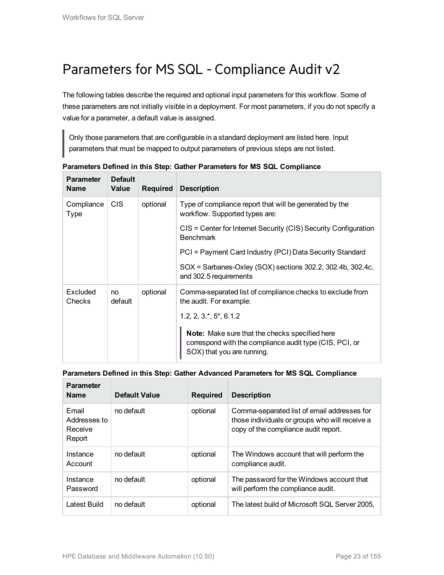## <span id="page-22-0"></span>Parameters for MS SQL - Compliance Audit v2

The following tables describe the required and optional input parameters for this workflow. Some of these parameters are not initially visible in a deployment. For most parameters, if you do not specify a value for a parameter, a default value is assigned.

Only those parameters that are configurable in a standard deployment are listed here. Input parameters that must be mapped to output parameters of previous steps are not listed.

| <b>Parameter</b><br>Name | <b>Default</b><br>Value | <b>Required</b> | <b>Description</b>                                                                                                                      |
|--------------------------|-------------------------|-----------------|-----------------------------------------------------------------------------------------------------------------------------------------|
| Compliance<br>Type       | C <sub>I</sub> S        | optional        | Type of compliance report that will be generated by the<br>workflow. Supported types are:                                               |
|                          |                         |                 | CIS = Center for Internet Security (CIS) Security Configuration<br><b>Benchmark</b>                                                     |
|                          |                         |                 | PCI = Payment Card Industry (PCI) Data Security Standard                                                                                |
|                          |                         |                 | SOX = Sarbanes-Oxley (SOX) sections 302.2, 302.4b, 302.4c,<br>and 302.5 requirements                                                    |
| Excluded<br>Checks       | no<br>default           | optional        | Comma-separated list of compliance checks to exclude from<br>the audit. For example:                                                    |
|                          |                         |                 | $1.2, 2, 3.*, 5*, 6.1.2$                                                                                                                |
|                          |                         |                 | Note: Make sure that the checks specified here<br>correspond with the compliance audit type (CIS, PCI, or<br>SOX) that you are running. |

**Parameters Defined in this Step: Gather Parameters for MS SQL Compliance**

### **Parameters Defined in this Step: Gather Advanced Parameters for MS SQL Compliance**

| <b>Parameter</b><br><b>Name</b>            | <b>Default Value</b> | <b>Required</b> | <b>Description</b>                                                                                                                    |
|--------------------------------------------|----------------------|-----------------|---------------------------------------------------------------------------------------------------------------------------------------|
| Email<br>Addresses to<br>Receive<br>Report | no default           | optional        | Comma-separated list of email addresses for<br>those individuals or groups who will receive a<br>copy of the compliance audit report. |
| Instance<br>Account                        | no default           | optional        | The Windows account that will perform the<br>compliance audit.                                                                        |
| Instance<br>Password                       | no default           | optional        | The password for the Windows account that<br>will perform the compliance audit.                                                       |
| Latest Build                               | no default           | optional        | The latest build of Microsoft SQL Server 2005.                                                                                        |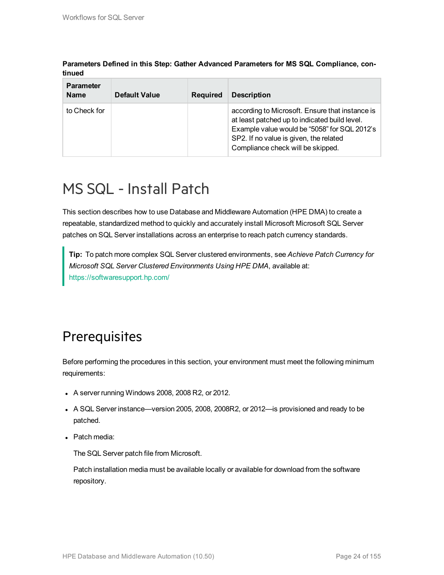| <b>Parameter</b><br><b>Name</b> | <b>Default Value</b> | <b>Required</b> | <b>Description</b>                                                                                                                                                                                                              |
|---------------------------------|----------------------|-----------------|---------------------------------------------------------------------------------------------------------------------------------------------------------------------------------------------------------------------------------|
| to Check for                    |                      |                 | according to Microsoft. Ensure that instance is<br>at least patched up to indicated build level.<br>Example value would be "5058" for SQL 2012's<br>SP2. If no value is given, the related<br>Compliance check will be skipped. |

**Parameters Defined in this Step: Gather Advanced Parameters for MS SQL Compliance, continued**

# <span id="page-23-0"></span>MS SQL - Install Patch

This section describes how to use Database and Middleware Automation (HPE DMA) to create a repeatable, standardized method to quickly and accurately install Microsoft Microsoft SQL Server patches on SQL Server installations across an enterprise to reach patch currency standards.

**Tip:** To patch more complex SQL Server clustered environments, see *Achieve Patch Currency for Microsoft SQL Server Clustered Environments Using HPE DMA*, available at: <https://softwaresupport.hp.com/>

## <span id="page-23-1"></span>**Prerequisites**

Before performing the procedures in this section, your environment must meet the following minimum requirements:

- $\bullet$  A server running Windows 2008, 2008 R2, or 2012.
- A SQL Server instance—version 2005, 2008, 2008R2, or 2012—is provisioned and ready to be patched.
- Patch media:

The SQL Server patch file from Microsoft.

Patch installation media must be available locally or available for download from the software repository.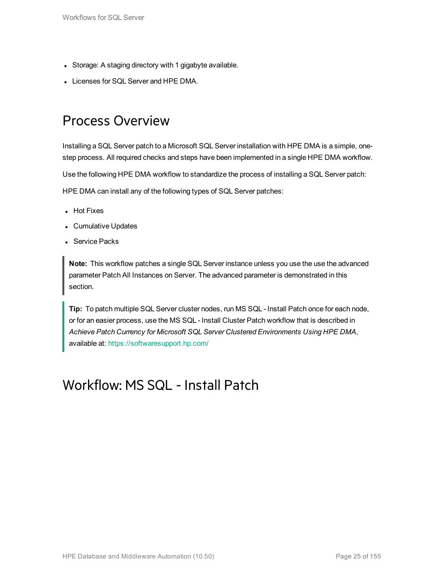- Storage: A staging directory with 1 gigabyte available.
- <span id="page-24-0"></span>**Licenses for SQL Server and HPE DMA.**

## Process Overview

Installing a SQL Server patch to a Microsoft SQL Server installation with HPE DMA is a simple, onestep process. All required checks and steps have been implemented in a single HPE DMA workflow.

Use the following HPE DMA workflow to standardize the process of installing a SQL Server patch:

HPE DMA can install any of the following types of SQL Server patches:

- Hot Fixes
- Cumulative Updates
- Service Packs

**Note:** This workflow patches a single SQL Server instance unless you use the use the advanced parameter Patch All Instances on Server. The advanced parameter is demonstrated in this section.

**Tip:** To patch multiple SQL Server cluster nodes, run MS SQL - Install Patch once for each node, or for an easier process, use the MS SQL - Install Cluster Patch workflow that is described in *Achieve Patch Currency for Microsoft SQL Server Clustered Environments Using HPE DMA*, available at: <https://softwaresupport.hp.com/>

## <span id="page-24-1"></span>Workflow: MS SQL - Install Patch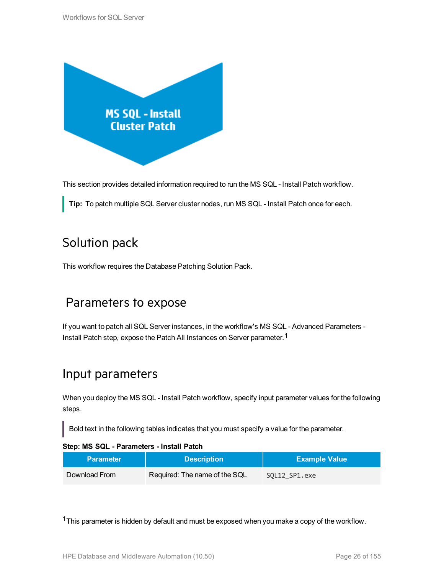

This section provides detailed information required to run the MS SQL - Install Patch workflow.

<span id="page-25-0"></span>**Tip:** To patch multiple SQL Server cluster nodes, run MS SQL - Install Patch once for each.

### Solution pack

<span id="page-25-1"></span>This workflow requires the Database Patching Solution Pack.

### Parameters to expose

<span id="page-25-2"></span>If you want to patch all SQL Server instances, in the workflow's MS SQL - Advanced Parameters - Install Patch step, expose the Patch All Instances on Server parameter.<sup>1</sup>

### Input parameters

When you deploy the MS SQL - Install Patch workflow, specify input parameter values for the following steps.

Bold text in the following tables indicates that you must specify a value for the parameter.

### **Step: MS SQL - Parameters - Install Patch**

| <b>Parameter</b> | <b>Description</b>            | <b>Example Value</b> |
|------------------|-------------------------------|----------------------|
| Download From    | Required: The name of the SQL | SOL12 SP1.exe        |

<sup>1</sup>This parameter is hidden by default and must be exposed when you make a copy of the workflow.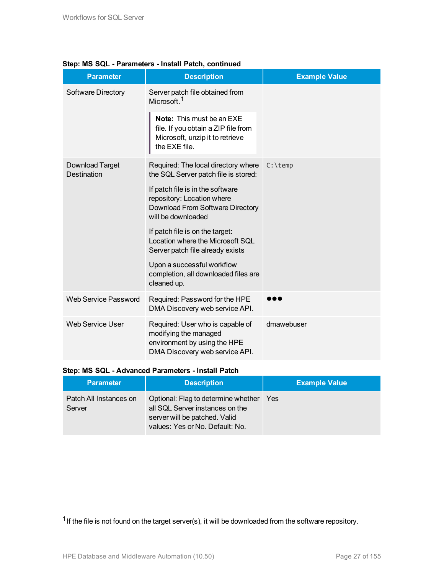| <b>Parameter</b>               | <b>Description</b>                                                                                                          | <b>Example Value</b> |  |
|--------------------------------|-----------------------------------------------------------------------------------------------------------------------------|----------------------|--|
| Software Directory             | Server patch file obtained from<br>Microsoft. <sup>1</sup>                                                                  |                      |  |
|                                | <b>Note:</b> This must be an EXE<br>file. If you obtain a ZIP file from<br>Microsoft, unzip it to retrieve<br>the EXE file. |                      |  |
| Download Target<br>Destination | Required: The local directory where<br>the SQL Server patch file is stored:                                                 | $C:\text{temp}$      |  |
|                                | If patch file is in the software<br>repository: Location where<br>Download From Software Directory<br>will be downloaded    |                      |  |
|                                | If patch file is on the target:<br>Location where the Microsoft SQL<br>Server patch file already exists                     |                      |  |
|                                | Upon a successful workflow<br>completion, all downloaded files are<br>cleaned up.                                           |                      |  |
| <b>Web Service Password</b>    | Required: Password for the HPE<br>DMA Discovery web service API.                                                            |                      |  |
| <b>Web Service User</b>        | Required: User who is capable of<br>modifying the managed<br>environment by using the HPE<br>DMA Discovery web service API. | dmawebuser           |  |

### **Step: MS SQL - Parameters - Install Patch, continued**

#### **Step: MS SQL - Advanced Parameters - Install Patch**

| <b>Parameter</b>                 | <b>Description</b>                                                                                                                         | <b>Example Value</b> |
|----------------------------------|--------------------------------------------------------------------------------------------------------------------------------------------|----------------------|
| Patch All Instances on<br>Server | Optional: Flag to determine whether<br>all SQL Server instances on the<br>server will be patched. Valid<br>values: Yes or No. Default: No. | Yes                  |

 $1$ If the file is not found on the target server(s), it will be downloaded from the software repository.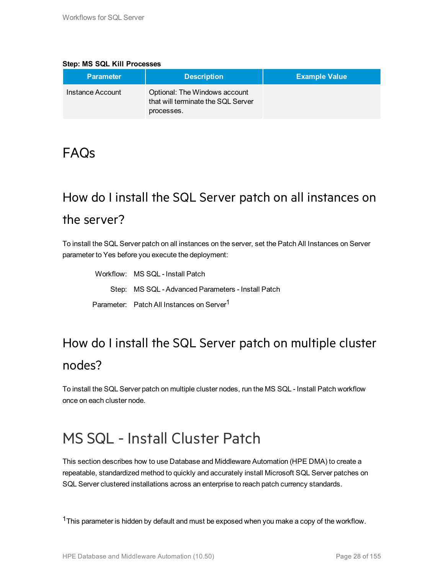#### **Step: MS SQL Kill Processes**

| <b>Parameter</b> | <b>Description</b>                                                                | <b>Example Value</b> |
|------------------|-----------------------------------------------------------------------------------|----------------------|
| Instance Account | Optional: The Windows account<br>that will terminate the SQL Server<br>processes. |                      |

### <span id="page-27-1"></span><span id="page-27-0"></span>FAQs

# How do I install the SQL Server patch on all instances on the server?

To install the SQL Server patch on all instances on the server, set the Patch All Instances on Server parameter to Yes before you execute the deployment:

| Workflow: MS SQL - Install Patch                      |
|-------------------------------------------------------|
| Step: MS SQL - Advanced Parameters - Install Patch    |
| Parameter: Patch All Instances on Server <sup>1</sup> |

# <span id="page-27-2"></span>How do I install the SQL Server patch on multiple cluster nodes?

To install the SQL Server patch on multiple cluster nodes, run the MS SQL - Install Patch workflow once on each cluster node.

# <span id="page-27-3"></span>MS SQL - Install Cluster Patch

This section describes how to use Database and Middleware Automation (HPE DMA) to create a repeatable, standardized method to quickly and accurately install Microsoft SQL Server patches on SQL Server clustered installations across an enterprise to reach patch currency standards.

<sup>1</sup>This parameter is hidden by default and must be exposed when you make a copy of the workflow.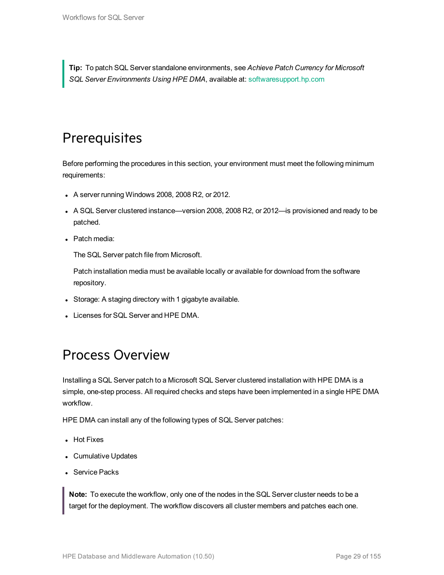**Tip:** To patch SQL Server standalone environments, see *Achieve Patch Currency for Microsoft SQL Server Environments Using HPE DMA*, available at: [softwaresupport.hp.com](https://softwaresupport.hp.com/)

## <span id="page-28-0"></span>**Prerequisites**

Before performing the procedures in this section, your environment must meet the following minimum requirements:

- $\bullet$  A server running Windows 2008, 2008 R2, or 2012.
- A SQL Server clustered instance—version 2008, 2008 R2, or 2012—is provisioned and ready to be patched.
- Patch media:

The SQL Server patch file from Microsoft.

Patch installation media must be available locally or available for download from the software repository.

- Storage: A staging directory with 1 gigabyte available.
- <span id="page-28-1"></span>• Licenses for SQL Server and HPE DMA.

### Process Overview

Installing a SQL Server patch to a Microsoft SQL Server clustered installation with HPE DMA is a simple, one-step process. All required checks and steps have been implemented in a single HPE DMA workflow.

HPE DMA can install any of the following types of SQL Server patches:

- Hot Fixes
- Cumulative Updates
- Service Packs

**Note:** To execute the workflow, only one of the nodes in the SQL Server cluster needs to be a target for the deployment. The workflow discovers all cluster members and patches each one.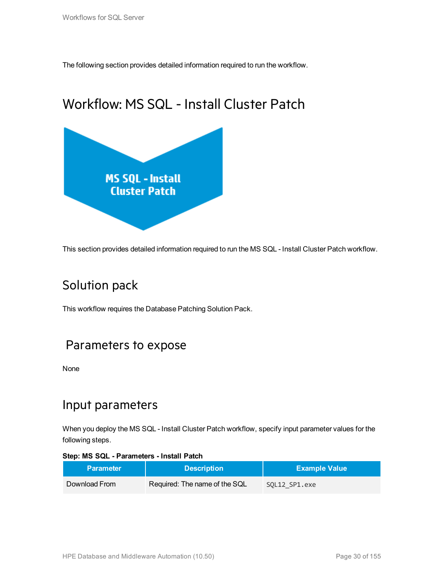<span id="page-29-0"></span>The following section provides detailed information required to run the workflow.

## Workflow: MS SQL - Install Cluster Patch



<span id="page-29-1"></span>This section provides detailed information required to run the MS SQL - Install Cluster Patch workflow.

## Solution pack

<span id="page-29-2"></span>This workflow requires the Database Patching Solution Pack.

### Parameters to expose

<span id="page-29-3"></span>None

### Input parameters

When you deploy the MS SQL - Install Cluster Patch workflow, specify input parameter values for the following steps.

#### **Step: MS SQL - Parameters - Install Patch**

| <b>Parameter</b> | <b>Description</b>            | <b>Example Value</b> |
|------------------|-------------------------------|----------------------|
| Download From    | Required: The name of the SQL | SQL12 SP1.exe        |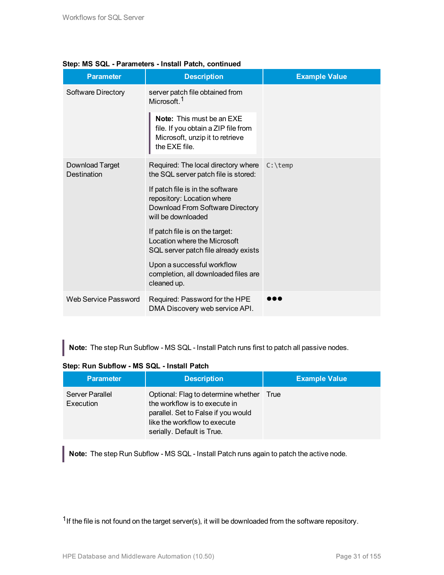| <b>Parameter</b>               | <b>Description</b>                                                                                                          | <b>Example Value</b> |
|--------------------------------|-----------------------------------------------------------------------------------------------------------------------------|----------------------|
| Software Directory             | server patch file obtained from<br>Microsoft. <sup>1</sup>                                                                  |                      |
|                                | <b>Note:</b> This must be an EXE<br>file. If you obtain a ZIP file from<br>Microsoft, unzip it to retrieve<br>the EXE file. |                      |
| Download Target<br>Destination | Required: The local directory where<br>the SQL server patch file is stored:                                                 | $C:\text{temp}$      |
|                                | If patch file is in the software<br>repository: Location where<br>Download From Software Directory<br>will be downloaded    |                      |
|                                | If patch file is on the target:<br>Location where the Microsoft<br>SQL server patch file already exists                     |                      |
|                                | Upon a successful workflow<br>completion, all downloaded files are<br>cleaned up.                                           |                      |
| Web Service Password           | Required: Password for the HPE<br>DMA Discovery web service API.                                                            |                      |

### **Step: MS SQL - Parameters - Install Patch, continued**

**Note:** The step Run Subflow - MS SQL - Install Patch runs first to patch all passive nodes.

### **Step: Run Subflow - MS SQL - Install Patch**

| <b>Parameter</b>             | <b>Description</b>                                                                                                                                                        | <b>Example Value</b> |
|------------------------------|---------------------------------------------------------------------------------------------------------------------------------------------------------------------------|----------------------|
| Server Parallel<br>Execution | Optional: Flag to determine whether<br>the workflow is to execute in<br>parallel. Set to False if you would<br>like the workflow to execute<br>serially. Default is True. | True                 |

**Note:** The step Run Subflow - MS SQL - Install Patch runs again to patch the active node.

 $1$ If the file is not found on the target server(s), it will be downloaded from the software repository.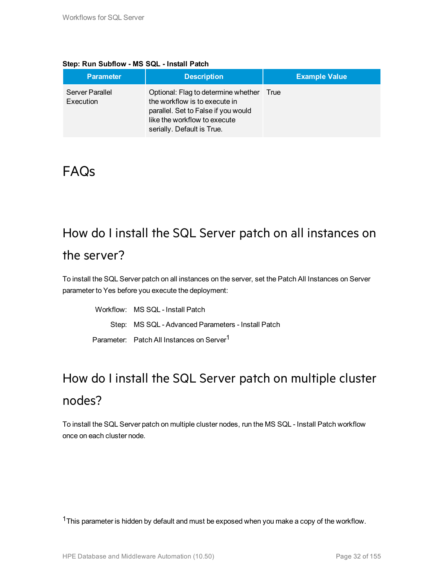| <b>Parameter</b>             | <b>Description</b>                                                                                                                                                        | <b>Example Value</b> |
|------------------------------|---------------------------------------------------------------------------------------------------------------------------------------------------------------------------|----------------------|
| Server Parallel<br>Execution | Optional: Flag to determine whether<br>the workflow is to execute in<br>parallel. Set to False if you would<br>like the workflow to execute<br>serially. Default is True. | True                 |

### **Step: Run Subflow - MS SQL - Install Patch**

### <span id="page-31-0"></span>FAQs

# <span id="page-31-1"></span>How do I install the SQL Server patch on all instances on the server?

To install the SQL Server patch on all instances on the server, set the Patch All Instances on Server parameter to Yes before you execute the deployment:

| Workflow: MS SQL - Install Patch                      |
|-------------------------------------------------------|
| Step: MS SQL - Advanced Parameters - Install Patch    |
| Parameter: Patch All Instances on Server <sup>1</sup> |

# <span id="page-31-2"></span>How do I install the SQL Server patch on multiple cluster nodes?

To install the SQL Server patch on multiple cluster nodes, run the MS SQL - Install Patch workflow once on each cluster node.

<sup>1</sup>This parameter is hidden by default and must be exposed when you make a copy of the workflow.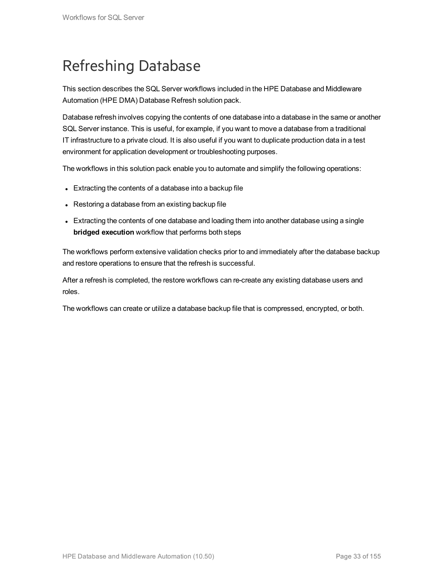# <span id="page-32-0"></span>Refreshing Database

This section describes the SQL Server workflows included in the HPE Database and Middleware Automation (HPE DMA) Database Refresh solution pack.

Database refresh involves copying the contents of one database into a database in the same or another SQL Server instance. This is useful, for example, if you want to move a database from a traditional IT infrastructure to a private cloud. It is also useful if you want to duplicate production data in a test environment for application development or troubleshooting purposes.

The workflows in this solution pack enable you to automate and simplify the following operations:

- Extracting the contents of a database into a backup file
- Restoring a database from an existing backup file
- Extracting the contents of one database and loading them into another database using a single **bridged execution** workflow that performs both steps

The workflows perform extensive validation checks prior to and immediately after the database backup and restore operations to ensure that the refresh is successful.

After a refresh is completed, the restore workflows can re-create any existing database users and roles.

The workflows can create or utilize a database backup file that is compressed, encrypted, or both.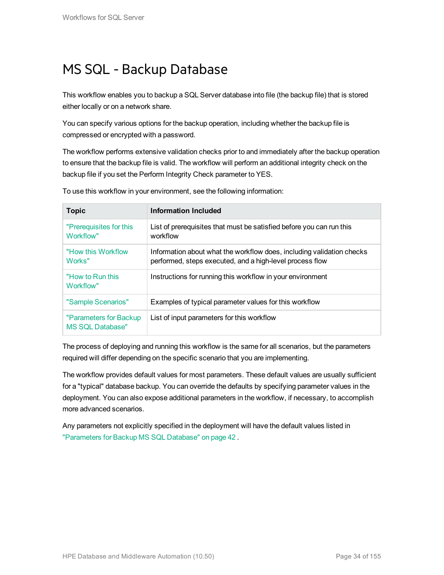## <span id="page-33-0"></span>MS SQL - Backup Database

This workflow enables you to backup a SQL Server database into file (the backup file) that is stored either locally or on a network share.

You can specify various options for the backup operation, including whether the backup file is compressed or encrypted with a password.

The workflow performs extensive validation checks prior to and immediately after the backup operation to ensure that the backup file is valid. The workflow will perform an additional integrity check on the backup file if you set the Perform Integrity Check parameter to YES.

| <b>Topic</b>                                       | Information Included                                                                                                              |
|----------------------------------------------------|-----------------------------------------------------------------------------------------------------------------------------------|
| "Prerequisites for this<br>Workflow"               | List of prerequisites that must be satisfied before you can run this<br>workflow                                                  |
| "How this Workflow"<br>Works"                      | Information about what the workflow does, including validation checks<br>performed, steps executed, and a high-level process flow |
| "How to Run this<br>Workflow"                      | Instructions for running this workflow in your environment                                                                        |
| "Sample Scenarios"                                 | Examples of typical parameter values for this workflow                                                                            |
| "Parameters for Backup"<br><b>MS SQL Database"</b> | List of input parameters for this workflow                                                                                        |

To use this workflow in your environment, see the following information:

The process of deploying and running this workflow is the same for all scenarios, but the parameters required will differ depending on the specific scenario that you are implementing.

The workflow provides default values for most parameters. These default values are usually sufficient for a "typical" database backup. You can override the defaults by specifying parameter values in the deployment. You can also expose additional parameters in the workflow, if necessary, to accomplish more advanced scenarios.

Any parameters not explicitly specified in the deployment will have the default values listed in ["Parameters](#page-41-0) for Backup MS SQL Database" on page 42 .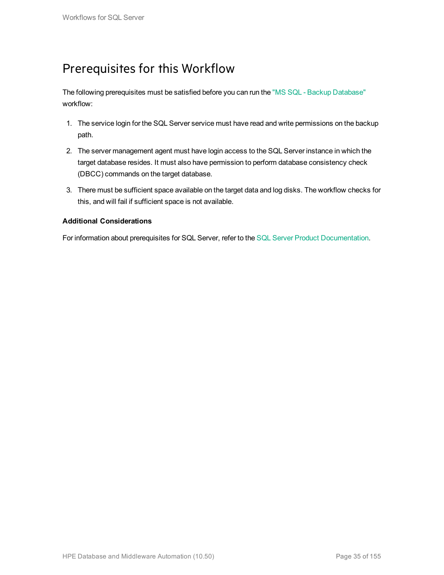## <span id="page-34-0"></span>Prerequisites for this Workflow

The following prerequisites must be satisfied before you can run the "MS SQL - Backup [Database"](#page-33-0) workflow:

- 1. The service login for the SQL Server service must have read and write permissions on the backup path.
- 2. The server management agent must have login access to the SQL Server instance in which the target database resides. It must also have permission to perform database consistency check (DBCC) commands on the target database.
- 3. There must be sufficient space available on the target data and log disks. The workflow checks for this, and will fail if sufficient space is not available.

### **Additional Considerations**

For information about prerequisites for SQL Server, refer to the SQL Server Product [Documentation](http://msdn.microsoft.com/en-us/library).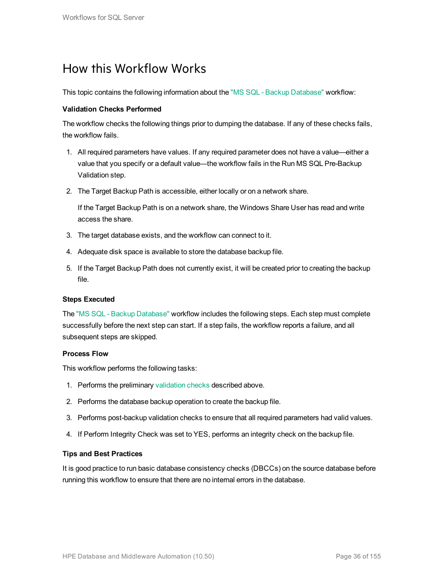### <span id="page-35-0"></span>How this Workflow Works

<span id="page-35-1"></span>This topic contains the following information about the "MS SQL - Backup [Database"](#page-33-0) workflow:

#### **Validation Checks Performed**

The workflow checks the following things prior to dumping the database. If any of these checks fails, the workflow fails.

- 1. All required parameters have values. If any required parameter does not have a value—either a value that you specify or a default value—the workflow fails in the Run MS SQL Pre-Backup Validation step.
- 2. The Target Backup Path is accessible, either locally or on a network share.

If the Target Backup Path is on a network share, the Windows Share User has read and write access the share.

- 3. The target database exists, and the workflow can connect to it.
- 4. Adequate disk space is available to store the database backup file.
- 5. If the Target Backup Path does not currently exist, it will be created prior to creating the backup file.

#### **Steps Executed**

The "MS SQL - Backup [Database"](#page-33-0) workflow includes the following steps. Each step must complete successfully before the next step can start. If a step fails, the workflow reports a failure, and all subsequent steps are skipped.

#### **Process Flow**

This workflow performs the following tasks:

- 1. Performs the preliminary [validation](#page-35-1) checks described above.
- 2. Performs the database backup operation to create the backup file.
- 3. Performs post-backup validation checks to ensure that all required parameters had valid values.
- 4. If Perform Integrity Check was set to YES, performs an integrity check on the backup file.

#### **Tips and Best Practices**

It is good practice to run basic database consistency checks (DBCCs) on the source database before running this workflow to ensure that there are no internal errors in the database.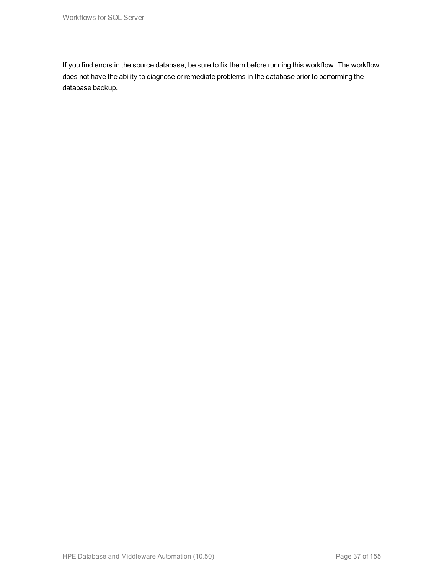If you find errors in the source database, be sure to fix them before running this workflow. The workflow does not have the ability to diagnose or remediate problems in the database prior to performing the database backup.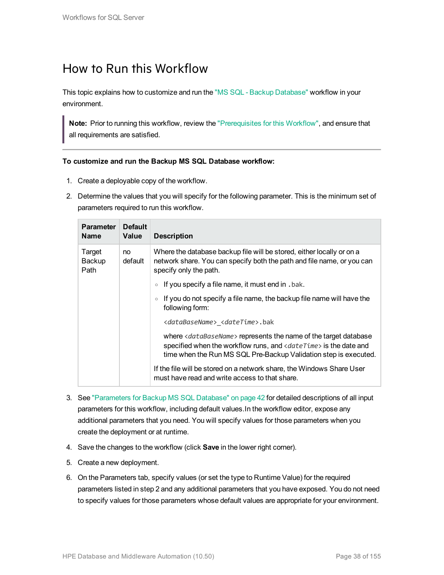### How to Run this Workflow

This topic explains how to customize and run the "MS SQL - Backup [Database"](#page-33-0) workflow in your environment.

**Note:** Prior to running this workflow, review the ["Prerequisites](#page-34-0) for this Workflow", and ensure that all requirements are satisfied.

#### **To customize and run the Backup MS SQL Database workflow:**

- 1. Create a deployable copy of the workflow.
- 2. Determine the values that you will specify for the following parameter. This is the minimum set of parameters required to run this workflow.

| <b>Parameter</b><br><b>Name</b> | <b>Default</b><br>Value | <b>Description</b>                                                                                                                                                                                                                                  |
|---------------------------------|-------------------------|-----------------------------------------------------------------------------------------------------------------------------------------------------------------------------------------------------------------------------------------------------|
| Target<br>Backup<br>Path        | no<br>default           | Where the database backup file will be stored, either locally or on a<br>network share. You can specify both the path and file name, or you can<br>specify only the path.                                                                           |
|                                 |                         | If you specify a file name, it must end in . bak.<br>$\circ$                                                                                                                                                                                        |
|                                 |                         | If you do not specify a file name, the backup file name will have the<br>$\circ$<br>following form:                                                                                                                                                 |
|                                 |                         | <databasename> <datetime>.bak</datetime></databasename>                                                                                                                                                                                             |
|                                 |                         | where <databasename> represents the name of the target database<br/>specified when the workflow runs, and <math>\langle dateTime \rangle</math> is the date and<br/>time when the Run MS SQL Pre-Backup Validation step is executed.</databasename> |
|                                 |                         | If the file will be stored on a network share, the Windows Share User<br>must have read and write access to that share.                                                                                                                             |

- 3. See ["Parameters](#page-41-0) for Backup MS SQL Database" on page 42 for detailed descriptions of all input parameters for this workflow, including default values.In the workflow editor, expose any additional parameters that you need. You will specify values for those parameters when you create the deployment or at runtime.
- 4. Save the changes to the workflow (click **Save** in the lower right corner).
- 5. Create a new deployment.
- 6. On the Parameters tab, specify values (or set the type to Runtime Value) for the required parameters listed in step 2 and any additional parameters that you have exposed. You do not need to specify values for those parameters whose default values are appropriate for your environment.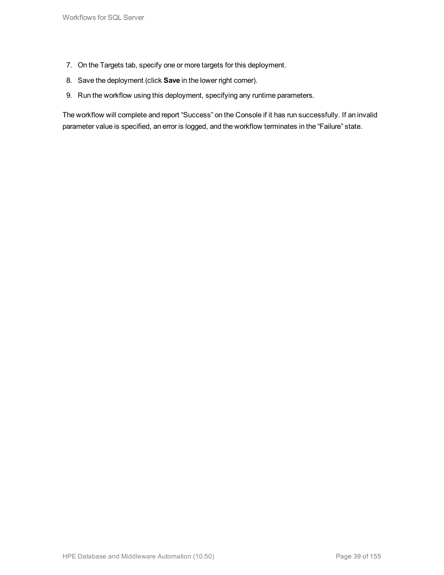- 7. On the Targets tab, specify one or more targets for this deployment.
- 8. Save the deployment (click **Save** in the lower right corner).
- 9. Run the workflow using this deployment, specifying any runtime parameters.

The workflow will complete and report "Success" on the Console if it has run successfully. If an invalid parameter value is specified, an error is logged, and the workflow terminates in the "Failure" state.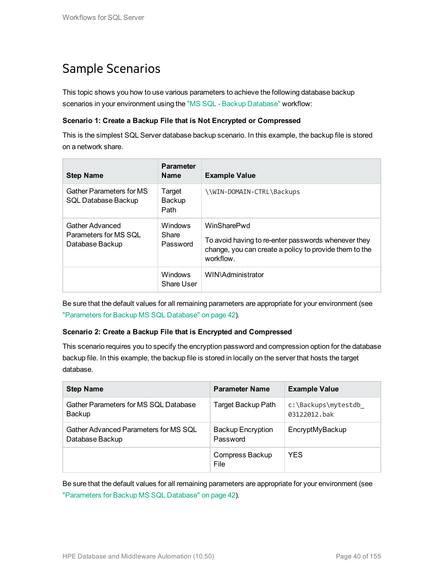## Sample Scenarios

This topic shows you how to use various parameters to achieve the following database backup scenarios in your environment using the "MS SQL - Backup [Database"](#page-33-0) workflow:

#### **Scenario 1: Create a Backup File that is Not Encrypted or Compressed**

This is the simplest SQL Server database backup scenario. In this example, the backup file is stored on a network share.

| <b>Step Name</b>                                            | <b>Parameter</b><br><b>Name</b>            | <b>Example Value</b>                                                                                                                      |
|-------------------------------------------------------------|--------------------------------------------|-------------------------------------------------------------------------------------------------------------------------------------------|
| Gather Parameters for MS<br>SQL Database Backup             | Target<br>Backup<br>Path                   | \\WIN-DOMAIN-CTRL\Backups                                                                                                                 |
| Gather Advanced<br>Parameters for MS SOL<br>Database Backup | <b>Windows</b><br><b>Share</b><br>Password | WinSharePwd<br>To avoid having to re-enter passwords whenever they<br>change, you can create a policy to provide them to the<br>workflow. |
|                                                             | <b>Windows</b><br>Share User               | WIN\Administrator                                                                                                                         |

Be sure that the default values for all remaining parameters are appropriate for your environment (see ["Parameters](#page-41-0) for Backup MS SQL Database" on page 42).

#### **Scenario 2: Create a Backup File that is Encrypted and Compressed**

This scenario requires you to specify the encryption password and compression option for the database backup file. In this example, the backup file is stored in locally on the server that hosts the target database.

| <b>Step Name</b>                                         | <b>Parameter Name</b>                | <b>Example Value</b>                |
|----------------------------------------------------------|--------------------------------------|-------------------------------------|
| Gather Parameters for MS SQL Database<br>Backup          | Target Backup Path                   | c:\Backups\mytestdb<br>03122012.bak |
| Gather Advanced Parameters for MS SQL<br>Database Backup | <b>Backup Encryption</b><br>Password | EncryptMyBackup                     |
|                                                          | Compress Backup<br>File              | <b>YES</b>                          |

Be sure that the default values for all remaining parameters are appropriate for your environment (see ["Parameters](#page-41-0) for Backup MS SQL Database" on page 42).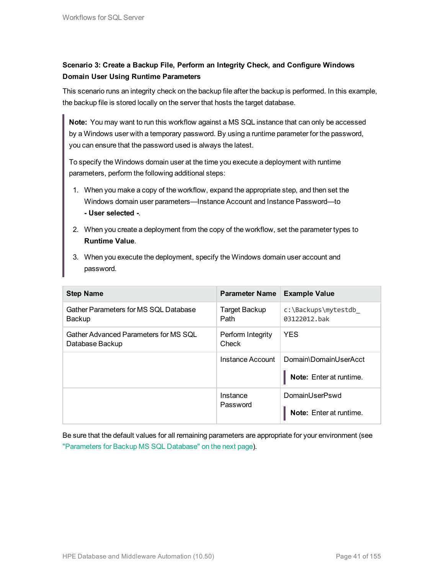### **Scenario 3: Create a Backup File, Perform an Integrity Check, and Configure Windows Domain User Using Runtime Parameters**

This scenario runs an integrity check on the backup file after the backup is performed. In this example, the backup file is stored locally on the server that hosts the target database.

**Note:** You may want to run this workflow against a MS SQL instance that can only be accessed by a Windows user with a temporary password. By using a runtime parameter for the password, you can ensure that the password used is always the latest.

To specify the Windows domain user at the time you execute a deployment with runtime parameters, perform the following additional steps:

- 1. When you make a copy of the workflow, expand the appropriate step, and then set the Windows domain user parameters—Instance Account and Instance Password—to **- User selected -**.
- 2. When you create a deployment from the copy of the workflow, set the parameter types to **Runtime Value**.
- 3. When you execute the deployment, specify the Windows domain user account and password.

| <b>Step Name</b>                                         | <b>Parameter Name</b>      | <b>Example Value</b>                |
|----------------------------------------------------------|----------------------------|-------------------------------------|
| Gather Parameters for MS SQL Database<br>Backup          | Target Backup<br>Path      | c:\Backups\mytestdb<br>03122012.bak |
| Gather Advanced Parameters for MS SOL<br>Database Backup | Perform Integrity<br>Check | <b>YES</b>                          |
|                                                          | Instance Account           | Domain\DomainUserAcct               |
|                                                          |                            | Note: Enter at runtime.             |
|                                                          | Instance<br>Password       | DomainUserPswd                      |
|                                                          |                            | <b>Note:</b> Enter at runtime.      |

Be sure that the default values for all remaining parameters are appropriate for your environment (see ["Parameters](#page-41-0) for Backup MS SQL Database" on the next page).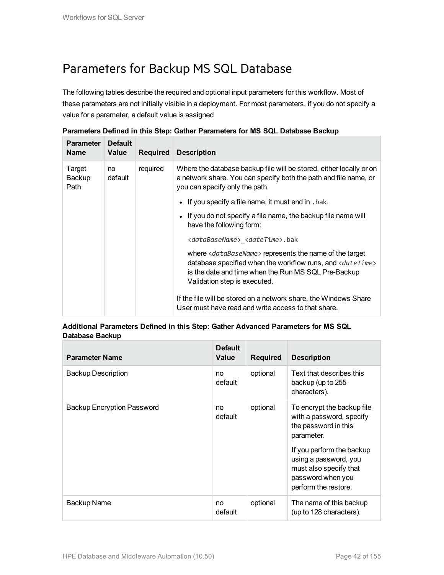## <span id="page-41-0"></span>Parameters for Backup MS SQL Database

The following tables describe the required and optional input parameters for this workflow. Most of these parameters are not initially visible in a deployment. For most parameters, if you do not specify a value for a parameter, a default value is assigned

| <b>Parameter</b><br><b>Name</b> | <b>Default</b><br>Value | <b>Required</b> | <b>Description</b>                                                                                                                                                                                                                      |
|---------------------------------|-------------------------|-----------------|-----------------------------------------------------------------------------------------------------------------------------------------------------------------------------------------------------------------------------------------|
| Target<br>Backup<br>Path        | no<br>default           | required        | Where the database backup file will be stored, either locally or on<br>a network share. You can specify both the path and file name, or<br>you can specify only the path.                                                               |
|                                 |                         |                 | • If you specify a file name, it must end in . bak.                                                                                                                                                                                     |
|                                 |                         |                 | • If you do not specify a file name, the backup file name will<br>have the following form:                                                                                                                                              |
|                                 |                         |                 | <databasename>_<datetime>.bak</datetime></databasename>                                                                                                                                                                                 |
|                                 |                         |                 | where <databasename> represents the name of the target<br/>database specified when the workflow runs, and <datetime><br/>is the date and time when the Run MS SQL Pre-Backup<br/>Validation step is executed.</datetime></databasename> |
|                                 |                         |                 | If the file will be stored on a network share, the Windows Share<br>User must have read and write access to that share.                                                                                                                 |

|  |  |  | Parameters Defined in this Step: Gather Parameters for MS SQL Database Backup |
|--|--|--|-------------------------------------------------------------------------------|
|  |  |  |                                                                               |

#### **Additional Parameters Defined in this Step: Gather Advanced Parameters for MS SQL Database Backup**

| <b>Parameter Name</b>             | <b>Default</b><br>Value | <b>Required</b> | <b>Description</b>                                                                                                                                                                                                        |
|-----------------------------------|-------------------------|-----------------|---------------------------------------------------------------------------------------------------------------------------------------------------------------------------------------------------------------------------|
| Backup Description                | no<br>default           | optional        | Text that describes this<br>backup (up to 255<br>characters).                                                                                                                                                             |
| <b>Backup Encryption Password</b> | no<br>default           | optional        | To encrypt the backup file<br>with a password, specify<br>the password in this<br>parameter.<br>If you perform the backup<br>using a password, you<br>must also specify that<br>password when you<br>perform the restore. |
| Backup Name                       | no<br>default           | optional        | The name of this backup<br>(up to 128 characters).                                                                                                                                                                        |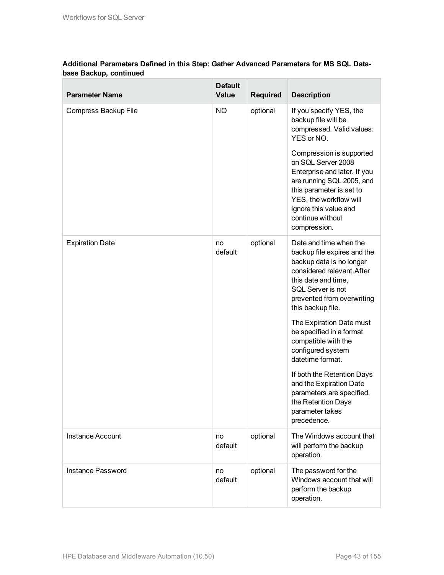| <b>Parameter Name</b>    | Derault<br>Value | <b>Required</b> | <b>Description</b>                                                                                                                                                                                                             |
|--------------------------|------------------|-----------------|--------------------------------------------------------------------------------------------------------------------------------------------------------------------------------------------------------------------------------|
| Compress Backup File     | <b>NO</b>        | optional        | If you specify YES, the<br>backup file will be<br>compressed. Valid values:<br>YES or NO.                                                                                                                                      |
|                          |                  |                 | Compression is supported<br>on SQL Server 2008<br>Enterprise and later. If you<br>are running SQL 2005, and<br>this parameter is set to<br>YES, the workflow will<br>ignore this value and<br>continue without<br>compression. |
| <b>Expiration Date</b>   | no<br>default    | optional        | Date and time when the<br>backup file expires and the<br>backup data is no longer<br>considered relevant. After<br>this date and time,<br>SQL Server is not<br>prevented from overwriting<br>this backup file.                 |
|                          |                  |                 | The Expiration Date must<br>be specified in a format<br>compatible with the<br>configured system<br>datetime format.                                                                                                           |
|                          |                  |                 | If both the Retention Days<br>and the Expiration Date<br>parameters are specified,<br>the Retention Days<br>parameter takes<br>precedence.                                                                                     |
| <b>Instance Account</b>  | no<br>default    | optional        | The Windows account that<br>will perform the backup<br>operation.                                                                                                                                                              |
| <b>Instance Password</b> | no<br>default    | optional        | The password for the<br>Windows account that will                                                                                                                                                                              |

#### **Default Additional Parameters Defined in this Step: Gather Advanced Parameters for MS SQL Database Backup, continued**

perform the backup

operation.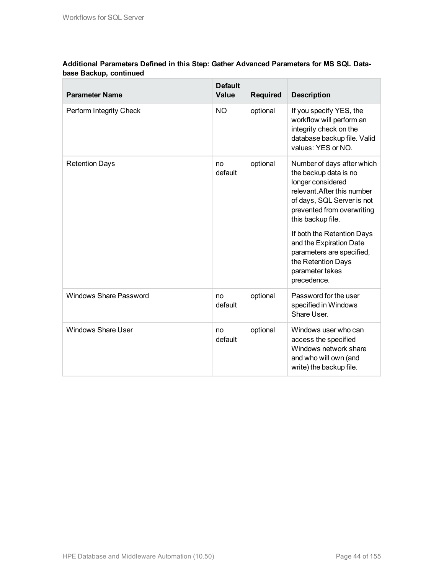#### **Additional Parameters Defined in this Step: Gather Advanced Parameters for MS SQL Database Backup, continued**

| <b>Parameter Name</b>     | <b>Default</b><br>Value | <b>Required</b> | <b>Description</b>                                                                                                                                                                       |
|---------------------------|-------------------------|-----------------|------------------------------------------------------------------------------------------------------------------------------------------------------------------------------------------|
| Perform Integrity Check   | <b>NO</b>               | optional        | If you specify YES, the<br>workflow will perform an<br>integrity check on the<br>database backup file. Valid<br>values: YES or NO.                                                       |
| <b>Retention Days</b>     | no<br>default           | optional        | Number of days after which<br>the backup data is no<br>longer considered<br>relevant. After this number<br>of days, SQL Server is not<br>prevented from overwriting<br>this backup file. |
|                           |                         |                 | If both the Retention Days<br>and the Expiration Date<br>parameters are specified,<br>the Retention Days<br>parameter takes<br>precedence.                                               |
| Windows Share Password    | no<br>default           | optional        | Password for the user<br>specified in Windows<br>Share User.                                                                                                                             |
| <b>Windows Share User</b> | no<br>default           | optional        | Windows user who can<br>access the specified<br>Windows network share<br>and who will own (and<br>write) the backup file.                                                                |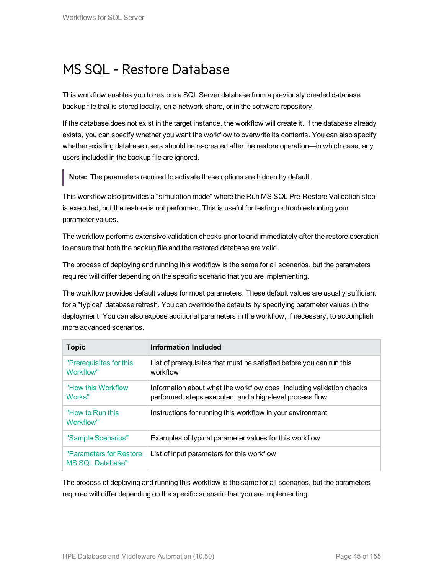# <span id="page-44-0"></span>MS SQL - Restore Database

This workflow enables you to restore a SQL Server database from a previously created database backup file that is stored locally, on a network share, or in the software repository.

If the database does not exist in the target instance, the workflow will create it. If the database already exists, you can specify whether you want the workflow to overwrite its contents. You can also specify whether existing database users should be re-created after the restore operation—in which case, any users included in the backup file are ignored.

**Note:** The parameters required to activate these options are hidden by default.

This workflow also provides a "simulation mode" where the Run MS SQL Pre-Restore Validation step is executed, but the restore is not performed. This is useful for testing or troubleshooting your parameter values.

The workflow performs extensive validation checks prior to and immediately after the restore operation to ensure that both the backup file and the restored database are valid.

The process of deploying and running this workflow is the same for all scenarios, but the parameters required will differ depending on the specific scenario that you are implementing.

The workflow provides default values for most parameters. These default values are usually sufficient for a "typical" database refresh. You can override the defaults by specifying parameter values in the deployment. You can also expose additional parameters in the workflow, if necessary, to accomplish more advanced scenarios.

| <b>Topic</b>                                 | Information Included                                                                                                              |
|----------------------------------------------|-----------------------------------------------------------------------------------------------------------------------------------|
| "Prerequisites for this"<br>Workflow"        | List of prerequisites that must be satisfied before you can run this<br>workflow                                                  |
| "How this Workflow"<br>Works"                | Information about what the workflow does, including validation checks<br>performed, steps executed, and a high-level process flow |
| "How to Run this<br>Workflow"                | Instructions for running this workflow in your environment                                                                        |
| "Sample Scenarios"                           | Examples of typical parameter values for this workflow                                                                            |
| "Parameters for Restore"<br>MS SQL Database" | List of input parameters for this workflow                                                                                        |

The process of deploying and running this workflow is the same for all scenarios, but the parameters required will differ depending on the specific scenario that you are implementing.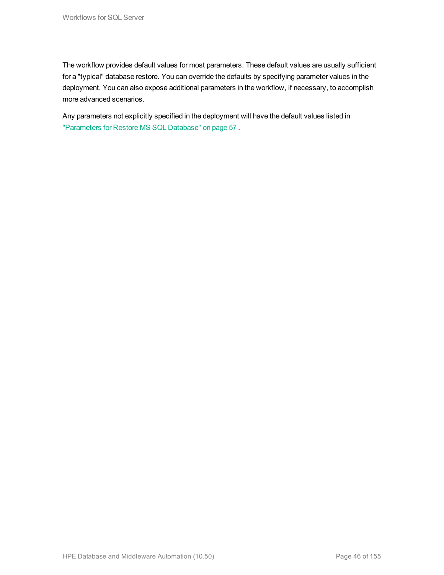The workflow provides default values for most parameters. These default values are usually sufficient for a "typical" database restore. You can override the defaults by specifying parameter values in the deployment. You can also expose additional parameters in the workflow, if necessary, to accomplish more advanced scenarios.

Any parameters not explicitly specified in the deployment will have the default values listed in ["Parameters](#page-56-0) for Restore MS SQL Database" on page 57 .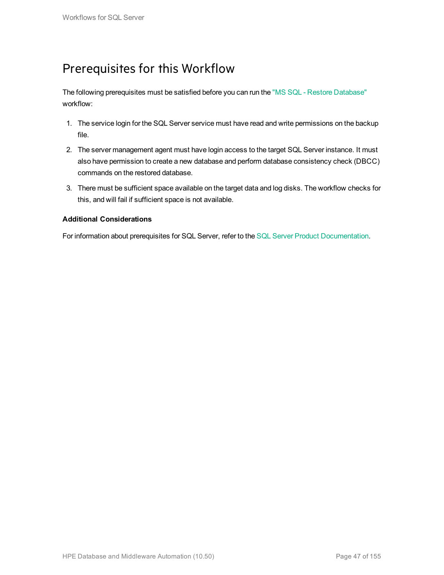# <span id="page-46-0"></span>Prerequisites for this Workflow

The following prerequisites must be satisfied before you can run the "MS SQL - Restore [Database"](#page-44-0) workflow:

- 1. The service login for the SQL Server service must have read and write permissions on the backup file.
- 2. The server management agent must have login access to the target SQL Server instance. It must also have permission to create a new database and perform database consistency check (DBCC) commands on the restored database.
- 3. There must be sufficient space available on the target data and log disks. The workflow checks for this, and will fail if sufficient space is not available.

#### **Additional Considerations**

For information about prerequisites for SQL Server, refer to the SQL Server Product [Documentation](http://msdn.microsoft.com/en-us/library).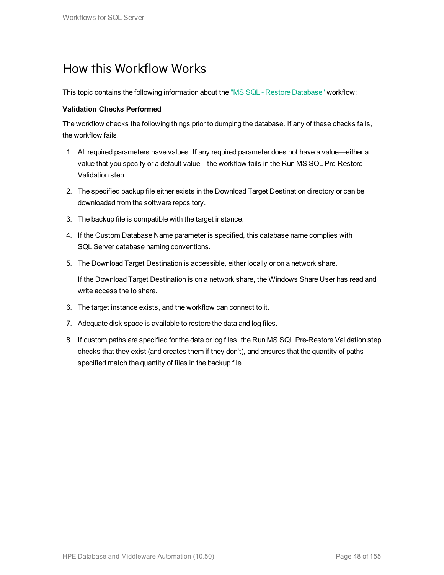### <span id="page-47-0"></span>How this Workflow Works

<span id="page-47-1"></span>This topic contains the following information about the "MS SQL - Restore [Database"](#page-44-0) workflow:

#### **Validation Checks Performed**

The workflow checks the following things prior to dumping the database. If any of these checks fails, the workflow fails.

- 1. All required parameters have values. If any required parameter does not have a value—either a value that you specify or a default value—the workflow fails in the Run MS SQL Pre-Restore Validation step.
- 2. The specified backup file either exists in the Download Target Destination directory or can be downloaded from the software repository.
- 3. The backup file is compatible with the target instance.
- 4. If the Custom Database Name parameter is specified, this database name complies with SQL Server database naming conventions.
- 5. The Download Target Destination is accessible, either locally or on a network share.

If the Download Target Destination is on a network share, the Windows Share User has read and write access the to share.

- 6. The target instance exists, and the workflow can connect to it.
- 7. Adequate disk space is available to restore the data and log files.
- 8. If custom paths are specified for the data or log files, the Run MS SQL Pre-Restore Validation step checks that they exist (and creates them if they don't), and ensures that the quantity of paths specified match the quantity of files in the backup file.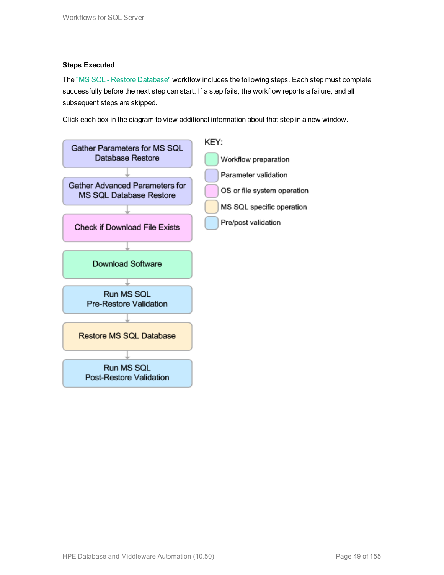#### **Steps Executed**

The "MS SQL - Restore [Database"](#page-44-0) workflow includes the following steps. Each step must complete successfully before the next step can start. If a step fails, the workflow reports a failure, and all subsequent steps are skipped.

Click each box in the diagram to view additional information about that step in a new window.

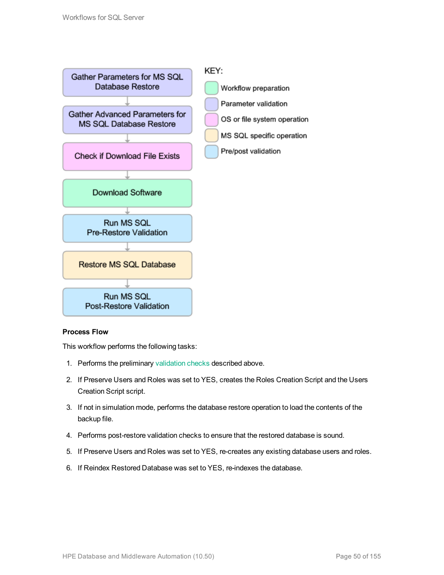

#### **Process Flow**

This workflow performs the following tasks:

- 1. Performs the preliminary [validation](#page-47-1) checks described above.
- 2. If Preserve Users and Roles was set to YES, creates the Roles Creation Script and the Users Creation Script script.
- 3. If not in simulation mode, performs the database restore operation to load the contents of the backup file.
- 4. Performs post-restore validation checks to ensure that the restored database is sound.
- 5. If Preserve Users and Roles was set to YES, re-creates any existing database users and roles.
- 6. If Reindex Restored Database was set to YES, re-indexes the database.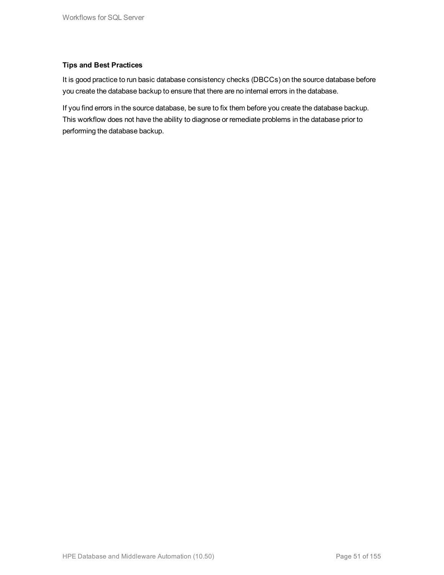#### **Tips and Best Practices**

It is good practice to run basic database consistency checks (DBCCs) on the source database before you create the database backup to ensure that there are no internal errors in the database.

If you find errors in the source database, be sure to fix them before you create the database backup. This workflow does not have the ability to diagnose or remediate problems in the database prior to performing the database backup.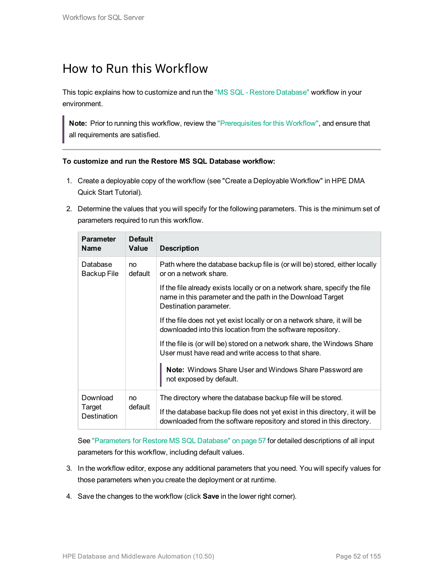### <span id="page-51-0"></span>How to Run this Workflow

This topic explains how to customize and run the "MS SQL - Restore [Database"](#page-44-0) workflow in your environment.

**Note:** Prior to running this workflow, review the ["Prerequisites](#page-46-0) for this Workflow", and ensure that all requirements are satisfied.

#### **To customize and run the Restore MS SQL Database workflow:**

- 1. Create a deployable copy of the workflow (see "Create a Deployable Workflow" in HPE DMA Quick Start Tutorial).
- 2. Determine the values that you will specify for the following parameters. This is the minimum set of parameters required to run this workflow.

| <b>Parameter</b><br>Name | <b>Default</b><br>Value | <b>Description</b>                                                                                                                                                 |
|--------------------------|-------------------------|--------------------------------------------------------------------------------------------------------------------------------------------------------------------|
| Database<br>Backup File  | no<br>default           | Path where the database backup file is (or will be) stored, either locally<br>or on a network share.                                                               |
|                          |                         | If the file already exists locally or on a network share, specify the file<br>name in this parameter and the path in the Download Target<br>Destination parameter. |
|                          |                         | If the file does not yet exist locally or on a network share, it will be<br>downloaded into this location from the software repository.                            |
|                          |                         | If the file is (or will be) stored on a network share, the Windows Share<br>User must have read and write access to that share.                                    |
|                          |                         | Note: Windows Share User and Windows Share Password are<br>not exposed by default.                                                                                 |
| Download                 | no<br>default           | The directory where the database backup file will be stored.                                                                                                       |
| Target<br>Destination    |                         | If the database backup file does not yet exist in this directory, it will be<br>downloaded from the software repository and stored in this directory.              |

See ["Parameters](#page-56-0) for Restore MS SQL Database" on page 57 for detailed descriptions of all input parameters for this workflow, including default values.

- 3. In the workflow editor, expose any additional parameters that you need. You will specify values for those parameters when you create the deployment or at runtime.
- 4. Save the changes to the workflow (click **Save** in the lower right corner).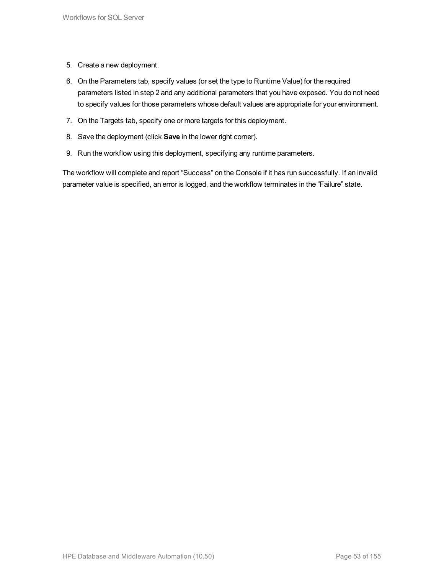- 5. Create a new deployment.
- 6. On the Parameters tab, specify values (or set the type to Runtime Value) for the required parameters listed in step 2 and any additional parameters that you have exposed. You do not need to specify values for those parameters whose default values are appropriate for your environment.
- 7. On the Targets tab, specify one or more targets for this deployment.
- 8. Save the deployment (click **Save** in the lower right corner).
- 9. Run the workflow using this deployment, specifying any runtime parameters.

The workflow will complete and report "Success" on the Console if it has run successfully. If an invalid parameter value is specified, an error is logged, and the workflow terminates in the "Failure" state.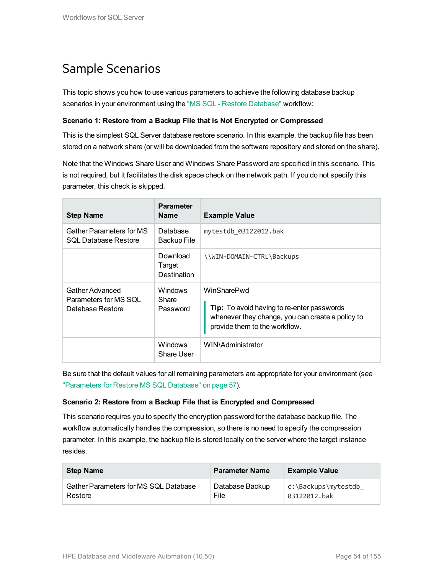# <span id="page-53-0"></span>Sample Scenarios

This topic shows you how to use various parameters to achieve the following database backup scenarios in your environment using the "MS SQL - Restore [Database"](#page-44-0) workflow:

#### **Scenario 1: Restore from a Backup File that is Not Encrypted or Compressed**

This is the simplest SQL Server database restore scenario. In this example, the backup file has been stored on a network share (or will be downloaded from the software repository and stored on the share).

Note that the Windows Share User and Windows Share Password are specified in this scenario. This is not required, but it facilitates the disk space check on the network path. If you do not specify this parameter, this check is skipped.

| <b>Step Name</b>                                             | <b>Parameter</b><br>Name          | <b>Example Value</b>                                                                                                                                  |
|--------------------------------------------------------------|-----------------------------------|-------------------------------------------------------------------------------------------------------------------------------------------------------|
| Gather Parameters for MS<br>SQL Database Restore             | Database<br>Backup File           | mytestdb_03122012.bak                                                                                                                                 |
|                                                              | Download<br>Target<br>Destination | \\WIN-DOMAIN-CTRL\Backups                                                                                                                             |
| Gather Advanced<br>Parameters for MS SOL<br>Database Restore | Windows<br>Share<br>Password      | WinSharePwd<br><b>Tip:</b> To avoid having to re-enter passwords<br>whenever they change, you can create a policy to<br>provide them to the workflow. |
|                                                              | <b>Windows</b><br>Share User      | WIN\Administrator                                                                                                                                     |

Be sure that the default values for all remaining parameters are appropriate for your environment (see ["Parameters](#page-56-0) for Restore MS SQL Database" on page 57).

#### **Scenario 2: Restore from a Backup File that is Encrypted and Compressed**

This scenario requires you to specify the encryption password for the database backup file. The workflow automatically handles the compression, so there is no need to specify the compression parameter. In this example, the backup file is stored locally on the server where the target instance resides.

| <b>Step Name</b>                      | <b>Parameter Name</b> | <b>Example Value</b> |
|---------------------------------------|-----------------------|----------------------|
| Gather Parameters for MS SQL Database | Database Backup       | c:\Backups\mytestdb  |
| Restore                               | File                  | 03122012.bak         |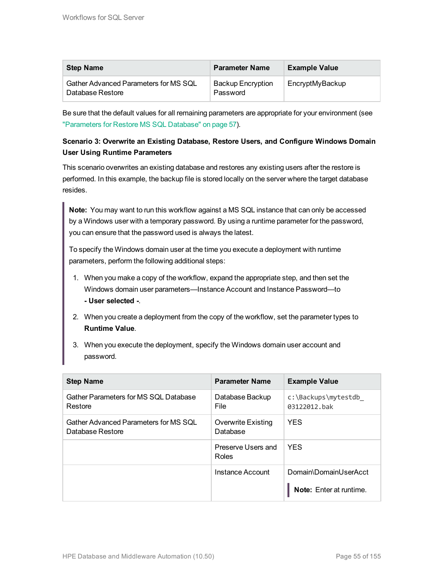| <b>Step Name</b>                                          | <b>Parameter Name</b>                | <b>Example Value</b> |
|-----------------------------------------------------------|--------------------------------------|----------------------|
| Gather Advanced Parameters for MS SQL<br>Database Restore | <b>Backup Encryption</b><br>Password | EncryptMyBackup      |

Be sure that the default values for all remaining parameters are appropriate for your environment (see ["Parameters](#page-56-0) for Restore MS SQL Database" on page 57).

### **Scenario 3: Overwrite an Existing Database, Restore Users, and Configure Windows Domain User Using Runtime Parameters**

This scenario overwrites an existing database and restores any existing users after the restore is performed. In this example, the backup file is stored locally on the server where the target database resides.

**Note:** You may want to run this workflow against a MS SQL instance that can only be accessed by a Windows user with a temporary password. By using a runtime parameter for the password, you can ensure that the password used is always the latest.

To specify the Windows domain user at the time you execute a deployment with runtime parameters, perform the following additional steps:

- 1. When you make a copy of the workflow, expand the appropriate step, and then set the Windows domain user parameters—Instance Account and Instance Password—to **- User selected -**.
- 2. When you create a deployment from the copy of the workflow, set the parameter types to **Runtime Value**.
- 3. When you execute the deployment, specify the Windows domain user account and password.

| <b>Step Name</b>                                          | <b>Parameter Name</b>                 | <b>Example Value</b>                                    |  |
|-----------------------------------------------------------|---------------------------------------|---------------------------------------------------------|--|
| Gather Parameters for MS SQL Database<br>Restore          | Database Backup<br>File               | c:\Backups\mytestdb_<br>03122012.bak                    |  |
| Gather Advanced Parameters for MS SQL<br>Database Restore | <b>Overwrite Existing</b><br>Database | <b>YES</b>                                              |  |
|                                                           | Preserve Users and<br>Roles           | <b>YES</b>                                              |  |
|                                                           | Instance Account                      | Domain\DomainUserAcct<br><b>Note:</b> Enter at runtime. |  |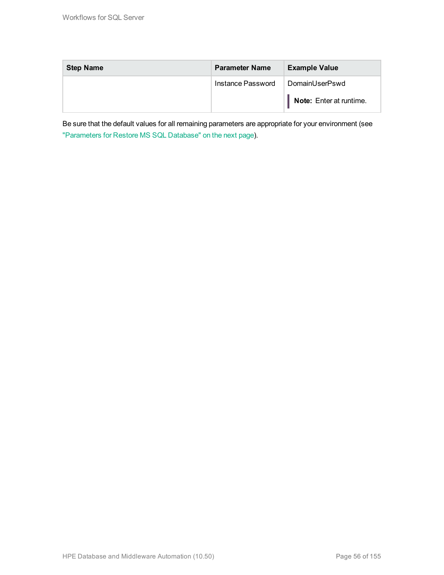| <b>Step Name</b> | <b>Parameter Name</b>               | <b>Example Value</b>    |
|------------------|-------------------------------------|-------------------------|
|                  | DomainUserPswd<br>Instance Password |                         |
|                  |                                     | Note: Enter at runtime. |

Be sure that the default values for all remaining parameters are appropriate for your environment (see ["Parameters](#page-56-0) for Restore MS SQL Database" on the next page).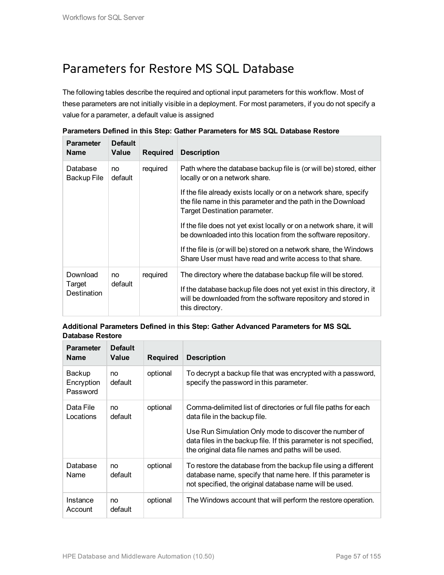### <span id="page-56-0"></span>Parameters for Restore MS SQL Database

The following tables describe the required and optional input parameters for this workflow. Most of these parameters are not initially visible in a deployment. For most parameters, if you do not specify a value for a parameter, a default value is assigned

| <b>Parameter</b><br><b>Name</b>   | <b>Default</b><br>Value | <b>Required</b> | <b>Description</b>                                                                                                                                                                                                       |
|-----------------------------------|-------------------------|-----------------|--------------------------------------------------------------------------------------------------------------------------------------------------------------------------------------------------------------------------|
| Database<br>Backup File           | no<br>default           | required        | Path where the database backup file is (or will be) stored, either<br>locally or on a network share.                                                                                                                     |
|                                   |                         |                 | If the file already exists locally or on a network share, specify<br>the file name in this parameter and the path in the Download<br>Target Destination parameter.                                                       |
|                                   |                         |                 | If the file does not yet exist locally or on a network share, it will<br>be downloaded into this location from the software repository.                                                                                  |
|                                   |                         |                 | If the file is (or will be) stored on a network share, the Windows<br>Share User must have read and write access to that share.                                                                                          |
| Download<br>Target<br>Destination | no<br>default           | required        | The directory where the database backup file will be stored.<br>If the database backup file does not yet exist in this directory, it<br>will be downloaded from the software repository and stored in<br>this directory. |

#### **Parameters Defined in this Step: Gather Parameters for MS SQL Database Restore**

#### **Additional Parameters Defined in this Step: Gather Advanced Parameters for MS SQL Database Restore**

| <b>Parameter</b><br><b>Name</b>  | <b>Default</b><br>Value | <b>Required</b> | <b>Description</b>                                                                                                                                                                       |
|----------------------------------|-------------------------|-----------------|------------------------------------------------------------------------------------------------------------------------------------------------------------------------------------------|
| Backup<br>Encryption<br>Password | no<br>default           | optional        | To decrypt a backup file that was encrypted with a password,<br>specify the password in this parameter.                                                                                  |
| Data File<br>Locations           | no<br>default           | optional        | Comma-delimited list of directories or full file paths for each<br>data file in the backup file.                                                                                         |
|                                  |                         |                 | Use Run Simulation Only mode to discover the number of<br>data files in the backup file. If this parameter is not specified,<br>the original data file names and paths will be used.     |
| Database<br>Name                 | no<br>default           | optional        | To restore the database from the backup file using a different<br>database name, specify that name here. If this parameter is<br>not specified, the original database name will be used. |
| Instance<br>Account              | no<br>default           | optional        | The Windows account that will perform the restore operation.                                                                                                                             |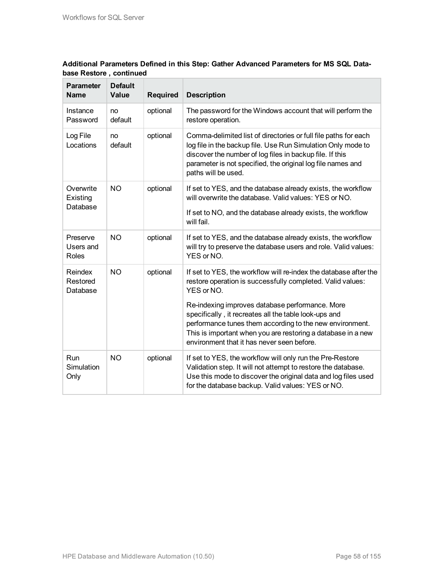#### **Additional Parameters Defined in this Step: Gather Advanced Parameters for MS SQL Database Restore , continued**

| <b>Parameter</b><br><b>Name</b> | <b>Default</b><br>Value | <b>Required</b> | <b>Description</b>                                                                                                                                                                                                                                                                 |
|---------------------------------|-------------------------|-----------------|------------------------------------------------------------------------------------------------------------------------------------------------------------------------------------------------------------------------------------------------------------------------------------|
| Instance<br>Password            | no<br>default           | optional        | The password for the Windows account that will perform the<br>restore operation.                                                                                                                                                                                                   |
| Log File<br>Locations           | no<br>default           | optional        | Comma-delimited list of directories or full file paths for each<br>log file in the backup file. Use Run Simulation Only mode to<br>discover the number of log files in backup file. If this<br>parameter is not specified, the original log file names and<br>paths will be used.  |
| Overwrite<br>Existing           | <b>NO</b>               | optional        | If set to YES, and the database already exists, the workflow<br>will overwrite the database. Valid values: YES or NO.                                                                                                                                                              |
| Database                        |                         |                 | If set to NO, and the database already exists, the workflow<br>will fail.                                                                                                                                                                                                          |
| Preserve<br>Users and<br>Roles  | <b>NO</b>               | optional        | If set to YES, and the database already exists, the workflow<br>will try to preserve the database users and role. Valid values:<br>YES or NO.                                                                                                                                      |
| Reindex<br>Restored<br>Database | <b>NO</b>               | optional        | If set to YES, the workflow will re-index the database after the<br>restore operation is successfully completed. Valid values:<br>YES or NO.                                                                                                                                       |
|                                 |                         |                 | Re-indexing improves database performance. More<br>specifically, it recreates all the table look-ups and<br>performance tunes them according to the new environment.<br>This is important when you are restoring a database in a new<br>environment that it has never seen before. |
| Run<br>Simulation<br>Only       | <b>NO</b>               | optional        | If set to YES, the workflow will only run the Pre-Restore<br>Validation step. It will not attempt to restore the database.<br>Use this mode to discover the original data and log files used<br>for the database backup. Valid values: YES or NO.                                  |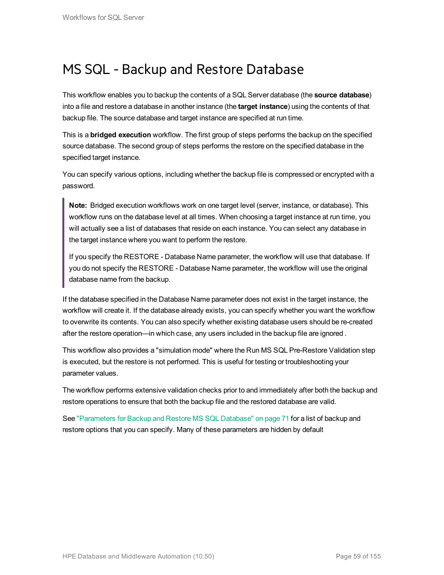# <span id="page-58-0"></span>MS SQL - Backup and Restore Database

This workflow enables you to backup the contents of a SQL Server database (the **source database**) into a file and restore a database in another instance (the **target instance**) using the contents of that backup file. The source database and target instance are specified at run time.

This is a **bridged execution** workflow. The first group of steps performs the backup on the specified source database. The second group of steps performs the restore on the specified database in the specified target instance.

You can specify various options, including whether the backup file is compressed or encrypted with a password.

**Note:** Bridged execution workflows work on one target level (server, instance, or database). This workflow runs on the database level at all times. When choosing a target instance at run time, you will actually see a list of databases that reside on each instance. You can select any database in the target instance where you want to perform the restore.

If you specify the RESTORE - Database Name parameter, the workflow will use that database. If you do not specify the RESTORE - Database Name parameter, the workflow will use the original database name from the backup.

If the database specified in the Database Name parameter does not exist in the target instance, the workflow will create it. If the database already exists, you can specify whether you want the workflow to overwrite its contents. You can also specify whether existing database users should be re-created after the restore operation—in which case, any users included in the backup file are ignored .

This workflow also provides a "simulation mode" where the Run MS SQL Pre-Restore Validation step is executed, but the restore is not performed. This is useful for testing or troubleshooting your parameter values.

The workflow performs extensive validation checks prior to and immediately after both the backup and restore operations to ensure that both the backup file and the restored database are valid.

See ["Parameters](#page-70-0) for Backup and Restore MS SQL Database" on page 71 for a list of backup and restore options that you can specify. Many of these parameters are hidden by default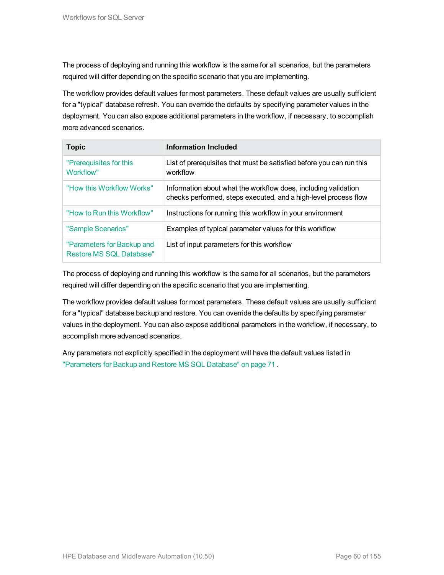The process of deploying and running this workflow is the same for all scenarios, but the parameters required will differ depending on the specific scenario that you are implementing.

The workflow provides default values for most parameters. These default values are usually sufficient for a "typical" database refresh. You can override the defaults by specifying parameter values in the deployment. You can also expose additional parameters in the workflow, if necessary, to accomplish more advanced scenarios.

| <b>Topic</b>                                           | <b>Information Included</b>                                                                                                       |
|--------------------------------------------------------|-----------------------------------------------------------------------------------------------------------------------------------|
| "Prerequisites for this<br>Workflow"                   | List of prerequisites that must be satisfied before you can run this<br>workflow                                                  |
| "How this Workflow Works"                              | Information about what the workflow does, including validation<br>checks performed, steps executed, and a high-level process flow |
| "How to Run this Workflow"                             | Instructions for running this workflow in your environment                                                                        |
| "Sample Scenarios"                                     | Examples of typical parameter values for this workflow                                                                            |
| "Parameters for Backup and<br>Restore MS SQL Database" | List of input parameters for this workflow                                                                                        |

The process of deploying and running this workflow is the same for all scenarios, but the parameters required will differ depending on the specific scenario that you are implementing.

The workflow provides default values for most parameters. These default values are usually sufficient for a "typical" database backup and restore. You can override the defaults by specifying parameter values in the deployment. You can also expose additional parameters in the workflow, if necessary, to accomplish more advanced scenarios.

Any parameters not explicitly specified in the deployment will have the default values listed in ["Parameters](#page-70-0) for Backup and Restore MS SQL Database" on page 71 .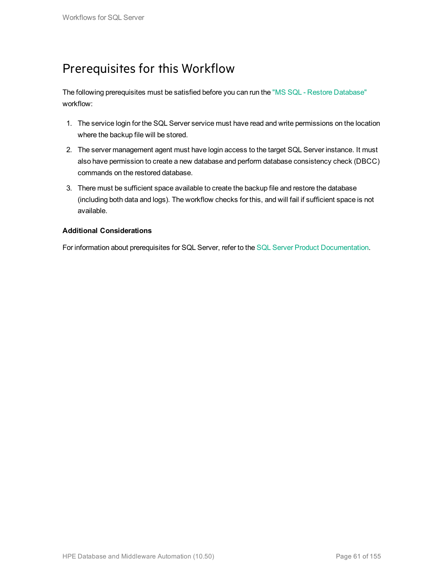# <span id="page-60-0"></span>Prerequisites for this Workflow

The following prerequisites must be satisfied before you can run the "MS SQL - Restore [Database"](#page-44-0) workflow:

- 1. The service login for the SQL Server service must have read and write permissions on the location where the backup file will be stored.
- 2. The server management agent must have login access to the target SQL Server instance. It must also have permission to create a new database and perform database consistency check (DBCC) commands on the restored database.
- 3. There must be sufficient space available to create the backup file and restore the database (including both data and logs). The workflow checks for this, and will fail if sufficient space is not available.

#### **Additional Considerations**

For information about prerequisites for SQL Server, refer to the SQL Server Product [Documentation](http://msdn.microsoft.com/en-us/library).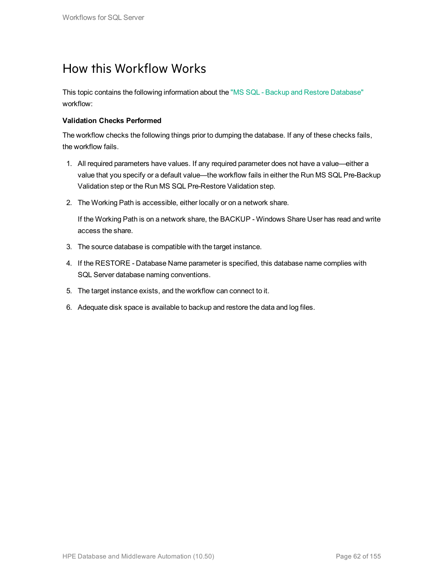### <span id="page-61-0"></span>How this Workflow Works

This topic contains the following information about the "MS SQL - Backup and Restore [Database"](#page-58-0) workflow:

#### <span id="page-61-1"></span>**Validation Checks Performed**

The workflow checks the following things prior to dumping the database. If any of these checks fails, the workflow fails.

- 1. All required parameters have values. If any required parameter does not have a value—either a value that you specify or a default value—the workflow fails in either the Run MS SQL Pre-Backup Validation step or the Run MS SQL Pre-Restore Validation step.
- 2. The Working Path is accessible, either locally or on a network share.

If the Working Path is on a network share, the BACKUP - Windows Share User has read and write access the share.

- 3. The source database is compatible with the target instance.
- 4. If the RESTORE Database Name parameter is specified, this database name complies with SQL Server database naming conventions.
- 5. The target instance exists, and the workflow can connect to it.
- 6. Adequate disk space is available to backup and restore the data and log files.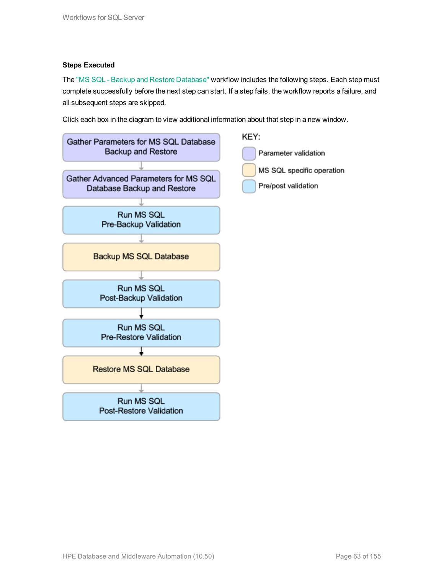#### **Steps Executed**

The "MS SQL - Backup and Restore [Database"](#page-58-0) workflow includes the following steps. Each step must complete successfully before the next step can start. If a step fails, the workflow reports a failure, and all subsequent steps are skipped.

Click each box in the diagram to view additional information about that step in a new window.

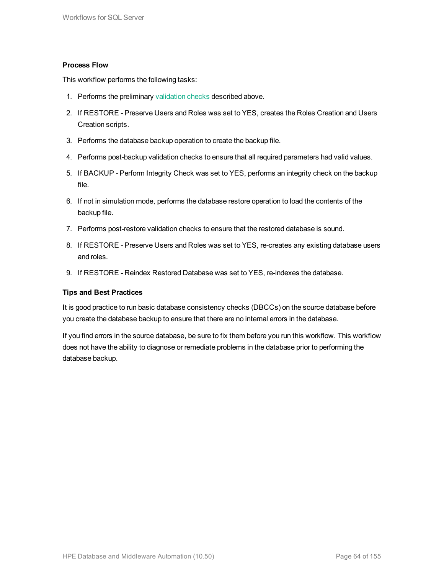#### **Process Flow**

This workflow performs the following tasks:

- 1. Performs the preliminary [validation](#page-61-1) checks described above.
- 2. If RESTORE Preserve Users and Roles was set to YES, creates the Roles Creation and Users Creation scripts.
- 3. Performs the database backup operation to create the backup file.
- 4. Performs post-backup validation checks to ensure that all required parameters had valid values.
- 5. If BACKUP Perform Integrity Check was set to YES, performs an integrity check on the backup file.
- 6. If not in simulation mode, performs the database restore operation to load the contents of the backup file.
- 7. Performs post-restore validation checks to ensure that the restored database is sound.
- 8. If RESTORE Preserve Users and Roles was set to YES, re-creates any existing database users and roles.
- 9. If RESTORE Reindex Restored Database was set to YES, re-indexes the database.

#### **Tips and Best Practices**

It is good practice to run basic database consistency checks (DBCCs) on the source database before you create the database backup to ensure that there are no internal errors in the database.

If you find errors in the source database, be sure to fix them before you run this workflow. This workflow does not have the ability to diagnose or remediate problems in the database prior to performing the database backup.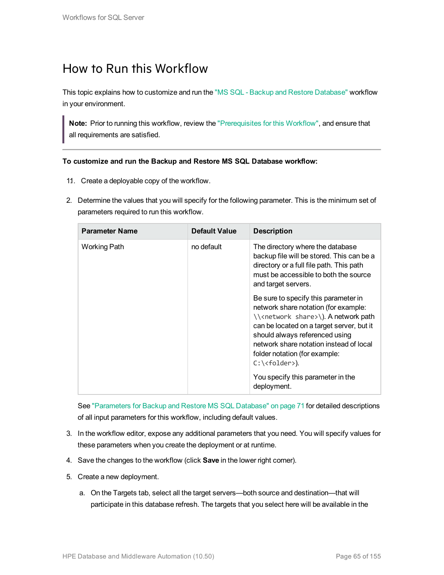### <span id="page-64-0"></span>How to Run this Workflow

This topic explains how to customize and run the "MS SQL - Backup and Restore [Database"](#page-58-0) workflow in your environment.

**Note:** Prior to running this workflow, review the ["Prerequisites](#page-60-0) for this Workflow", and ensure that all requirements are satisfied.

#### **To customize and run the Backup and Restore MS SQL Database workflow:**

- <span id="page-64-1"></span>11. Create a deployable copy of the workflow.
- 2. Determine the values that you will specify for the following parameter. This is the minimum set of parameters required to run this workflow.

| <b>Parameter Name</b> | <b>Default Value</b> | <b>Description</b>                                                                                                                                                                                                                                                                                                                                                                     |
|-----------------------|----------------------|----------------------------------------------------------------------------------------------------------------------------------------------------------------------------------------------------------------------------------------------------------------------------------------------------------------------------------------------------------------------------------------|
| Working Path          | no default           | The directory where the database<br>backup file will be stored. This can be a<br>directory or a full file path. This path<br>must be accessible to both the source<br>and target servers.                                                                                                                                                                                              |
|                       |                      | Be sure to specify this parameter in<br>network share notation (for example:<br>\\ <network share="">\). A network path<br/>can be located on a target server, but it<br/>should always referenced using<br/>network share notation instead of local<br/>folder notation (for example:<br/><math>C:\c{folder}</math>).<br/>You specify this parameter in the<br/>deployment.</network> |

<span id="page-64-2"></span>See ["Parameters](#page-70-0) for Backup and Restore MS SQL Database" on page 71 for detailed descriptions of all input parameters for this workflow, including default values.

- 3. In the workflow editor, expose any additional parameters that you need. You will specify values for these parameters when you create the deployment or at runtime.
- 4. Save the changes to the workflow (click **Save** in the lower right corner).
- 5. Create a new deployment.
	- a. On the Targets tab, select all the target servers—both source and destination—that will participate in this database refresh. The targets that you select here will be available in the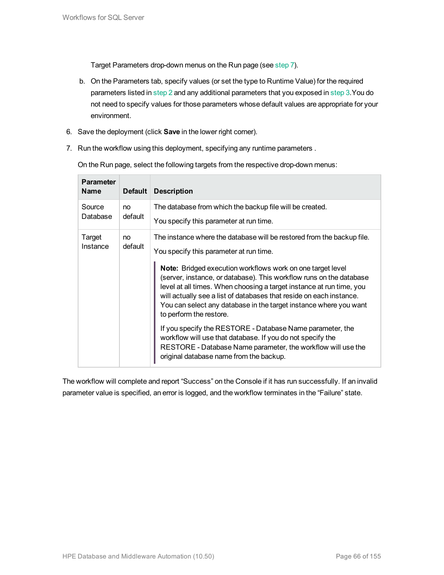Target Parameters drop-down menus on the Run page (see [step](#page-65-0) 7).

- b. On the Parameters tab, specify values (or set the type to Runtime Value) for the required parameters listed in [step](#page-64-1) 2 and any additional parameters that you exposed in [step](#page-64-2) 3.You do not need to specify values for those parameters whose default values are appropriate for your environment.
- <span id="page-65-0"></span>6. Save the deployment (click **Save** in the lower right corner).
- 7. Run the workflow using this deployment, specifying any runtime parameters .

On the Run page, select the following targets from the respective drop-down menus:

| <b>Parameter</b><br><b>Name</b> | <b>Default</b> | <b>Description</b>                                                                                                                                                                                                                                                                                                                                                                                                                                                                                                                                                                                                                                                                                                                                 |
|---------------------------------|----------------|----------------------------------------------------------------------------------------------------------------------------------------------------------------------------------------------------------------------------------------------------------------------------------------------------------------------------------------------------------------------------------------------------------------------------------------------------------------------------------------------------------------------------------------------------------------------------------------------------------------------------------------------------------------------------------------------------------------------------------------------------|
| Source<br>Database              | no<br>default  | The database from which the backup file will be created.<br>You specify this parameter at run time.                                                                                                                                                                                                                                                                                                                                                                                                                                                                                                                                                                                                                                                |
| Target<br>Instance              | no<br>default  | The instance where the database will be restored from the backup file.<br>You specify this parameter at run time.<br><b>Note:</b> Bridged execution workflows work on one target level<br>(server, instance, or database). This workflow runs on the database<br>level at all times. When choosing a target instance at run time, you<br>will actually see a list of databases that reside on each instance.<br>You can select any database in the target instance where you want<br>to perform the restore.<br>If you specify the RESTORE - Database Name parameter, the<br>workflow will use that database. If you do not specify the<br>RESTORE - Database Name parameter, the workflow will use the<br>original database name from the backup. |

The workflow will complete and report "Success" on the Console if it has run successfully. If an invalid parameter value is specified, an error is logged, and the workflow terminates in the "Failure" state.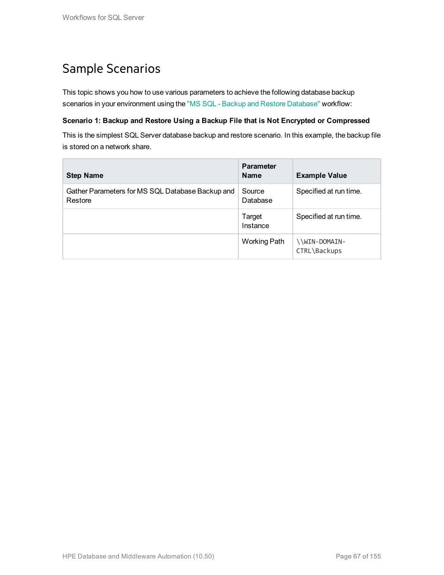# <span id="page-66-0"></span>Sample Scenarios

This topic shows you how to use various parameters to achieve the following database backup scenarios in your environment using the "MS SQL - Backup and Restore [Database"](#page-58-0) workflow:

#### **Scenario 1: Backup and Restore Using a Backup File that is Not Encrypted or Compressed**

This is the simplest SQL Server database backup and restore scenario. In this example, the backup file is stored on a network share.

| <b>Step Name</b>                                            | <b>Parameter</b><br><b>Name</b> | <b>Example Value</b>          |
|-------------------------------------------------------------|---------------------------------|-------------------------------|
| Gather Parameters for MS SQL Database Backup and<br>Restore | Source<br>Database              | Specified at run time.        |
|                                                             | Target<br>Instance              | Specified at run time.        |
|                                                             | <b>Working Path</b>             | \\WIN-DOMAIN-<br>CTRL\Backups |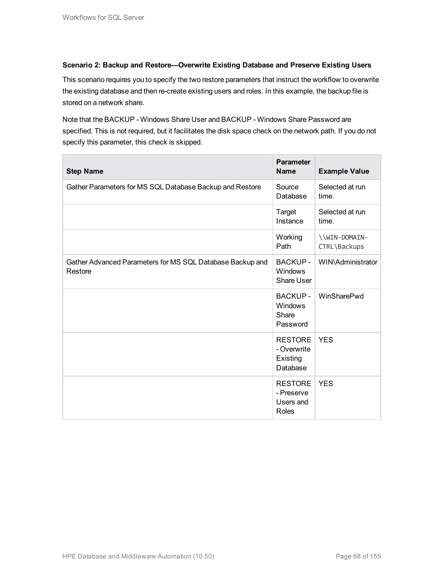#### **Scenario 2: Backup and Restore—Overwrite Existing Database and Preserve Existing Users**

This scenario requires you to specify the two restore parameters that instruct the workflow to overwrite the existing database and then re-create existing users and roles. In this example, the backup file is stored on a network share.

Note that the BACKUP - Windows Share User and BACKUP - Windows Share Password are specified. This is not required, but it facilitates the disk space check on the network path. If you do not specify this parameter, this check is skipped.

| <b>Step Name</b>                                                     | <b>Parameter</b><br><b>Name</b>                       | <b>Example Value</b>          |
|----------------------------------------------------------------------|-------------------------------------------------------|-------------------------------|
| Gather Parameters for MS SQL Database Backup and Restore             | Source<br>Database                                    | Selected at run<br>time.      |
|                                                                      | <b>Target</b><br>Instance                             | Selected at run<br>time.      |
|                                                                      | Working<br>Path                                       | \\WIN-DOMAIN-<br>CTRL\Backups |
| Gather Advanced Parameters for MS SQL Database Backup and<br>Restore | <b>BACKUP-</b><br><b>Windows</b><br>Share User        | WIN\Administrator             |
|                                                                      | <b>BACKUP -</b><br>Windows<br>Share<br>Password       | WinSharePwd                   |
|                                                                      | <b>RESTORE</b><br>- Overwrite<br>Existing<br>Database | <b>YES</b>                    |
|                                                                      | <b>RESTORE</b><br>- Preserve<br>Users and<br>Roles    | <b>YES</b>                    |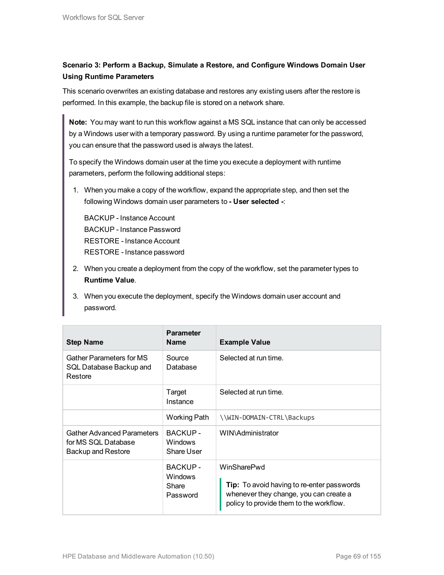### **Scenario 3: Perform a Backup, Simulate a Restore, and Configure Windows Domain User Using Runtime Parameters**

This scenario overwrites an existing database and restores any existing users after the restore is performed. In this example, the backup file is stored on a network share.

**Note:** You may want to run this workflow against a MS SQL instance that can only be accessed by a Windows user with a temporary password. By using a runtime parameter for the password, you can ensure that the password used is always the latest.

To specify the Windows domain user at the time you execute a deployment with runtime parameters, perform the following additional steps:

1. When you make a copy of the workflow, expand the appropriate step, and then set the following Windows domain user parameters to **- User selected -**:

BACKUP - Instance Account BACKUP - Instance Password RESTORE - Instance Account RESTORE - Instance password

- 2. When you create a deployment from the copy of the workflow, set the parameter types to **Runtime Value**.
- 3. When you execute the deployment, specify the Windows domain user account and password.

| <b>Step Name</b>                                                                      | <b>Parameter</b><br><b>Name</b>                        | <b>Example Value</b>                                                                                                                                  |  |
|---------------------------------------------------------------------------------------|--------------------------------------------------------|-------------------------------------------------------------------------------------------------------------------------------------------------------|--|
| <b>Gather Parameters for MS</b><br>SQL Database Backup and<br>Restore                 | Source<br>Database                                     | Selected at run time.                                                                                                                                 |  |
|                                                                                       | Target<br>Instance                                     | Selected at run time.                                                                                                                                 |  |
|                                                                                       | <b>Working Path</b>                                    | \\WIN-DOMAIN-CTRL\Backups                                                                                                                             |  |
| <b>Gather Advanced Parameters</b><br>for MS SQL Database<br><b>Backup and Restore</b> | BACKUP -<br><b>Windows</b><br>Share User               | WIN\Administrator                                                                                                                                     |  |
|                                                                                       | BACKUP -<br><b>Windows</b><br><b>Share</b><br>Password | WinSharePwd<br><b>Tip:</b> To avoid having to re-enter passwords<br>whenever they change, you can create a<br>policy to provide them to the workflow. |  |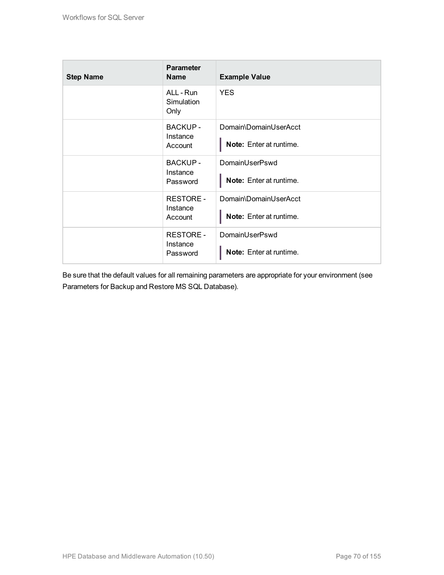| <b>Step Name</b> | <b>Parameter</b><br><b>Name</b>          | <b>Example Value</b>                             |
|------------------|------------------------------------------|--------------------------------------------------|
|                  | ALL - Run<br>Simulation<br>Only          | <b>YES</b>                                       |
|                  | <b>BACKUP -</b><br>Instance<br>Account   | Domain\DomainUserAcct<br>Note: Enter at runtime. |
|                  | <b>BACKUP -</b><br>Instance<br>Password  | DomainUserPswd<br>Note: Enter at runtime.        |
|                  | <b>RESTORE -</b><br>Instance<br>Account  | Domain\DomainUserAcct<br>Note: Enter at runtime. |
|                  | <b>RESTORE -</b><br>Instance<br>Password | DomainUserPswd<br>Note: Enter at runtime.        |

Be sure that the default values for all remaining parameters are appropriate for your environment (see Parameters for Backup and Restore MS SQL Database).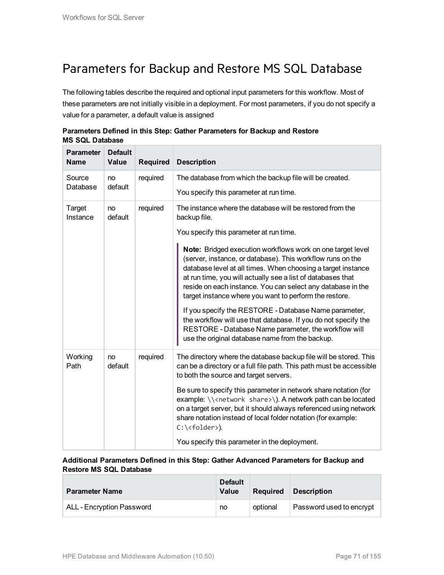## <span id="page-70-0"></span>Parameters for Backup and Restore MS SQL Database

The following tables describe the required and optional input parameters for this workflow. Most of these parameters are not initially visible in a deployment. For most parameters, if you do not specify a value for a parameter, a default value is assigned

| <b>Parameter</b><br><b>Name</b> | <b>Default</b><br>Value | <b>Required</b> | <b>Description</b>                                                                                                                                                                                                                                                                                                                                                                                                                                                                                                                                                                                                     |  |
|---------------------------------|-------------------------|-----------------|------------------------------------------------------------------------------------------------------------------------------------------------------------------------------------------------------------------------------------------------------------------------------------------------------------------------------------------------------------------------------------------------------------------------------------------------------------------------------------------------------------------------------------------------------------------------------------------------------------------------|--|
| Source                          | no                      | required        | The database from which the backup file will be created.                                                                                                                                                                                                                                                                                                                                                                                                                                                                                                                                                               |  |
| Database                        | default                 |                 | You specify this parameter at run time.                                                                                                                                                                                                                                                                                                                                                                                                                                                                                                                                                                                |  |
| <b>Target</b><br>Instance       | no<br>default           | required        | The instance where the database will be restored from the<br>backup file.                                                                                                                                                                                                                                                                                                                                                                                                                                                                                                                                              |  |
|                                 |                         |                 | You specify this parameter at run time.                                                                                                                                                                                                                                                                                                                                                                                                                                                                                                                                                                                |  |
|                                 |                         |                 | Note: Bridged execution workflows work on one target level<br>(server, instance, or database). This workflow runs on the<br>database level at all times. When choosing a target instance<br>at run time, you will actually see a list of databases that<br>reside on each instance. You can select any database in the<br>target instance where you want to perform the restore.<br>If you specify the RESTORE - Database Name parameter,<br>the workflow will use that database. If you do not specify the<br>RESTORE - Database Name parameter, the workflow will<br>use the original database name from the backup. |  |
| Working<br>Path                 | no<br>default           | required        | The directory where the database backup file will be stored. This<br>can be a directory or a full file path. This path must be accessible<br>to both the source and target servers.                                                                                                                                                                                                                                                                                                                                                                                                                                    |  |
|                                 |                         |                 | Be sure to specify this parameter in network share notation (for<br>example: \\ <network share="">\). A network path can be located<br/>on a target server, but it should always referenced using network<br/>share notation instead of local folder notation (for example:<br/><math>C:\c{folder}</math></network>                                                                                                                                                                                                                                                                                                    |  |
|                                 |                         |                 | You specify this parameter in the deployment.                                                                                                                                                                                                                                                                                                                                                                                                                                                                                                                                                                          |  |

#### **Parameters Defined in this Step: Gather Parameters for Backup and Restore MS SQL Database**

#### **Additional Parameters Defined in this Step: Gather Advanced Parameters for Backup and Restore MS SQL Database**

| <b>Parameter Name</b>     | <b>Default</b><br><b>Value</b> | Reguired | <b>Description</b>       |
|---------------------------|--------------------------------|----------|--------------------------|
| ALL - Encryption Password | no                             | optional | Password used to encrypt |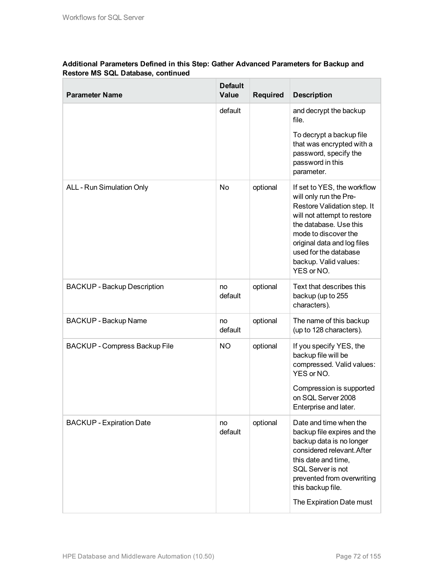| <b>Parameter Name</b>              | <b>Default</b><br>Value | <b>Required</b> | <b>Description</b>                                                                                                                                                                                                                                                   |
|------------------------------------|-------------------------|-----------------|----------------------------------------------------------------------------------------------------------------------------------------------------------------------------------------------------------------------------------------------------------------------|
|                                    | default                 |                 | and decrypt the backup<br>file.                                                                                                                                                                                                                                      |
|                                    |                         |                 | To decrypt a backup file<br>that was encrypted with a<br>password, specify the<br>password in this<br>parameter.                                                                                                                                                     |
| ALL - Run Simulation Only          | <b>No</b>               | optional        | If set to YES, the workflow<br>will only run the Pre-<br>Restore Validation step. It<br>will not attempt to restore<br>the database. Use this<br>mode to discover the<br>original data and log files<br>used for the database<br>backup. Valid values:<br>YES or NO. |
| <b>BACKUP - Backup Description</b> | no<br>default           | optional        | Text that describes this<br>backup (up to 255<br>characters).                                                                                                                                                                                                        |
| BACKUP - Backup Name               | no<br>default           | optional        | The name of this backup<br>(up to 128 characters).                                                                                                                                                                                                                   |
| BACKUP - Compress Backup File      | NO                      | optional        | If you specify YES, the<br>backup file will be<br>compressed. Valid values:<br>YES or NO.<br>Compression is supported<br>on SQL Server 2008<br>Enterprise and later.                                                                                                 |
| <b>BACKUP - Expiration Date</b>    | no<br>default           | optional        | Date and time when the<br>backup file expires and the<br>backup data is no longer<br>considered relevant. After<br>this date and time,<br><b>SQL Server is not</b><br>prevented from overwriting<br>this backup file.<br>The Expiration Date must                    |

#### **Additional Parameters Defined in this Step: Gather Advanced Parameters for Backup and Restore MS SQL Database, continued**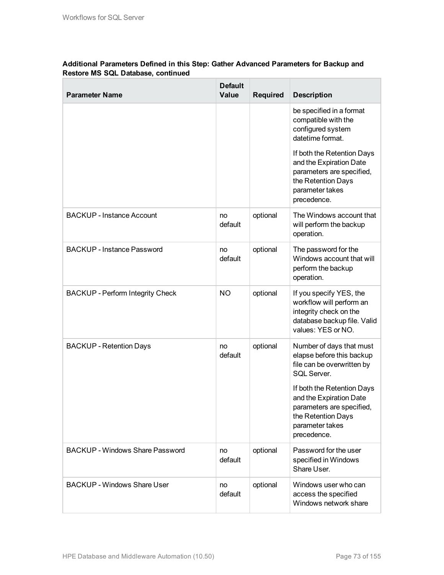#### **Additional Parameters Defined in this Step: Gather Advanced Parameters for Backup and Restore MS SQL Database, continued**

| <b>Parameter Name</b>                   | <b>Default</b><br>Value | <b>Required</b> | <b>Description</b>                                                                                                                         |
|-----------------------------------------|-------------------------|-----------------|--------------------------------------------------------------------------------------------------------------------------------------------|
|                                         |                         |                 | be specified in a format<br>compatible with the<br>configured system<br>datetime format.                                                   |
|                                         |                         |                 | If both the Retention Days<br>and the Expiration Date<br>parameters are specified,<br>the Retention Days<br>parameter takes<br>precedence. |
| <b>BACKUP - Instance Account</b>        | no<br>default           | optional        | The Windows account that<br>will perform the backup<br>operation.                                                                          |
| <b>BACKUP - Instance Password</b>       | no<br>default           | optional        | The password for the<br>Windows account that will<br>perform the backup<br>operation.                                                      |
| <b>BACKUP - Perform Integrity Check</b> | <b>NO</b>               | optional        | If you specify YES, the<br>workflow will perform an<br>integrity check on the<br>database backup file. Valid<br>values: YES or NO.         |
| <b>BACKUP - Retention Days</b>          | no<br>default           | optional        | Number of days that must<br>elapse before this backup<br>file can be overwritten by<br>SQL Server.                                         |
|                                         |                         |                 | If both the Retention Days<br>and the Expiration Date<br>parameters are specified,<br>the Retention Days<br>parameter takes<br>precedence. |
| BACKUP - Windows Share Password         | no<br>default           | optional        | Password for the user<br>specified in Windows<br>Share User.                                                                               |
| <b>BACKUP - Windows Share User</b>      | no<br>default           | optional        | Windows user who can<br>access the specified<br>Windows network share                                                                      |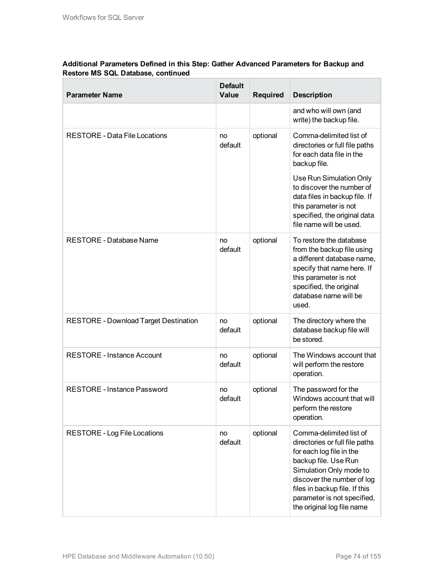| <b>Restore indiduct Database, continued</b> |                         |                 |                                                                                                                                                                           |  |  |
|---------------------------------------------|-------------------------|-----------------|---------------------------------------------------------------------------------------------------------------------------------------------------------------------------|--|--|
| <b>Parameter Name</b>                       | <b>Default</b><br>Value | <b>Required</b> | <b>Description</b>                                                                                                                                                        |  |  |
|                                             |                         |                 | and who will own (and<br>write) the backup file.                                                                                                                          |  |  |
| RESTORE - Data File Locations               | no<br>default           | optional        | Comma-delimited list of<br>directories or full file paths<br>for each data file in the<br>backup file.                                                                    |  |  |
|                                             |                         |                 | Use Run Simulation Only<br>to discover the number of<br>data files in backup file. If<br>this parameter is not<br>specified, the original data<br>file name will be used. |  |  |
| RESTORE - Database Name                     | no<br>default           | optional        | To restore the database<br>from the backup file using                                                                                                                     |  |  |

default

default

default

default

#### **Additional Parameters Defined in this Step: Gather Advanced Parameters for Backup and Restore MS SQL Database, continued**

| HPF Database and Middleware Automation (10.50) |  |
|------------------------------------------------|--|

RESTORE - Download Target Destination no

RESTORE - Instance Account no contract no

RESTORE - Instance Password no

RESTORE - Log File Locations no

a different database name, specify that name here. If this parameter is not specified, the original database name will be

database backup file will

will perform the restore

Windows account that will

directories or full file paths for each log file in the backup file. Use Run Simulation Only mode to discover the number of log files in backup file. If this parameter is not specified, the original log file name

perform the restore

used.

optional The directory where the

be stored.

operation.

optional The password for the

operation.

optional Comma-delimited list of

optional The Windows account that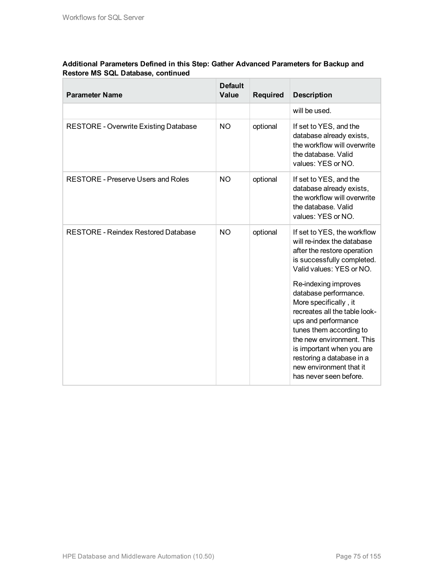**Additional Parameters Defined in this Step: Gather Advanced Parameters for Backup and Restore MS SQL Database, continued**

| <b>Parameter Name</b>                        | <b>Default</b><br>Value | <b>Required</b> | <b>Description</b>                                                                                                                                                                                                                                                                                                                                                                                                                                          |
|----------------------------------------------|-------------------------|-----------------|-------------------------------------------------------------------------------------------------------------------------------------------------------------------------------------------------------------------------------------------------------------------------------------------------------------------------------------------------------------------------------------------------------------------------------------------------------------|
|                                              |                         |                 | will be used.                                                                                                                                                                                                                                                                                                                                                                                                                                               |
| <b>RESTORE - Overwrite Existing Database</b> | <b>NO</b>               | optional        | If set to YES, and the<br>database already exists,<br>the workflow will overwrite<br>the database. Valid<br>values: YES or NO.                                                                                                                                                                                                                                                                                                                              |
| <b>RESTORE - Preserve Users and Roles</b>    | <b>NO</b>               | optional        | If set to YES, and the<br>database already exists,<br>the workflow will overwrite<br>the database. Valid<br>values: YES or NO.                                                                                                                                                                                                                                                                                                                              |
| <b>RESTORE - Reindex Restored Database</b>   | <b>NO</b>               | optional        | If set to YES, the workflow<br>will re-index the database<br>after the restore operation<br>is successfully completed.<br>Valid values: YES or NO.<br>Re-indexing improves<br>database performance.<br>More specifically, it<br>recreates all the table look-<br>ups and performance<br>tunes them according to<br>the new environment. This<br>is important when you are<br>restoring a database in a<br>new environment that it<br>has never seen before. |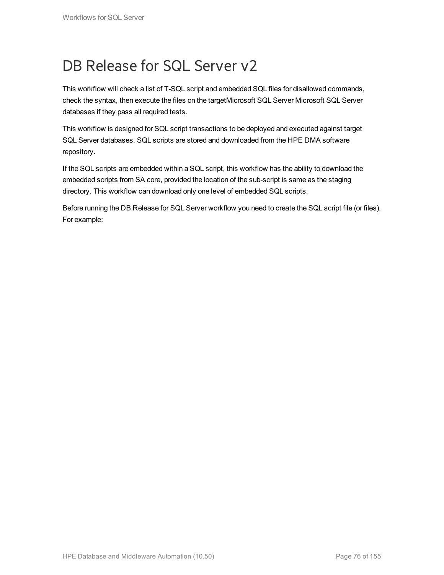## <span id="page-75-0"></span>DB Release for SQL Server v2

This workflow will check a list of T-SQL script and embedded SQL files for disallowed commands, check the syntax, then execute the files on the targetMicrosoft SQL Server Microsoft SQL Server databases if they pass all required tests.

This workflow is designed for SQL script transactions to be deployed and executed against target SQL Server databases. SQL scripts are stored and downloaded from the HPE DMA software repository.

If the SQL scripts are embedded within a SQL script, this workflow has the ability to download the embedded scripts from SA core, provided the location of the sub-script is same as the staging directory. This workflow can download only one level of embedded SQL scripts.

Before running the DB Release for SQL Server workflow you need to create the SQL script file (or files). For example: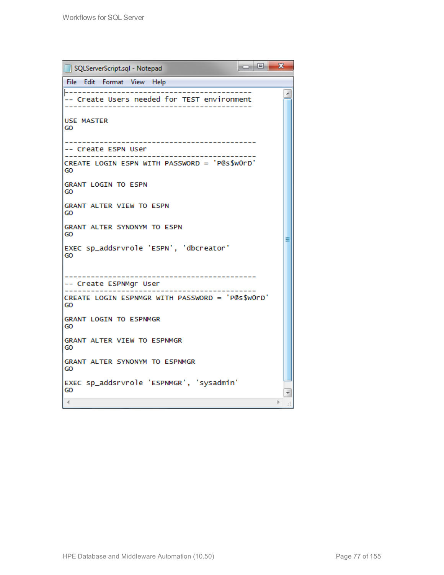| $\Box$ $\Box$<br>SQLServerScript.sql - Notepad         | $\mathbf x$ |
|--------------------------------------------------------|-------------|
| File Edit Format View Help                             |             |
| -----<br>-- Create Users needed for TEST environment   | è           |
| <b>USE MASTER</b><br>GO                                |             |
| -- Create ESPN User                                    |             |
| CREATE LOGIN ESPN WITH PASSWORD = 'P@s\$wOrD'<br>GO    |             |
| <b>GRANT LOGIN TO ESPN</b><br>GO                       |             |
| <b>GRANT ALTER VIEW TO ESPN</b><br>GO                  |             |
| GRANT ALTER SYNONYM TO ESPN<br>GO                      | Ξ           |
| EXEC sp_addsrvrole 'ESPN', 'dbcreator'<br>GO           |             |
| ------------------<br>-- Create ESPNMgr User           |             |
| CREATE LOGIN ESPNMGR WITH PASSWORD = 'P@s\$w0rD'<br>GO |             |
| <b>GRANT LOGIN TO ESPNMGR</b><br>GO                    |             |
| <b>GRANT ALTER VIEW TO ESPNMGR</b><br>GO               |             |
| GRANT ALTER SYNONYM TO ESPNMGR<br>GO                   |             |
| EXEC sp_addsrvrole 'ESPNMGR', 'sysadmin'<br>GO         |             |
| $\blacktriangleleft$                                   |             |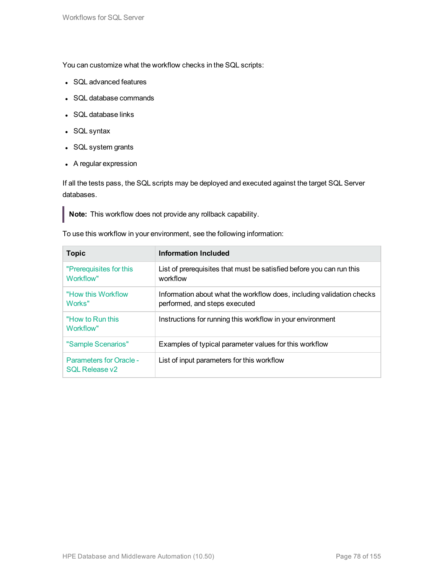You can customize what the workflow checks in the SQL scripts:

- SQL advanced features
- SQL database commands
- SQL database links
- SQL syntax
- SQL system grants
- A regular expression

If all the tests pass, the SQL scripts may be deployed and executed against the target SQL Server databases.

**Note:** This workflow does not provide any rollback capability.

To use this workflow in your environment, see the following information:

| <b>Topic</b>                              | Information Included                                                                                   |
|-------------------------------------------|--------------------------------------------------------------------------------------------------------|
| "Prerequisites for this<br>Workflow"      | List of prerequisites that must be satisfied before you can run this<br>workflow                       |
| "How this Workflow"<br>Works"             | Information about what the workflow does, including validation checks<br>performed, and steps executed |
| "How to Run this<br>Workflow"             | Instructions for running this workflow in your environment                                             |
| "Sample Scenarios"                        | Examples of typical parameter values for this workflow                                                 |
| Parameters for Oracle -<br>SQL Release v2 | List of input parameters for this workflow                                                             |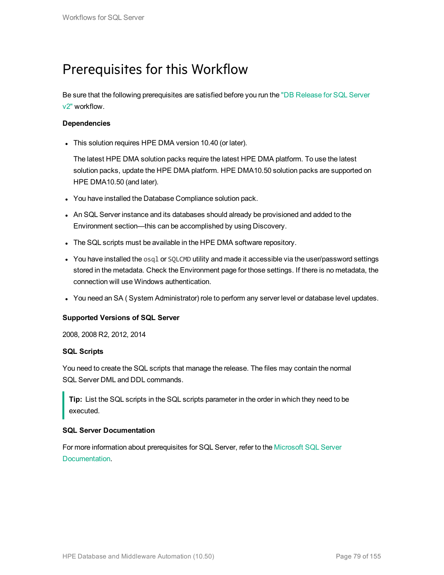### <span id="page-78-0"></span>Prerequisites for this Workflow

Be sure that the following prerequisites are satisfied before you run the "DB [Release](#page-75-0) for SQL Server [v2"](#page-75-0) workflow.

#### **Dependencies**

• This solution requires HPE DMA version 10.40 (or later).

The latest HPE DMA solution packs require the latest HPE DMA platform. To use the latest solution packs, update the HPE DMA platform. HPE DMA10.50 solution packs are supported on HPE DMA10.50 (and later).

- You have installed the Database Compliance solution pack.
- An SQL Server instance and its databases should already be provisioned and added to the Environment section—this can be accomplished by using Discovery.
- The SQL scripts must be available in the HPE DMA software repository.
- You have installed the osql or SQLCMD utility and made it accessible via the user/password settings stored in the metadata. Check the Environment page for those settings. If there is no metadata, the connection will use Windows authentication.
- You need an SA ( System Administrator) role to perform any server level or database level updates.

#### **Supported Versions of SQL Server**

2008, 2008 R2, 2012, 2014

#### **SQL Scripts**

You need to create the SQL scripts that manage the release. The files may contain the normal SQL Server DML and DDL commands.

**Tip:** List the SQL scripts in the SQL scripts parameter in the order in which they need to be executed.

#### **SQL Server Documentation**

For more information about prerequisites for SQL Server, refer to the [Microsoft SQL Server](http://msdn.microsoft.com/en-us/library) [Documentation](http://msdn.microsoft.com/en-us/library).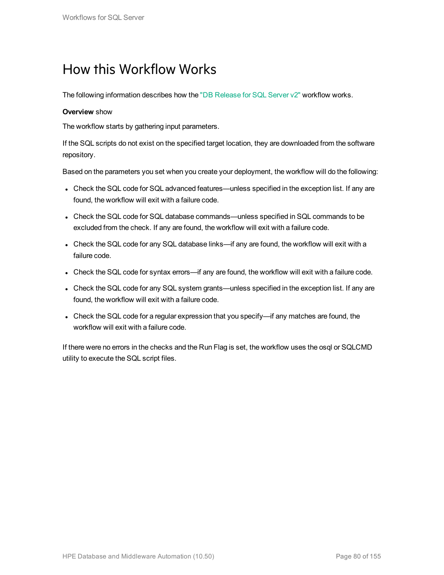### <span id="page-79-0"></span>How this Workflow Works

The following information describes how the "DB [Release](#page-75-0) for SQL Server v2" workflow works.

#### **Overview** show

The workflow starts by gathering input parameters.

If the SQL scripts do not exist on the specified target location, they are downloaded from the software repository.

Based on the parameters you set when you create your deployment, the workflow will do the following:

- Check the SQL code for SQL advanced features—unless specified in the exception list. If any are found, the workflow will exit with a failure code.
- Check the SQL code for SQL database commands—unless specified in SQL commands to be excluded from the check. If any are found, the workflow will exit with a failure code.
- Check the SQL code for any SQL database links—if any are found, the workflow will exit with a failure code.
- Check the SQL code for syntax errors—if any are found, the workflow will exit with a failure code.
- Check the SQL code for any SQL system grants—unless specified in the exception list. If any are found, the workflow will exit with a failure code.
- Check the SQL code for a regular expression that you specify—if any matches are found, the workflow will exit with a failure code.

If there were no errors in the checks and the Run Flag is set, the workflow uses the osql or SQLCMD utility to execute the SQL script files.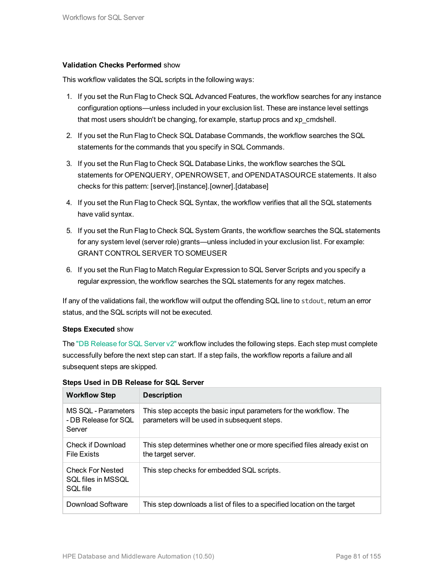#### **Validation Checks Performed** show

This workflow validates the SQL scripts in the following ways:

- 1. If you set the Run Flag to Check SQL Advanced Features, the workflow searches for any instance configuration options—unless included in your exclusion list. These are instance level settings that most users shouldn't be changing, for example, startup procs and xp\_cmdshell.
- 2. If you set the Run Flag to Check SQL Database Commands, the workflow searches the SQL statements for the commands that you specify in SQL Commands.
- 3. If you set the Run Flag to Check SQL Database Links, the workflow searches the SQL statements for OPENQUERY, OPENROWSET, and OPENDATASOURCE statements. It also checks for this pattern: [server].[instance].[owner].[database]
- 4. If you set the Run Flag to Check SQL Syntax, the workflow verifies that all the SQL statements have valid syntax.
- 5. If you set the Run Flag to Check SQL System Grants, the workflow searches the SQL statements for any system level (server role) grants—unless included in your exclusion list. For example: GRANT CONTROL SERVER TO SOMEUSER
- 6. If you set the Run Flag to Match Regular Expression to SQL Server Scripts and you specify a regular expression, the workflow searches the SQL statements for any regex matches.

If any of the validations fail, the workflow will output the offending SQL line to stdout, return an error status, and the SQL scripts will not be executed.

#### **Steps Executed** show

The "DB [Release](#page-75-0) for SQL Server v2" workflow includes the following steps. Each step must complete successfully before the next step can start. If a step fails, the workflow reports a failure and all subsequent steps are skipped.

| <b>Workflow Step</b>                                  | <b>Description</b>                                                                                                 |
|-------------------------------------------------------|--------------------------------------------------------------------------------------------------------------------|
| MS SQL - Parameters<br>- DB Release for SQL<br>Server | This step accepts the basic input parameters for the workflow. The<br>parameters will be used in subsequent steps. |
| Check if Download<br><b>File Exists</b>               | This step determines whether one or more specified files already exist on<br>the target server.                    |
| Check For Nested<br>SQL files in MSSQL<br>SQL file    | This step checks for embedded SQL scripts.                                                                         |
| Download Software                                     | This step downloads a list of files to a specified location on the target                                          |

#### **Steps Used in DB Release for SQL Server**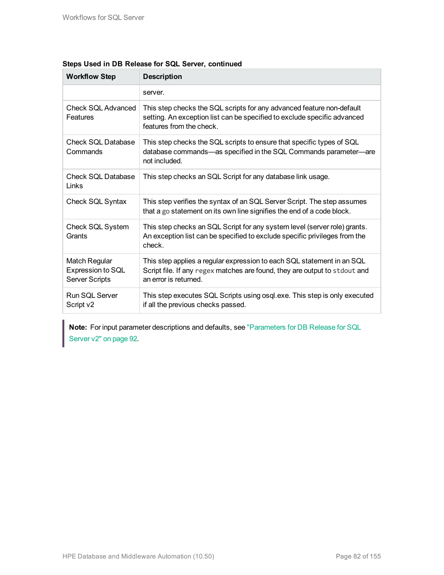| <b>Workflow Step</b>                                               | <b>Description</b>                                                                                                                                                            |
|--------------------------------------------------------------------|-------------------------------------------------------------------------------------------------------------------------------------------------------------------------------|
|                                                                    | server.                                                                                                                                                                       |
| Check SQL Advanced<br>Features                                     | This step checks the SQL scripts for any advanced feature non-default<br>setting. An exception list can be specified to exclude specific advanced<br>features from the check. |
| <b>Check SQL Database</b><br>Commands                              | This step checks the SQL scripts to ensure that specific types of SQL<br>database commands-as specified in the SQL Commands parameter-are<br>not included.                    |
| <b>Check SQL Database</b><br>Links                                 | This step checks an SQL Script for any database link usage.                                                                                                                   |
| Check SQL Syntax                                                   | This step verifies the syntax of an SQL Server Script. The step assumes<br>that a go statement on its own line signifies the end of a code block.                             |
| Check SQL System<br>Grants                                         | This step checks an SQL Script for any system level (server role) grants.<br>An exception list can be specified to exclude specific privileges from the<br>check.             |
| <b>Match Regular</b><br>Expression to SQL<br><b>Server Scripts</b> | This step applies a regular expression to each SQL statement in an SQL<br>Script file. If any regex matches are found, they are output to stdout and<br>an error is returned. |
| Run SQL Server<br>Script v2                                        | This step executes SQL Scripts using osql.exe. This step is only executed<br>if all the previous checks passed.                                                               |

#### **Steps Used in DB Release for SQL Server, continued**

**Note:** For input parameter descriptions and defaults, see ["Parameters](#page-91-0) for DB Release for SQL [Server](#page-91-0) v2" on page 92.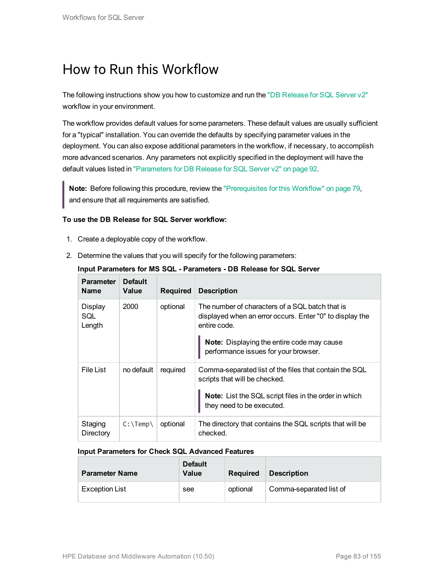### <span id="page-82-0"></span>How to Run this Workflow

The following instructions show you how to customize and run the "DB [Release](#page-75-0) for SQL Server v2" workflow in your environment.

The workflow provides default values for some parameters. These default values are usually sufficient for a "typical" installation. You can override the defaults by specifying parameter values in the deployment. You can also expose additional parameters in the workflow, if necessary, to accomplish more advanced scenarios. Any parameters not explicitly specified in the deployment will have the default values listed in ["Parameters](#page-91-0) for DB Release for SQL Server v2" on page 92.

**Note:** Before following this procedure, review the ["Prerequisites](#page-78-0) for this Workflow" on page 79, and ensure that all requirements are satisfied.

#### **To use the DB Release for SQL Server workflow:**

- 1. Create a deployable copy of the workflow.
- 2. Determine the values that you will specify for the following parameters:

| <b>Parameter</b><br><b>Name</b> | <b>Default</b><br>Value | <b>Required</b> | <b>Description</b>                                                                                                                                                                                                |
|---------------------------------|-------------------------|-----------------|-------------------------------------------------------------------------------------------------------------------------------------------------------------------------------------------------------------------|
| Display<br>SQL<br>Length        | 2000                    | optional        | The number of characters of a SQL batch that is<br>displayed when an error occurs. Enter "0" to display the<br>entire code.<br>Note: Displaying the entire code may cause<br>performance issues for your browser. |
| File List                       | no default              | required        | Comma-separated list of the files that contain the SQL<br>scripts that will be checked.<br>Note: List the SQL script files in the order in which<br>they need to be executed.                                     |
| Staging<br>Directory            | $C:\Temp\$              | optional        | The directory that contains the SQL scripts that will be<br>checked.                                                                                                                                              |

#### **Input Parameters for MS SQL - Parameters - DB Release for SQL Server**

#### **Input Parameters for Check SQL Advanced Features**

| <b>Parameter Name</b> | <b>Default</b><br>Value | <b>Required</b> | <b>Description</b>      |
|-----------------------|-------------------------|-----------------|-------------------------|
| <b>Exception List</b> | see                     | optional        | Comma-separated list of |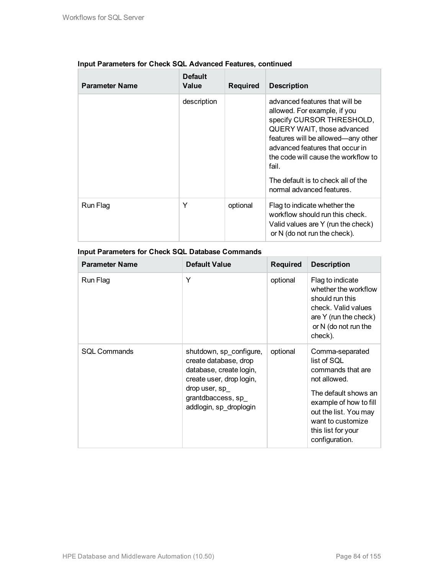| <b>Parameter Name</b> | <b>Default</b><br>Value | <b>Required</b> | <b>Description</b>                                                                                                                                                                                                                                                                                                    |
|-----------------------|-------------------------|-----------------|-----------------------------------------------------------------------------------------------------------------------------------------------------------------------------------------------------------------------------------------------------------------------------------------------------------------------|
|                       | description             |                 | advanced features that will be<br>allowed. For example, if you<br>specify CURSOR THRESHOLD,<br>QUERY WAIT, those advanced<br>features will be allowed-any other<br>advanced features that occur in<br>the code will cause the workflow to<br>fail.<br>The default is to check all of the<br>normal advanced features. |
| Run Flag              | Υ                       | optional        | Flag to indicate whether the<br>workflow should run this check.<br>Valid values are Y (run the check)<br>or N (do not run the check).                                                                                                                                                                                 |

#### **Input Parameters for Check SQL Advanced Features, continued**

#### **Input Parameters for Check SQL Database Commands**

| <b>Parameter Name</b> | <b>Default Value</b>                                                                                                                                                      | <b>Required</b> | <b>Description</b>                                                                                                                                                                                          |
|-----------------------|---------------------------------------------------------------------------------------------------------------------------------------------------------------------------|-----------------|-------------------------------------------------------------------------------------------------------------------------------------------------------------------------------------------------------------|
| Run Flag              | Y                                                                                                                                                                         | optional        | Flag to indicate<br>whether the workflow<br>should run this<br>check. Valid values<br>are Y (run the check)<br>or N (do not run the<br>check).                                                              |
| <b>SQL Commands</b>   | shutdown, sp configure,<br>create database, drop<br>database, create login,<br>create user, drop login,<br>drop user, sp_<br>grantdbaccess, sp_<br>addlogin, sp_droplogin | optional        | Comma-separated<br>list of SQL<br>commands that are<br>not allowed.<br>The default shows an<br>example of how to fill<br>out the list. You may<br>want to customize<br>this list for your<br>configuration. |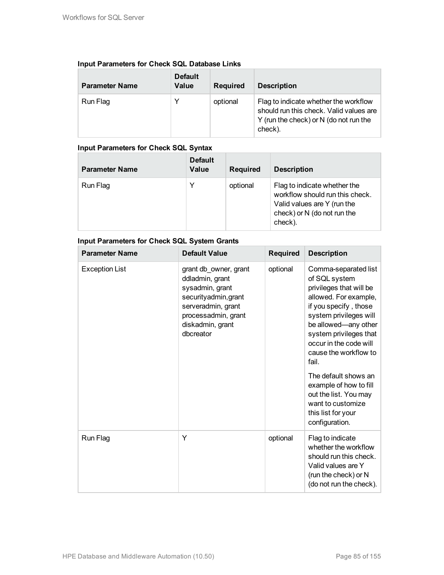| Input Parameters for Check SQL Database Links |  |  |  |  |
|-----------------------------------------------|--|--|--|--|
|-----------------------------------------------|--|--|--|--|

| <b>Parameter Name</b> | <b>Default</b><br>Value | <b>Required</b> | <b>Description</b>                                                                                                                    |
|-----------------------|-------------------------|-----------------|---------------------------------------------------------------------------------------------------------------------------------------|
| Run Flag              | Y                       | optional        | Flag to indicate whether the workflow<br>should run this check. Valid values are<br>Y (run the check) or N (do not run the<br>check). |

#### **Input Parameters for Check SQL Syntax**

| <b>Parameter Name</b> | <b>Default</b><br>Value | <b>Required</b> | <b>Description</b>                                                                                                                       |
|-----------------------|-------------------------|-----------------|------------------------------------------------------------------------------------------------------------------------------------------|
| Run Flag              | Y                       | optional        | Flag to indicate whether the<br>workflow should run this check.<br>Valid values are Y (run the<br>check) or N (do not run the<br>check). |

#### **Input Parameters for Check SQL System Grants**

| <b>Parameter Name</b> | <b>Default Value</b>                                                                                                                                              | <b>Required</b> | <b>Description</b>                                                                                                                                                                                                                                                                 |
|-----------------------|-------------------------------------------------------------------------------------------------------------------------------------------------------------------|-----------------|------------------------------------------------------------------------------------------------------------------------------------------------------------------------------------------------------------------------------------------------------------------------------------|
| <b>Exception List</b> | grant db_owner, grant<br>ddladmin, grant<br>sysadmin, grant<br>securityadmin, grant<br>serveradmin, grant<br>processadmin, grant<br>diskadmin, grant<br>dbcreator | optional        | Comma-separated list<br>of SQL system<br>privileges that will be<br>allowed. For example,<br>if you specify, those<br>system privileges will<br>be allowed-any other<br>system privileges that<br>occur in the code will<br>cause the workflow to<br>fail.<br>The default shows an |
|                       |                                                                                                                                                                   |                 | example of how to fill<br>out the list. You may<br>want to customize<br>this list for your<br>configuration.                                                                                                                                                                       |
| Run Flag              | Y                                                                                                                                                                 | optional        | Flag to indicate<br>whether the workflow<br>should run this check.<br>Valid values are Y<br>(run the check) or N<br>(do not run the check).                                                                                                                                        |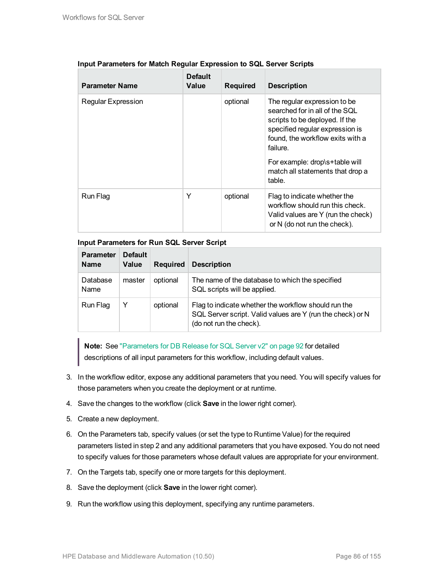| <b>Parameter Name</b>     | <b>Default</b><br>Value | <b>Required</b> | <b>Description</b>                                                                                                                                                                                                                                                  |
|---------------------------|-------------------------|-----------------|---------------------------------------------------------------------------------------------------------------------------------------------------------------------------------------------------------------------------------------------------------------------|
| <b>Regular Expression</b> |                         | optional        | The regular expression to be<br>searched for in all of the SQL<br>scripts to be deployed. If the<br>specified regular expression is<br>found, the workflow exits with a<br>failure.<br>For example: drop\s+table will<br>match all statements that drop a<br>table. |
| Run Flag                  | Y                       | optional        | Flag to indicate whether the<br>workflow should run this check.<br>Valid values are Y (run the check)<br>or N (do not run the check).                                                                                                                               |

#### **Input Parameters for Match Regular Expression to SQL Server Scripts**

#### **Input Parameters for Run SQL Server Script**

| <b>Parameter</b><br><b>Name</b> | <b>Default</b><br>Value | <b>Required</b> | <b>Description</b>                                                                                                                            |
|---------------------------------|-------------------------|-----------------|-----------------------------------------------------------------------------------------------------------------------------------------------|
| Database<br>Name                | master                  | optional        | The name of the database to which the specified<br>SQL scripts will be applied.                                                               |
| Run Flag                        |                         | optional        | Flag to indicate whether the workflow should run the<br>SQL Server script. Valid values are Y (run the check) or N<br>(do not run the check). |

**Note:** See ["Parameters](#page-91-0) for DB Release for SQL Server v2" on page 92 for detailed descriptions of all input parameters for this workflow, including default values.

- 3. In the workflow editor, expose any additional parameters that you need. You will specify values for those parameters when you create the deployment or at runtime.
- 4. Save the changes to the workflow (click **Save** in the lower right corner).
- 5. Create a new deployment.
- 6. On the Parameters tab, specify values (or set the type to Runtime Value) for the required parameters listed in step 2 and any additional parameters that you have exposed. You do not need to specify values for those parameters whose default values are appropriate for your environment.
- 7. On the Targets tab, specify one or more targets for this deployment.
- 8. Save the deployment (click **Save** in the lower right corner).
- 9. Run the workflow using this deployment, specifying any runtime parameters.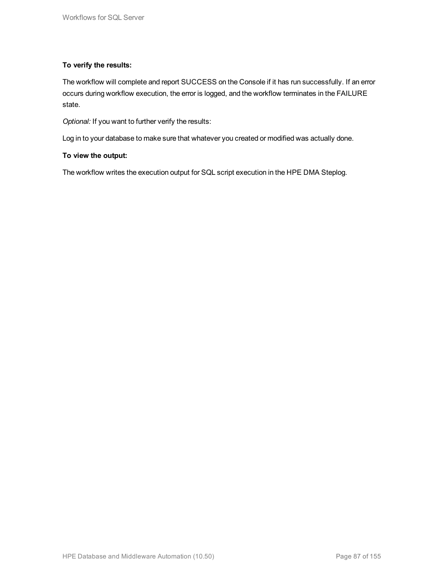#### **To verify the results:**

The workflow will complete and report SUCCESS on the Console if it has run successfully. If an error occurs during workflow execution, the error is logged, and the workflow terminates in the FAILURE state.

*Optional:* If you want to further verify the results:

Log in to your database to make sure that whatever you created or modified was actually done.

#### **To view the output:**

The workflow writes the execution output for SQL script execution in the HPE DMA Steplog.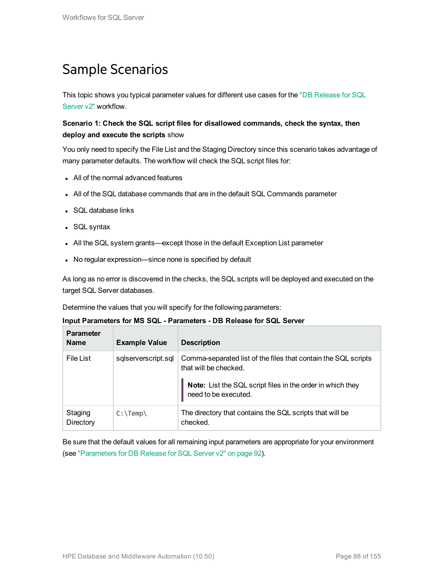# <span id="page-87-0"></span>Sample Scenarios

This topic shows you typical parameter values for different use cases for the "DB [Release](#page-75-0) for SQL [Server](#page-75-0) v2" workflow.

#### **Scenario 1: Check the SQL script files for disallowed commands, check the syntax, then deploy and execute the scripts** show

You only need to specify the File List and the Staging Directory since this scenario takes advantage of many parameter defaults. The workflow will check the SQL script files for:

- All of the normal advanced features
- All of the SQL database commands that are in the default SQL Commands parameter
- SQL database links
- SQL syntax
- All the SQL system grants—except those in the default Exception List parameter
- No regular expression—since none is specified by default

As long as no error is discovered in the checks, the SQL scripts will be deployed and executed on the target SQL Server databases.

Determine the values that you will specify for the following parameters:

|  |  |  |  | Input Parameters for MS SQL - Parameters - DB Release for SQL Server |  |  |  |  |  |
|--|--|--|--|----------------------------------------------------------------------|--|--|--|--|--|
|--|--|--|--|----------------------------------------------------------------------|--|--|--|--|--|

| <b>Parameter</b><br><b>Name</b> | <b>Example Value</b> | <b>Description</b>                                                                      |
|---------------------------------|----------------------|-----------------------------------------------------------------------------------------|
| File List                       | sqlserverscript.sql  | Comma-separated list of the files that contain the SQL scripts<br>that will be checked. |
|                                 |                      | Note: List the SQL script files in the order in which they<br>need to be executed.      |
| Staging<br>Directory            | $C:\Temp\$           | The directory that contains the SQL scripts that will be<br>checked.                    |

Be sure that the default values for all remaining input parameters are appropriate for your environment (see ["Parameters](#page-91-0) for DB Release for SQL Server v2" on page 92).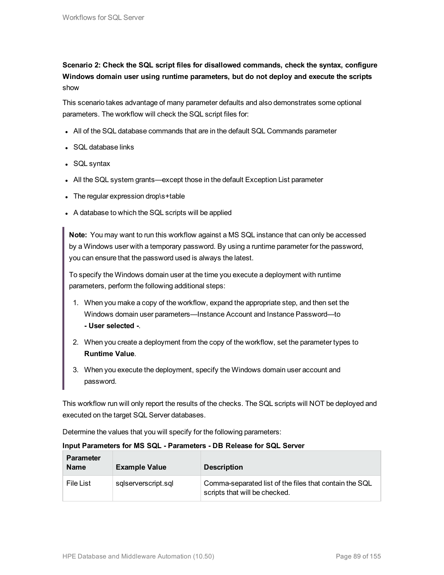#### **Scenario 2: Check the SQL script files for disallowed commands, check the syntax, configure Windows domain user using runtime parameters, but do not deploy and execute the scripts** show

This scenario takes advantage of many parameter defaults and also demonstrates some optional parameters. The workflow will check the SQL script files for:

- All of the SQL database commands that are in the default SQL Commands parameter
- SQL database links
- SQL syntax
- All the SQL system grants—except those in the default Exception List parameter
- $\bullet$  The regular expression drop\s+table
- A database to which the SQL scripts will be applied

**Note:** You may want to run this workflow against a MS SQL instance that can only be accessed by a Windows user with a temporary password. By using a runtime parameter for the password, you can ensure that the password used is always the latest.

To specify the Windows domain user at the time you execute a deployment with runtime parameters, perform the following additional steps:

- 1. When you make a copy of the workflow, expand the appropriate step, and then set the Windows domain user parameters—Instance Account and Instance Password—to **- User selected -**.
- 2. When you create a deployment from the copy of the workflow, set the parameter types to **Runtime Value**.
- 3. When you execute the deployment, specify the Windows domain user account and password.

This workflow run will only report the results of the checks. The SQL scripts will NOT be deployed and executed on the target SQL Server databases.

Determine the values that you will specify for the following parameters:

#### **Input Parameters for MS SQL - Parameters - DB Release for SQL Server**

| <b>Parameter</b><br><b>Name</b> | <b>Example Value</b> | <b>Description</b>                                                                      |
|---------------------------------|----------------------|-----------------------------------------------------------------------------------------|
| File List                       | sqlserverscript.sql  | Comma-separated list of the files that contain the SQL<br>scripts that will be checked. |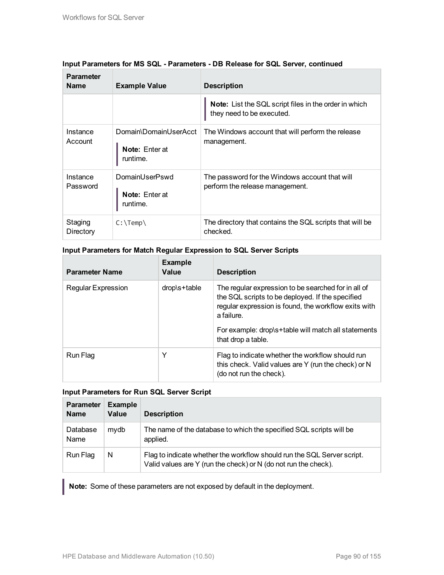| <b>Parameter</b><br><b>Name</b> | <b>Example Value</b>                                | <b>Description</b>                                                                 |
|---------------------------------|-----------------------------------------------------|------------------------------------------------------------------------------------|
|                                 |                                                     | Note: List the SQL script files in the order in which<br>they need to be executed. |
| Instance<br>Account             | Domain\DomainUserAcct<br>Note: Enter at<br>runtime. | The Windows account that will perform the release<br>management.                   |
| Instance<br>Password            | DomainUserPswd<br>Note: Enter at<br>runtime.        | The password for the Windows account that will<br>perform the release management.  |
| Staging<br>Directory            | $C:\$ Temp                                          | The directory that contains the SQL scripts that will be<br>checked.               |

#### **Input Parameters for MS SQL - Parameters - DB Release for SQL Server, continued**

#### **Input Parameters for Match Regular Expression to SQL Server Scripts**

| <b>Parameter Name</b>     | <b>Example</b><br>Value | <b>Description</b>                                                                                                                                                                                                                                         |
|---------------------------|-------------------------|------------------------------------------------------------------------------------------------------------------------------------------------------------------------------------------------------------------------------------------------------------|
| <b>Regular Expression</b> | drop\s+table            | The regular expression to be searched for in all of<br>the SQL scripts to be deployed. If the specified<br>regular expression is found, the workflow exits with<br>a failure.<br>For example: drop\s+table will match all statements<br>that drop a table. |
| Run Flag                  | Y                       | Flag to indicate whether the workflow should run<br>this check. Valid values are Y (run the check) or N<br>(do not run the check).                                                                                                                         |

#### **Input Parameters for Run SQL Server Script**

| <b>Parameter</b><br><b>Name</b> | <b>Example</b><br>Value | <b>Description</b>                                                                                                                         |
|---------------------------------|-------------------------|--------------------------------------------------------------------------------------------------------------------------------------------|
| Database<br>Name                | mydb                    | The name of the database to which the specified SQL scripts will be<br>applied.                                                            |
| Run Flag                        | N                       | Flag to indicate whether the workflow should run the SQL Server script.<br>Valid values are Y (run the check) or N (do not run the check). |

**Note:** Some of these parameters are not exposed by default in the deployment.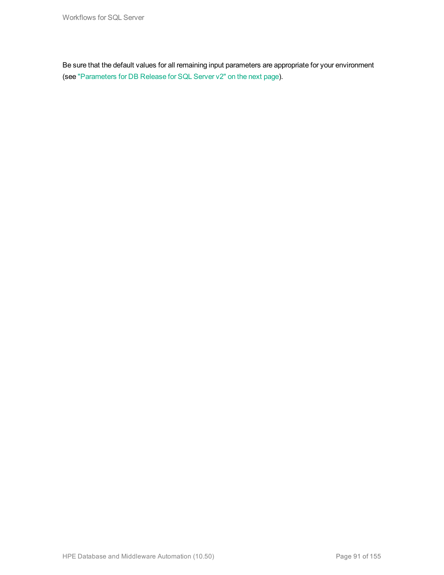Be sure that the default values for all remaining input parameters are appropriate for your environment (see ["Parameters](#page-91-0) for DB Release for SQL Server v2" on the next page).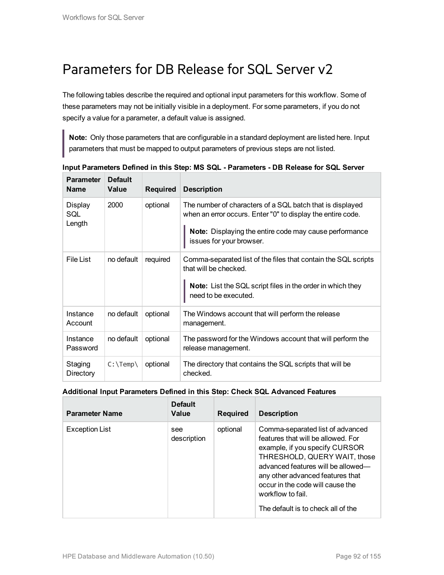### <span id="page-91-0"></span>Parameters for DB Release for SQL Server v2

The following tables describe the required and optional input parameters for this workflow. Some of these parameters may not be initially visible in a deployment. For some parameters, if you do not specify a value for a parameter, a default value is assigned.

**Note:** Only those parameters that are configurable in a standard deployment are listed here. Input parameters that must be mapped to output parameters of previous steps are not listed.

|  | <b>Parameter</b><br><b>Name</b> | <b>Default</b><br>Value | <b>Required</b> | <b>Description</b>                                                                                                       |
|--|---------------------------------|-------------------------|-----------------|--------------------------------------------------------------------------------------------------------------------------|
|  | Display<br>SQL                  | 2000                    | optional        | The number of characters of a SQL batch that is displayed<br>when an error occurs. Enter "0" to display the entire code. |
|  | Length                          |                         |                 | Note: Displaying the entire code may cause performance<br>issues for your browser.                                       |
|  | <b>File List</b>                | no default              | required        | Comma-separated list of the files that contain the SQL scripts<br>that will be checked.                                  |
|  |                                 |                         |                 | <b>Note:</b> List the SQL script files in the order in which they<br>need to be executed.                                |
|  | Instance<br>Account             | no default              | optional        | The Windows account that will perform the release<br>management.                                                         |
|  | Instance<br>Password            | no default              | optional        | The password for the Windows account that will perform the<br>release management.                                        |
|  | Staging<br>Directory            | $C:\$ Temp              | optional        | The directory that contains the SQL scripts that will be<br>checked.                                                     |

**Input Parameters Defined in this Step: MS SQL - Parameters - DB Release for SQL Server**

#### **Additional Input Parameters Defined in this Step: Check SQL Advanced Features**

| <b>Parameter Name</b> | <b>Default</b><br>Value | <b>Required</b> | <b>Description</b>                                                                                                                                                                                                                                                                                                |
|-----------------------|-------------------------|-----------------|-------------------------------------------------------------------------------------------------------------------------------------------------------------------------------------------------------------------------------------------------------------------------------------------------------------------|
| <b>Exception List</b> | see<br>description      | optional        | Comma-separated list of advanced<br>features that will be allowed. For<br>example, if you specify CURSOR<br>THRESHOLD, QUERY WAIT, those<br>advanced features will be allowed—<br>any other advanced features that<br>occur in the code will cause the<br>workflow to fail.<br>The default is to check all of the |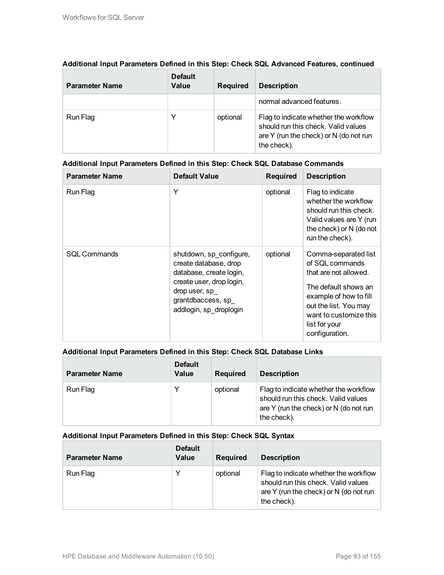| <b>Parameter Name</b> | <b>Default</b><br>Value | <b>Required</b> | <b>Description</b>                                                                                                                    |
|-----------------------|-------------------------|-----------------|---------------------------------------------------------------------------------------------------------------------------------------|
|                       |                         |                 | normal advanced features.                                                                                                             |
| Run Flag              | Y                       | optional        | Flag to indicate whether the workflow<br>should run this check. Valid values<br>are Y (run the check) or N (do not run<br>the check). |

#### **Additional Input Parameters Defined in this Step: Check SQL Advanced Features, continued**

#### **Additional Input Parameters Defined in this Step: Check SQL Database Commands**

| <b>Parameter Name</b> | <b>Default Value</b>                                                                                                                                                      | <b>Required</b> | <b>Description</b>                                                                                                                                                                                       |
|-----------------------|---------------------------------------------------------------------------------------------------------------------------------------------------------------------------|-----------------|----------------------------------------------------------------------------------------------------------------------------------------------------------------------------------------------------------|
| Run Flag              | Y                                                                                                                                                                         | optional        | Flag to indicate<br>whether the workflow<br>should run this check.<br>Valid values are Y (run<br>the check) or N (do not<br>run the check).                                                              |
| <b>SQL Commands</b>   | shutdown, sp_configure,<br>create database, drop<br>database, create login,<br>create user, drop login,<br>drop user, sp_<br>grantdbaccess, sp_<br>addlogin, sp_droplogin | optional        | Comma-separated list<br>of SQL commands<br>that are not allowed.<br>The default shows an<br>example of how to fill<br>out the list. You may<br>want to customize this<br>list for your<br>configuration. |

#### **Additional Input Parameters Defined in this Step: Check SQL Database Links**

| <b>Parameter Name</b> | <b>Default</b><br>Value | <b>Required</b> | <b>Description</b>                                                                                                                    |
|-----------------------|-------------------------|-----------------|---------------------------------------------------------------------------------------------------------------------------------------|
| Run Flag              | $\check{ }$             | optional        | Flag to indicate whether the workflow<br>should run this check. Valid values<br>are Y (run the check) or N (do not run<br>the check). |

#### **Additional Input Parameters Defined in this Step: Check SQL Syntax**

| <b>Parameter Name</b> | <b>Default</b><br>Value | <b>Required</b> | <b>Description</b>                                                                                                                    |
|-----------------------|-------------------------|-----------------|---------------------------------------------------------------------------------------------------------------------------------------|
| Run Flag              | $\checkmark$            | optional        | Flag to indicate whether the workflow<br>should run this check. Valid values<br>are Y (run the check) or N (do not run<br>the check). |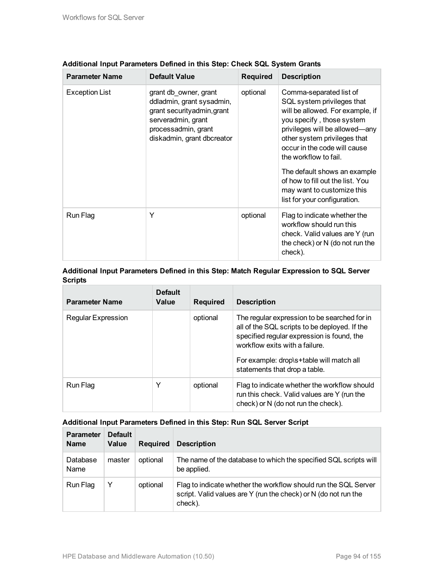| <b>Parameter Name</b> | <b>Default Value</b>                                                                                                                                         | <b>Required</b> | <b>Description</b>                                                                                                                                                                                                                                                                                                                                                                  |
|-----------------------|--------------------------------------------------------------------------------------------------------------------------------------------------------------|-----------------|-------------------------------------------------------------------------------------------------------------------------------------------------------------------------------------------------------------------------------------------------------------------------------------------------------------------------------------------------------------------------------------|
| <b>Exception List</b> | grant db owner, grant<br>ddladmin, grant sysadmin,<br>grant security admin, grant<br>serveradmin, grant<br>processadmin, grant<br>diskadmin, grant dbcreator | optional        | Comma-separated list of<br>SQL system privileges that<br>will be allowed. For example, if<br>you specify, those system<br>privileges will be allowed—any<br>other system privileges that<br>occur in the code will cause<br>the workflow to fail.<br>The default shows an example<br>of how to fill out the list. You<br>may want to customize this<br>list for your configuration. |
| Run Flag              | Y                                                                                                                                                            | optional        | Flag to indicate whether the<br>workflow should run this<br>check. Valid values are Y (run<br>the check) or N (do not run the<br>check).                                                                                                                                                                                                                                            |

#### **Additional Input Parameters Defined in this Step: Check SQL System Grants**

#### **Additional Input Parameters Defined in this Step: Match Regular Expression to SQL Server Scripts**

| <b>Parameter Name</b>     | <b>Default</b><br>Value | <b>Required</b> | <b>Description</b>                                                                                                                                                                                                        |
|---------------------------|-------------------------|-----------------|---------------------------------------------------------------------------------------------------------------------------------------------------------------------------------------------------------------------------|
| <b>Regular Expression</b> | optional                |                 | The regular expression to be searched for in<br>all of the SQL scripts to be deployed. If the<br>specified regular expression is found, the<br>workflow exits with a failure.<br>For example: drop\s+table will match all |
|                           |                         |                 | statements that drop a table.                                                                                                                                                                                             |
| Run Flag                  | Y                       | optional        | Flag to indicate whether the workflow should<br>run this check. Valid values are Y (run the<br>check) or N (do not run the check).                                                                                        |

#### **Additional Input Parameters Defined in this Step: Run SQL Server Script**

| <b>Parameter</b><br><b>Name</b> | <b>Default</b><br>Value | <b>Required</b> | <b>Description</b>                                                                                                                            |
|---------------------------------|-------------------------|-----------------|-----------------------------------------------------------------------------------------------------------------------------------------------|
| Database<br>Name                | master                  | optional        | The name of the database to which the specified SQL scripts will<br>be applied.                                                               |
| Run Flag                        | Y                       | optional        | Flag to indicate whether the workflow should run the SQL Server<br>script. Valid values are Y (run the check) or N (do not run the<br>check). |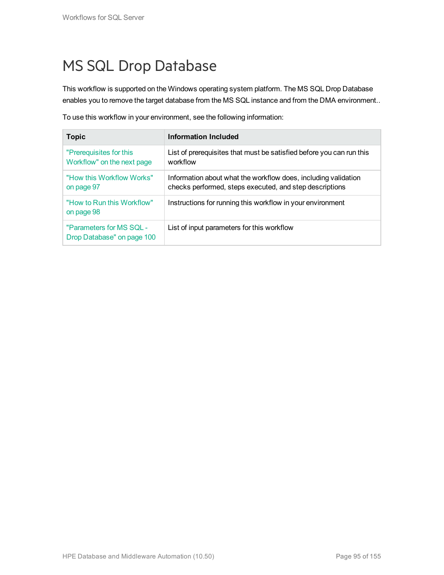# MS SQL Drop Database

This workflow is supported on the Windows operating system platform. The MS SQL Drop Database enables you to remove the target database from the MS SQL instance and from the DMA environment..

To use this workflow in your environment, see the following information:

| <b>Topic</b>                                           | <b>Information Included</b>                                                                                               |
|--------------------------------------------------------|---------------------------------------------------------------------------------------------------------------------------|
| "Prerequisites for this<br>Workflow" on the next page  | List of prerequisites that must be satisfied before you can run this<br>workflow                                          |
| "How this Workflow Works"<br>on page 97                | Information about what the workflow does, including validation<br>checks performed, steps executed, and step descriptions |
| "How to Run this Workflow"<br>on page 98               | Instructions for running this workflow in your environment                                                                |
| "Parameters for MS SQL -<br>Drop Database" on page 100 | List of input parameters for this workflow                                                                                |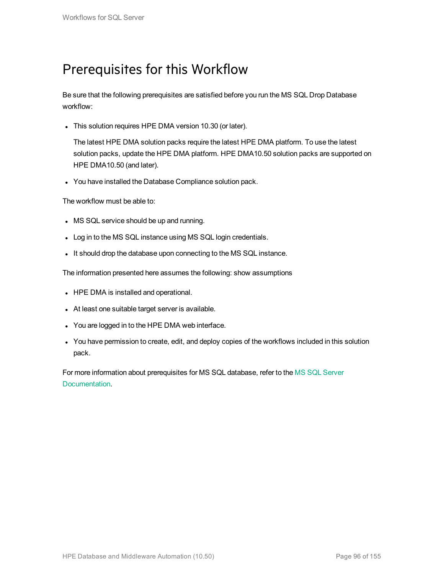### <span id="page-95-0"></span>Prerequisites for this Workflow

Be sure that the following prerequisites are satisfied before you run the MS SQL Drop Database workflow:

• This solution requires HPE DMA version 10.30 (or later).

The latest HPE DMA solution packs require the latest HPE DMA platform. To use the latest solution packs, update the HPE DMA platform. HPE DMA10.50 solution packs are supported on HPE DMA10.50 (and later).

• You have installed the Database Compliance solution pack.

The workflow must be able to:

- MS SQL service should be up and running.
- Log in to the MS SQL instance using MS SQL login credentials.
- It should drop the database upon connecting to the MS SQL instance.

The information presented here assumes the following: show assumptions

- HPE DMA is installed and operational.
- At least one suitable target server is available.
- You are logged in to the HPE DMA web interface.
- You have permission to create, edit, and deploy copies of the workflows included in this solution pack.

For more information about prerequisites for MS SQL database, refer to the [MS SQL Server](https://msdn.microsoft.com/en-us/library/bb545450.aspx) [Documentation](https://msdn.microsoft.com/en-us/library/bb545450.aspx).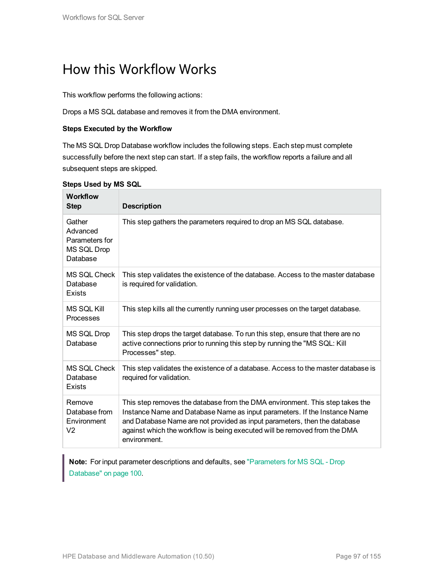### <span id="page-96-0"></span>How this Workflow Works

This workflow performs the following actions:

Drops a MS SQL database and removes it from the DMA environment.

#### **Steps Executed by the Workflow**

The MS SQL Drop Database workflow includes the following steps. Each step must complete successfully before the next step can start. If a step fails, the workflow reports a failure and all subsequent steps are skipped.

| <b>Workflow</b><br><b>Step</b>                                  | <b>Description</b>                                                                                                                                                                                                                                                                                                                  |
|-----------------------------------------------------------------|-------------------------------------------------------------------------------------------------------------------------------------------------------------------------------------------------------------------------------------------------------------------------------------------------------------------------------------|
| Gather<br>Advanced<br>Parameters for<br>MS SQL Drop<br>Database | This step gathers the parameters required to drop an MS SQL database.                                                                                                                                                                                                                                                               |
| MS SQL Check<br>Database<br>Exists                              | This step validates the existence of the database. Access to the master database<br>is required for validation.                                                                                                                                                                                                                     |
| <b>MS SQL Kill</b><br>Processes                                 | This step kills all the currently running user processes on the target database.                                                                                                                                                                                                                                                    |
| <b>MS SQL Drop</b><br>Database                                  | This step drops the target database. To run this step, ensure that there are no<br>active connections prior to running this step by running the "MS SQL: Kill<br>Processes" step.                                                                                                                                                   |
| MS SQL Check<br>Database<br><b>Exists</b>                       | This step validates the existence of a database. Access to the master database is<br>required for validation.                                                                                                                                                                                                                       |
| Remove<br>Database from<br>Environment<br>V <sub>2</sub>        | This step removes the database from the DMA environment. This step takes the<br>Instance Name and Database Name as input parameters. If the Instance Name<br>and Database Name are not provided as input parameters, then the database<br>against which the workflow is being executed will be removed from the DMA<br>environment. |

#### **Steps Used by MS SQL**

**Note:** For input parameter descriptions and defaults, see ["Parameters](#page-99-0) for MS SQL - Drop [Database"](#page-99-0) on page 100.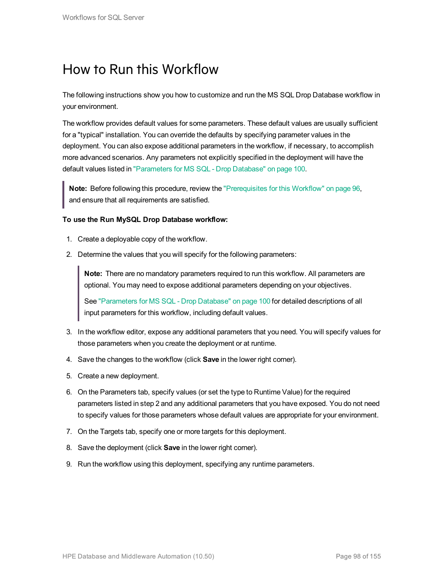### <span id="page-97-0"></span>How to Run this Workflow

The following instructions show you how to customize and run the MS SQL Drop Database workflow in your environment.

The workflow provides default values for some parameters. These default values are usually sufficient for a "typical" installation. You can override the defaults by specifying parameter values in the deployment. You can also expose additional parameters in the workflow, if necessary, to accomplish more advanced scenarios. Any parameters not explicitly specified in the deployment will have the default values listed in ["Parameters](#page-99-0) for MS SQL - Drop Database" on page 100.

**Note:** Before following this procedure, review the ["Prerequisites](#page-95-0) for this Workflow" on page 96, and ensure that all requirements are satisfied.

#### **To use the Run MySQL Drop Database workflow:**

- 1. Create a deployable copy of the workflow.
- 2. Determine the values that you will specify for the following parameters:

**Note:** There are no mandatory parameters required to run this workflow. All parameters are optional. You may need to expose additional parameters depending on your objectives.

See ["Parameters](#page-99-0) for MS SQL - Drop Database" on page 100 for detailed descriptions of all input parameters for this workflow, including default values.

- 3. In the workflow editor, expose any additional parameters that you need. You will specify values for those parameters when you create the deployment or at runtime.
- 4. Save the changes to the workflow (click **Save** in the lower right corner).
- 5. Create a new deployment.
- 6. On the Parameters tab, specify values (or set the type to Runtime Value) for the required parameters listed in step 2 and any additional parameters that you have exposed. You do not need to specify values for those parameters whose default values are appropriate for your environment.
- 7. On the Targets tab, specify one or more targets for this deployment.
- 8. Save the deployment (click **Save** in the lower right corner).
- 9. Run the workflow using this deployment, specifying any runtime parameters.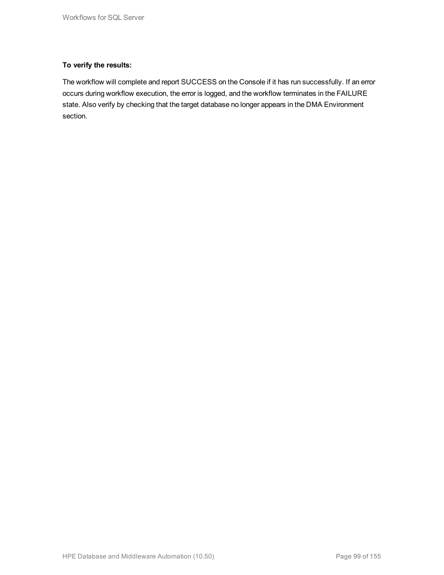#### **To verify the results:**

The workflow will complete and report SUCCESS on the Console if it has run successfully. If an error occurs during workflow execution, the error is logged, and the workflow terminates in the FAILURE state. Also verify by checking that the target database no longer appears in the DMA Environment section.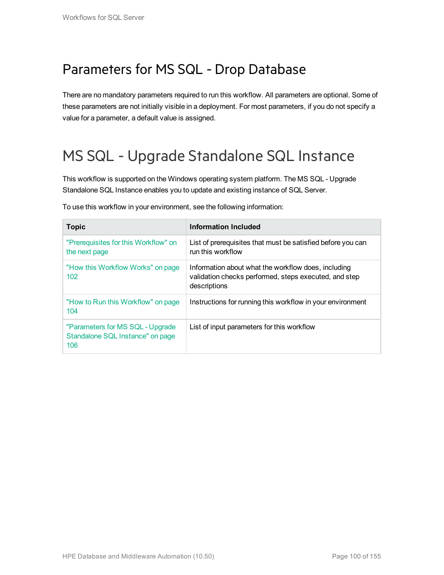### <span id="page-99-0"></span>Parameters for MS SQL - Drop Database

There are no mandatory parameters required to run this workflow. All parameters are optional. Some of these parameters are not initially visible in a deployment. For most parameters, if you do not specify a value for a parameter, a default value is assigned.

# MS SQL - Upgrade Standalone SQL Instance

This workflow is supported on the Windows operating system platform. The MS SQL - Upgrade Standalone SQL Instance enables you to update and existing instance of SQL Server.

| <b>Topic</b>                                                                 | Information Included                                                                                                         |  |
|------------------------------------------------------------------------------|------------------------------------------------------------------------------------------------------------------------------|--|
| "Prerequisites for this Workflow" on<br>the next page                        | List of prerequisites that must be satisfied before you can<br>run this workflow                                             |  |
| "How this Workflow Works" on page<br>102                                     | Information about what the workflow does, including<br>validation checks performed, steps executed, and step<br>descriptions |  |
| "How to Run this Workflow" on page<br>104                                    | Instructions for running this workflow in your environment                                                                   |  |
| "Parameters for MS SQL - Upgrade"<br>Standalone SQL Instance" on page<br>106 | List of input parameters for this workflow                                                                                   |  |

To use this workflow in your environment, see the following information: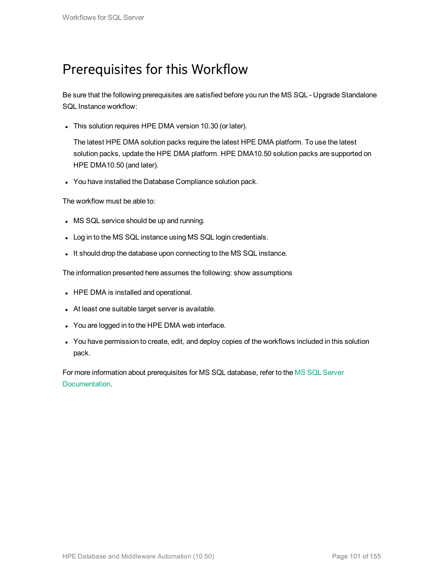### <span id="page-100-0"></span>Prerequisites for this Workflow

Be sure that the following prerequisites are satisfied before you run the MS SQL - Upgrade Standalone SQL Instance workflow:

• This solution requires HPE DMA version 10.30 (or later).

The latest HPE DMA solution packs require the latest HPE DMA platform. To use the latest solution packs, update the HPE DMA platform. HPE DMA10.50 solution packs are supported on HPE DMA10.50 (and later).

• You have installed the Database Compliance solution pack.

The workflow must be able to:

- MS SQL service should be up and running.
- Log in to the MS SQL instance using MS SQL login credentials.
- It should drop the database upon connecting to the MS SQL instance.

The information presented here assumes the following: show assumptions

- HPE DMA is installed and operational.
- At least one suitable target server is available.
- You are logged in to the HPE DMA web interface.
- You have permission to create, edit, and deploy copies of the workflows included in this solution pack.

For more information about prerequisites for MS SQL database, refer to the [MS SQL Server](https://msdn.microsoft.com/en-us/library/bb545450.aspx) [Documentation](https://msdn.microsoft.com/en-us/library/bb545450.aspx).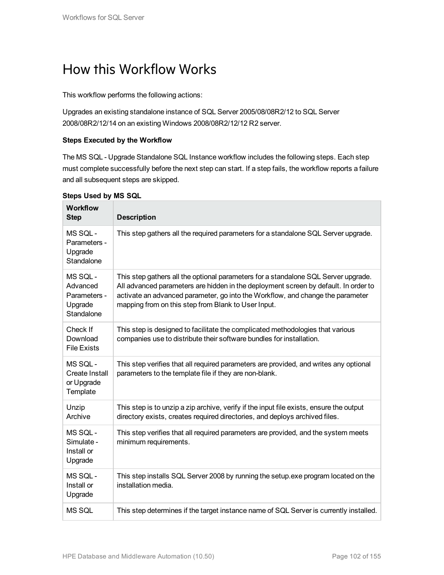### <span id="page-101-0"></span>How this Workflow Works

This workflow performs the following actions:

Upgrades an existing standalone instance of SQL Server 2005/08/08R2/12 to SQL Server 2008/08R2/12/14 on an existing Windows 2008/08R2/12/12 R2 server.

#### **Steps Executed by the Workflow**

The MS SQL - Upgrade Standalone SQL Instance workflow includes the following steps. Each step must complete successfully before the next step can start. If a step fails, the workflow reports a failure and all subsequent steps are skipped.

| <b>Workflow</b><br><b>Step</b>                                | <b>Description</b>                                                                                                                                                                                                                                                                                                 |
|---------------------------------------------------------------|--------------------------------------------------------------------------------------------------------------------------------------------------------------------------------------------------------------------------------------------------------------------------------------------------------------------|
| MS SQL -<br>Parameters -<br>Upgrade<br>Standalone             | This step gathers all the required parameters for a standalone SQL Server upgrade.                                                                                                                                                                                                                                 |
| MS SQL -<br>Advanced<br>Parameters -<br>Upgrade<br>Standalone | This step gathers all the optional parameters for a standalone SQL Server upgrade.<br>All advanced parameters are hidden in the deployment screen by default. In order to<br>activate an advanced parameter, go into the Workflow, and change the parameter<br>mapping from on this step from Blank to User Input. |
| Check If<br>Download<br><b>File Exists</b>                    | This step is designed to facilitate the complicated methodologies that various<br>companies use to distribute their software bundles for installation.                                                                                                                                                             |
| MS SQL -<br><b>Create Install</b><br>or Upgrade<br>Template   | This step verifies that all required parameters are provided, and writes any optional<br>parameters to the template file if they are non-blank.                                                                                                                                                                    |
| Unzip<br>Archive                                              | This step is to unzip a zip archive, verify if the input file exists, ensure the output<br>directory exists, creates required directories, and deploys archived files.                                                                                                                                             |
| MS SQL -<br>Simulate -<br>Install or<br>Upgrade               | This step verifies that all required parameters are provided, and the system meets<br>minimum requirements.                                                                                                                                                                                                        |
| MS SQL -<br>Install or<br>Upgrade                             | This step installs SQL Server 2008 by running the setup.exe program located on the<br>installation media.                                                                                                                                                                                                          |
| MS SQL                                                        | This step determines if the target instance name of SQL Server is currently installed.                                                                                                                                                                                                                             |

#### **Steps Used by MS SQL**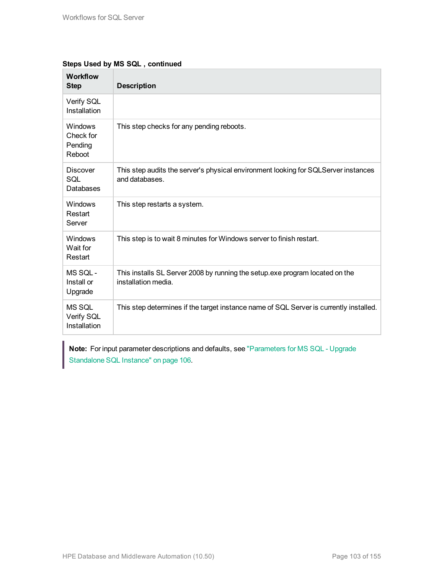| <b>Workflow</b><br><b>Step</b>                   | <b>Description</b>                                                                                   |
|--------------------------------------------------|------------------------------------------------------------------------------------------------------|
| Verify SQL<br>Installation                       |                                                                                                      |
| <b>Windows</b><br>Check for<br>Pending<br>Reboot | This step checks for any pending reboots.                                                            |
| Discover<br>SQL<br>Databases                     | This step audits the server's physical environment looking for SQLServer instances<br>and databases. |
| <b>Windows</b><br>Restart<br>Server              | This step restarts a system.                                                                         |
| <b>Windows</b><br>Wait for<br>Restart            | This step is to wait 8 minutes for Windows server to finish restart.                                 |
| MS SQL -<br>Install or<br>Upgrade                | This installs SL Server 2008 by running the setup.exe program located on the<br>installation media.  |
| MS SQL<br>Verify SQL<br>Installation             | This step determines if the target instance name of SQL Server is currently installed.               |

#### **Steps Used by MS SQL , continued**

**Note:** For input parameter descriptions and defaults, see ["Parameters](#page-105-0) for MS SQL - Upgrade [Standalone](#page-105-0) SQL Instance" on page 106.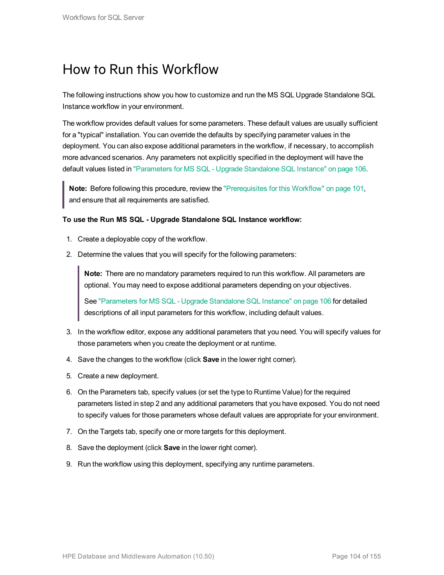### <span id="page-103-0"></span>How to Run this Workflow

The following instructions show you how to customize and run the MS SQL Upgrade Standalone SQL Instance workflow in your environment.

The workflow provides default values for some parameters. These default values are usually sufficient for a "typical" installation. You can override the defaults by specifying parameter values in the deployment. You can also expose additional parameters in the workflow, if necessary, to accomplish more advanced scenarios. Any parameters not explicitly specified in the deployment will have the default values listed in ["Parameters](#page-105-0) for MS SQL - Upgrade Standalone SQL Instance" on page 106.

**Note:** Before following this procedure, review the ["Prerequisites](#page-100-0) for this Workflow" on page 101, and ensure that all requirements are satisfied.

#### **To use the Run MS SQL - Upgrade Standalone SQL Instance workflow:**

- 1. Create a deployable copy of the workflow.
- 2. Determine the values that you will specify for the following parameters:

**Note:** There are no mandatory parameters required to run this workflow. All parameters are optional. You may need to expose additional parameters depending on your objectives.

See ["Parameters](#page-105-0) for MS SQL - Upgrade Standalone SQL Instance" on page 106 for detailed descriptions of all input parameters for this workflow, including default values.

- 3. In the workflow editor, expose any additional parameters that you need. You will specify values for those parameters when you create the deployment or at runtime.
- 4. Save the changes to the workflow (click **Save** in the lower right corner).
- 5. Create a new deployment.
- 6. On the Parameters tab, specify values (or set the type to Runtime Value) for the required parameters listed in step 2 and any additional parameters that you have exposed. You do not need to specify values for those parameters whose default values are appropriate for your environment.
- 7. On the Targets tab, specify one or more targets for this deployment.
- 8. Save the deployment (click **Save** in the lower right corner).
- 9. Run the workflow using this deployment, specifying any runtime parameters.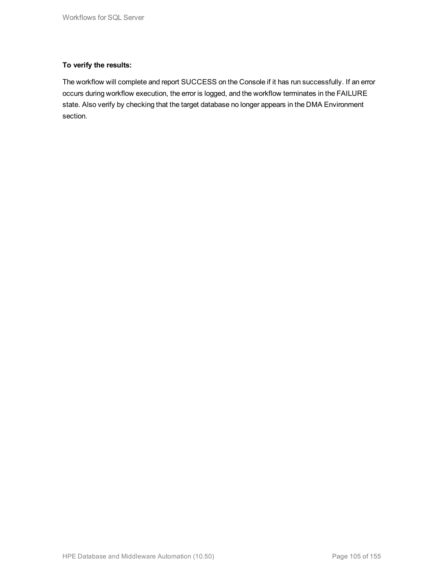#### **To verify the results:**

The workflow will complete and report SUCCESS on the Console if it has run successfully. If an error occurs during workflow execution, the error is logged, and the workflow terminates in the FAILURE state. Also verify by checking that the target database no longer appears in the DMA Environment section.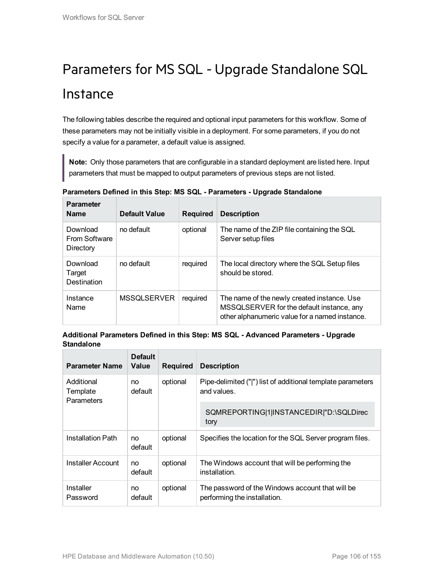# <span id="page-105-0"></span>Parameters for MS SQL - Upgrade Standalone SQL Instance

The following tables describe the required and optional input parameters for this workflow. Some of these parameters may not be initially visible in a deployment. For some parameters, if you do not specify a value for a parameter, a default value is assigned.

**Note:** Only those parameters that are configurable in a standard deployment are listed here. Input parameters that must be mapped to output parameters of previous steps are not listed.

| <b>Parameter</b><br><b>Name</b>        | <b>Default Value</b> | <b>Required</b> | <b>Description</b>                                                                                                                         |
|----------------------------------------|----------------------|-----------------|--------------------------------------------------------------------------------------------------------------------------------------------|
| Download<br>From Software<br>Directory | no default           | optional        | The name of the ZIP file containing the SQL<br>Server setup files                                                                          |
| Download<br>Target<br>Destination      | no default           | required        | The local directory where the SQL Setup files<br>should be stored.                                                                         |
| Instance<br>Name                       | <b>MSSQLSERVER</b>   | required        | The name of the newly created instance. Use<br>MSSQLSERVER for the default instance, any<br>other alphanumeric value for a named instance. |

**Parameters Defined in this Step: MS SQL - Parameters - Upgrade Standalone**

**Additional Parameters Defined in this Step: MS SQL - Advanced Parameters - Upgrade Standalone**

| <b>Parameter Name</b>                       | <b>Default</b><br>Value | <b>Required</b> | <b>Description</b>                                                               |
|---------------------------------------------|-------------------------|-----------------|----------------------------------------------------------------------------------|
| Additional<br>Template<br><b>Parameters</b> | no<br>default           | optional        | Pipe-delimited (" ") list of additional template parameters<br>and values.       |
|                                             |                         |                 | SQMREPORTING 1 INSTANCEDIR "D:\SQLDirec<br>tory                                  |
| Installation Path                           | no<br>default           | optional        | Specifies the location for the SQL Server program files.                         |
| Installer Account                           | no<br>default           | optional        | The Windows account that will be performing the<br>installation.                 |
| Installer<br>Password                       | no<br>default           | optional        | The password of the Windows account that will be<br>performing the installation. |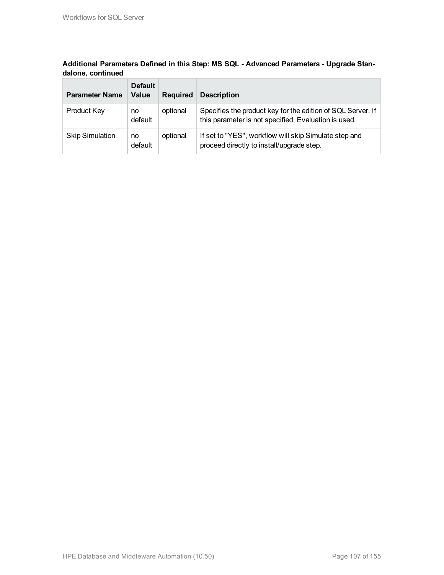#### **Additional Parameters Defined in this Step: MS SQL - Advanced Parameters - Upgrade Standalone, continued**

| <b>Parameter Name</b>  | <b>Default</b><br>Value | <b>Required</b> | <b>Description</b>                                                                                                  |
|------------------------|-------------------------|-----------------|---------------------------------------------------------------------------------------------------------------------|
| <b>Product Key</b>     | no<br>default           | optional        | Specifies the product key for the edition of SQL Server. If<br>this parameter is not specified, Evaluation is used. |
| <b>Skip Simulation</b> | no<br>default           | optional        | If set to "YES", workflow will skip Simulate step and<br>proceed directly to install/upgrade step.                  |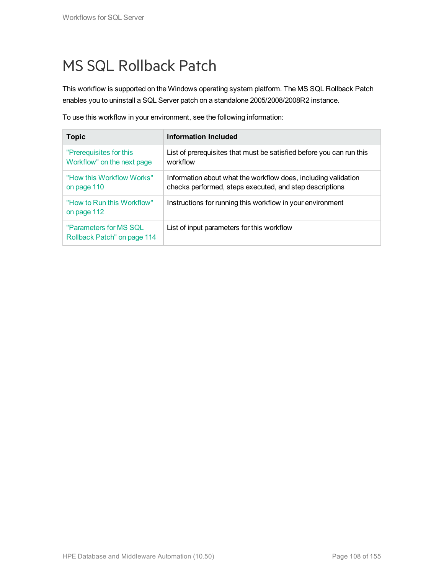# MS SQL Rollback Patch

This workflow is supported on the Windows operating system platform. The MS SQL Rollback Patch enables you to uninstall a SQL Server patch on a standalone 2005/2008/2008R2 instance.

To use this workflow in your environment, see the following information:

| <b>Topic</b>                                          | <b>Information Included</b>                                                                                               |
|-------------------------------------------------------|---------------------------------------------------------------------------------------------------------------------------|
| "Prerequisites for this<br>Workflow" on the next page | List of prerequisites that must be satisfied before you can run this<br>workflow                                          |
| "How this Workflow Works"<br>on page 110              | Information about what the workflow does, including validation<br>checks performed, steps executed, and step descriptions |
| "How to Run this Workflow"<br>on page 112             | Instructions for running this workflow in your environment                                                                |
| "Parameters for MS SQL<br>Rollback Patch" on page 114 | List of input parameters for this workflow                                                                                |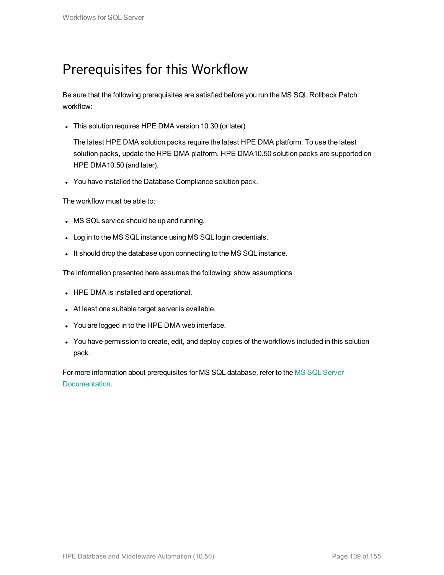### <span id="page-108-0"></span>Prerequisites for this Workflow

Be sure that the following prerequisites are satisfied before you run the MS SQL Rollback Patch workflow:

• This solution requires HPE DMA version 10.30 (or later).

The latest HPE DMA solution packs require the latest HPE DMA platform. To use the latest solution packs, update the HPE DMA platform. HPE DMA10.50 solution packs are supported on HPE DMA10.50 (and later).

• You have installed the Database Compliance solution pack.

The workflow must be able to:

- MS SQL service should be up and running.
- Log in to the MS SQL instance using MS SQL login credentials.
- It should drop the database upon connecting to the MS SQL instance.

The information presented here assumes the following: show assumptions

- HPE DMA is installed and operational.
- At least one suitable target server is available.
- You are logged in to the HPE DMA web interface.
- You have permission to create, edit, and deploy copies of the workflows included in this solution pack.

For more information about prerequisites for MS SQL database, refer to the [MS SQL Server](https://msdn.microsoft.com/en-us/library/bb545450.aspx) [Documentation](https://msdn.microsoft.com/en-us/library/bb545450.aspx).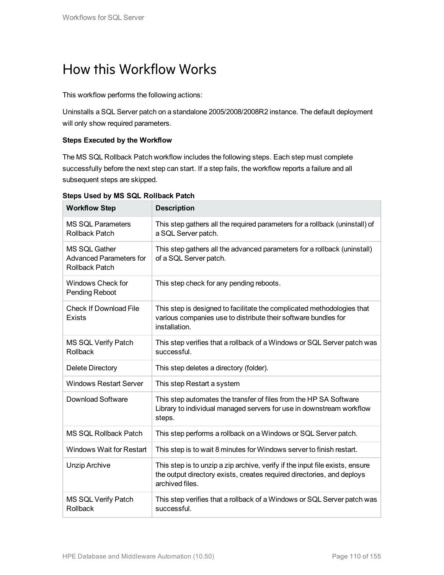### How this Workflow Works

This workflow performs the following actions:

Uninstalls a SQL Server patch on a standalone 2005/2008/2008R2 instance. The default deployment will only show required parameters.

#### **Steps Executed by the Workflow**

The MS SQL Rollback Patch workflow includes the following steps. Each step must complete successfully before the next step can start. If a step fails, the workflow reports a failure and all subsequent steps are skipped.

| <b>Workflow Step</b>                                                     | <b>Description</b>                                                                                                                                                        |
|--------------------------------------------------------------------------|---------------------------------------------------------------------------------------------------------------------------------------------------------------------------|
| <b>MS SQL Parameters</b><br><b>Rollback Patch</b>                        | This step gathers all the required parameters for a rollback (uninstall) of<br>a SQL Server patch.                                                                        |
| MS SQL Gather<br><b>Advanced Parameters for</b><br><b>Rollback Patch</b> | This step gathers all the advanced parameters for a rollback (uninstall)<br>of a SQL Server patch.                                                                        |
| Windows Check for<br>Pending Reboot                                      | This step check for any pending reboots.                                                                                                                                  |
| <b>Check If Download File</b><br><b>Exists</b>                           | This step is designed to facilitate the complicated methodologies that<br>various companies use to distribute their software bundles for<br>installation.                 |
| MS SQL Verify Patch<br><b>Rollback</b>                                   | This step verifies that a rollback of a Windows or SQL Server patch was<br>successful.                                                                                    |
| Delete Directory                                                         | This step deletes a directory (folder).                                                                                                                                   |
| <b>Windows Restart Server</b>                                            | This step Restart a system                                                                                                                                                |
| Download Software                                                        | This step automates the transfer of files from the HP SA Software<br>Library to individual managed servers for use in downstream workflow<br>steps.                       |
| MS SQL Rollback Patch                                                    | This step performs a rollback on a Windows or SQL Server patch.                                                                                                           |
| <b>Windows Wait for Restart</b>                                          | This step is to wait 8 minutes for Windows server to finish restart.                                                                                                      |
| <b>Unzip Archive</b>                                                     | This step is to unzip a zip archive, verify if the input file exists, ensure<br>the output directory exists, creates required directories, and deploys<br>archived files. |
| MS SQL Verify Patch<br><b>Rollback</b>                                   | This step verifies that a rollback of a Windows or SQL Server patch was<br>successful.                                                                                    |

#### **Steps Used by MS SQL Rollback Patch**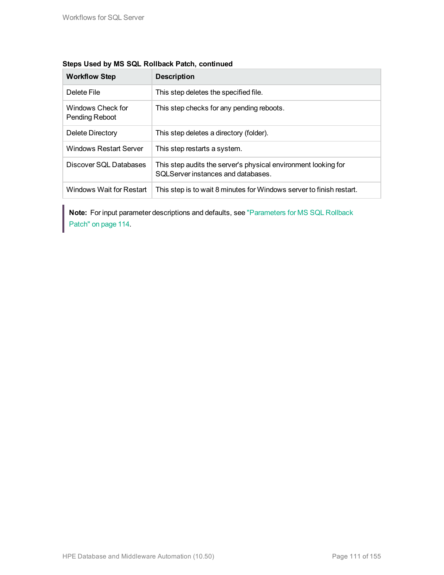| <b>Workflow Step</b>                       | <b>Description</b>                                                                                   |
|--------------------------------------------|------------------------------------------------------------------------------------------------------|
| Delete File                                | This step deletes the specified file.                                                                |
| Windows Check for<br><b>Pending Reboot</b> | This step checks for any pending reboots.                                                            |
| Delete Directory                           | This step deletes a directory (folder).                                                              |
| <b>Windows Restart Server</b>              | This step restarts a system.                                                                         |
| Discover SQL Databases                     | This step audits the server's physical environment looking for<br>SQLServer instances and databases. |
| Windows Wait for Restart                   | This step is to wait 8 minutes for Windows server to finish restart.                                 |

#### **Steps Used by MS SQL Rollback Patch, continued**

**Note:** For input parameter descriptions and defaults, see ["Parameters](#page-113-0) for MS SQL Rollback [Patch"](#page-113-0) on page 114.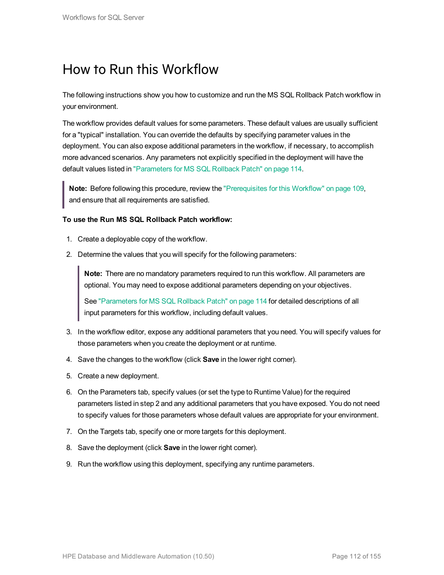### How to Run this Workflow

The following instructions show you how to customize and run the MS SQL Rollback Patch workflow in your environment.

The workflow provides default values for some parameters. These default values are usually sufficient for a "typical" installation. You can override the defaults by specifying parameter values in the deployment. You can also expose additional parameters in the workflow, if necessary, to accomplish more advanced scenarios. Any parameters not explicitly specified in the deployment will have the default values listed in ["Parameters](#page-113-0) for MS SQL Rollback Patch" on page 114.

**Note:** Before following this procedure, review the ["Prerequisites](#page-108-0) for this Workflow" on page 109, and ensure that all requirements are satisfied.

#### **To use the Run MS SQL Rollback Patch workflow:**

- 1. Create a deployable copy of the workflow.
- 2. Determine the values that you will specify for the following parameters:

**Note:** There are no mandatory parameters required to run this workflow. All parameters are optional. You may need to expose additional parameters depending on your objectives.

See ["Parameters](#page-113-0) for MS SQL Rollback Patch" on page 114 for detailed descriptions of all input parameters for this workflow, including default values.

- 3. In the workflow editor, expose any additional parameters that you need. You will specify values for those parameters when you create the deployment or at runtime.
- 4. Save the changes to the workflow (click **Save** in the lower right corner).
- 5. Create a new deployment.
- 6. On the Parameters tab, specify values (or set the type to Runtime Value) for the required parameters listed in step 2 and any additional parameters that you have exposed. You do not need to specify values for those parameters whose default values are appropriate for your environment.
- 7. On the Targets tab, specify one or more targets for this deployment.
- 8. Save the deployment (click **Save** in the lower right corner).
- 9. Run the workflow using this deployment, specifying any runtime parameters.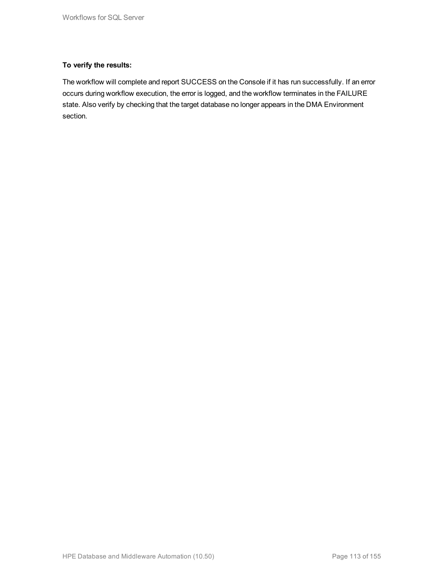#### **To verify the results:**

The workflow will complete and report SUCCESS on the Console if it has run successfully. If an error occurs during workflow execution, the error is logged, and the workflow terminates in the FAILURE state. Also verify by checking that the target database no longer appears in the DMA Environment section.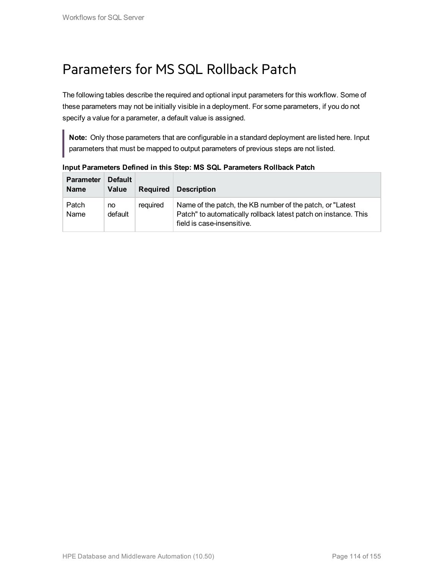### <span id="page-113-0"></span>Parameters for MS SQL Rollback Patch

The following tables describe the required and optional input parameters for this workflow. Some of these parameters may not be initially visible in a deployment. For some parameters, if you do not specify a value for a parameter, a default value is assigned.

**Note:** Only those parameters that are configurable in a standard deployment are listed here. Input parameters that must be mapped to output parameters of previous steps are not listed.

| <b>Parameter</b><br>Name | <b>Default</b><br>Value | Required | <b>Description</b>                                                                                                                                          |
|--------------------------|-------------------------|----------|-------------------------------------------------------------------------------------------------------------------------------------------------------------|
| Patch<br>Name            | no<br>default           | required | Name of the patch, the KB number of the patch, or "Latest"<br>Patch" to automatically rollback latest patch on instance. This<br>field is case-insensitive. |

**Input Parameters Defined in this Step: MS SQL Parameters Rollback Patch**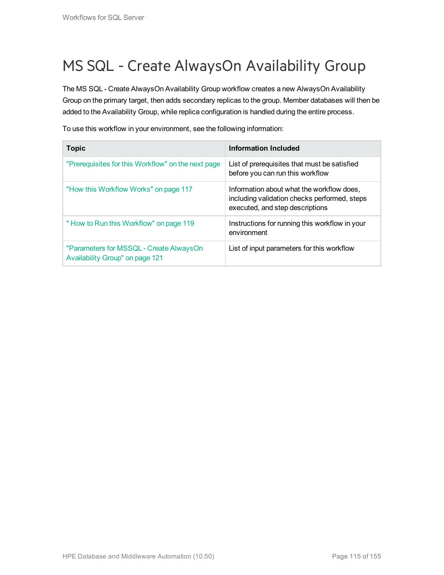# MS SQL - Create AlwaysOn Availability Group

The MS SQL - Create AlwaysOn Availability Group workflow creates a new AlwaysOn Availability Group on the primary target, then adds secondary replicas to the group. Member databases will then be added to the Availability Group, while replica configuration is handled during the entire process.

To use this workflow in your environment, see the following information:

| <b>Topic</b>                                                               | Information Included                                                                                                         |
|----------------------------------------------------------------------------|------------------------------------------------------------------------------------------------------------------------------|
| "Prerequisites for this Workflow" on the next page                         | List of prerequisites that must be satisfied<br>before you can run this workflow                                             |
| "How this Workflow Works" on page 117                                      | Information about what the workflow does,<br>including validation checks performed, steps<br>executed, and step descriptions |
| "How to Run this Workflow" on page 119                                     | Instructions for running this workflow in your<br>environment                                                                |
| "Parameters for MSSQL - Create AlwaysOn<br>Availability Group" on page 121 | List of input parameters for this workflow                                                                                   |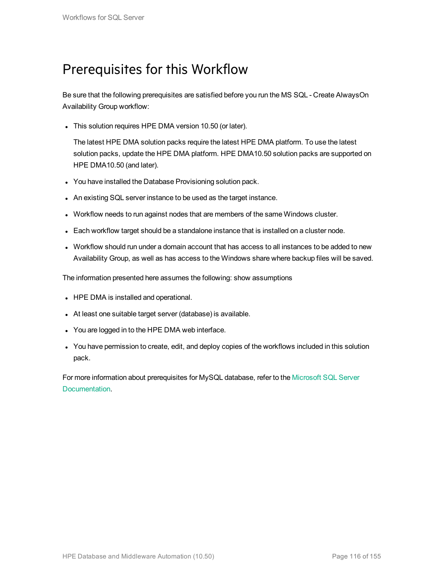### <span id="page-115-0"></span>Prerequisites for this Workflow

Be sure that the following prerequisites are satisfied before you run the MS SQL - Create AlwaysOn Availability Group workflow:

• This solution requires HPE DMA version 10.50 (or later).

The latest HPE DMA solution packs require the latest HPE DMA platform. To use the latest solution packs, update the HPE DMA platform. HPE DMA10.50 solution packs are supported on HPE DMA10.50 (and later).

- You have installed the Database Provisioning solution pack.
- An existing SQL server instance to be used as the target instance.
- Workflow needs to run against nodes that are members of the same Windows cluster.
- Each workflow target should be a standalone instance that is installed on a cluster node.
- Workflow should run under a domain account that has access to all instances to be added to new Availability Group, as well as has access to the Windows share where backup files will be saved.

The information presented here assumes the following: show assumptions

- HPE DMA is installed and operational.
- At least one suitable target server (database) is available.
- You are logged in to the HPE DMA web interface.
- You have permission to create, edit, and deploy copies of the workflows included in this solution pack.

For more information about prerequisites for MySQL database, refer to the [Microsoft SQL Server](http://msdn.microsoft.com/en-us/library) [Documentation](http://msdn.microsoft.com/en-us/library).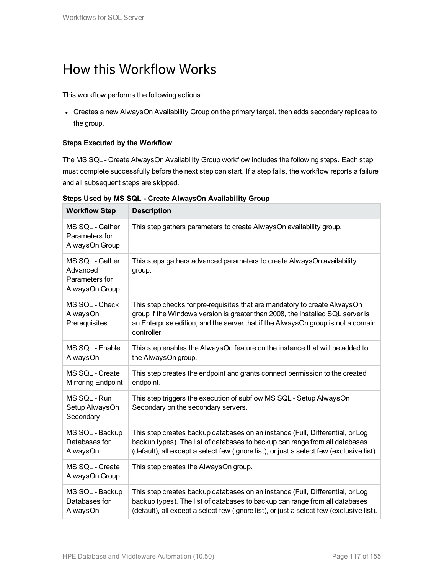### <span id="page-116-0"></span>How this Workflow Works

This workflow performs the following actions:

• Creates a new AlwaysOn Availability Group on the primary target, then adds secondary replicas to the group.

#### **Steps Executed by the Workflow**

The MS SQL - Create AlwaysOn Availability Group workflow includes the following steps. Each step must complete successfully before the next step can start. If a step fails, the workflow reports a failure and all subsequent steps are skipped.

| <b>Workflow Step</b>                                            | <b>Description</b>                                                                                                                                                                                                                                             |
|-----------------------------------------------------------------|----------------------------------------------------------------------------------------------------------------------------------------------------------------------------------------------------------------------------------------------------------------|
| MS SQL - Gather<br>Parameters for<br>AlwaysOn Group             | This step gathers parameters to create AlwaysOn availability group.                                                                                                                                                                                            |
| MS SQL - Gather<br>Advanced<br>Parameters for<br>AlwaysOn Group | This steps gathers advanced parameters to create AlwaysOn availability<br>group.                                                                                                                                                                               |
| MS SQL - Check<br>AlwaysOn<br>Prerequisites                     | This step checks for pre-requisites that are mandatory to create AlwaysOn<br>group if the Windows version is greater than 2008, the installed SQL server is<br>an Enterprise edition, and the server that if the AlwaysOn group is not a domain<br>controller. |
| MS SQL - Enable<br>AlwaysOn                                     | This step enables the AlwaysOn feature on the instance that will be added to<br>the AlwaysOn group.                                                                                                                                                            |
| MS SQL - Create<br>Mirroring Endpoint                           | This step creates the endpoint and grants connect permission to the created<br>endpoint.                                                                                                                                                                       |
| MS SQL - Run<br>Setup AlwaysOn<br>Secondary                     | This step triggers the execution of subflow MS SQL - Setup AlwaysOn<br>Secondary on the secondary servers.                                                                                                                                                     |
| MS SQL - Backup<br>Databases for<br>AlwaysOn                    | This step creates backup databases on an instance (Full, Differential, or Log<br>backup types). The list of databases to backup can range from all databases<br>(default), all except a select few (ignore list), or just a select few (exclusive list).       |
| MS SQL - Create<br>AlwaysOn Group                               | This step creates the AlwaysOn group.                                                                                                                                                                                                                          |
| MS SQL - Backup<br>Databases for<br>AlwaysOn                    | This step creates backup databases on an instance (Full, Differential, or Log<br>backup types). The list of databases to backup can range from all databases<br>(default), all except a select few (ignore list), or just a select few (exclusive list).       |

**Steps Used by MS SQL - Create AlwaysOn Availability Group**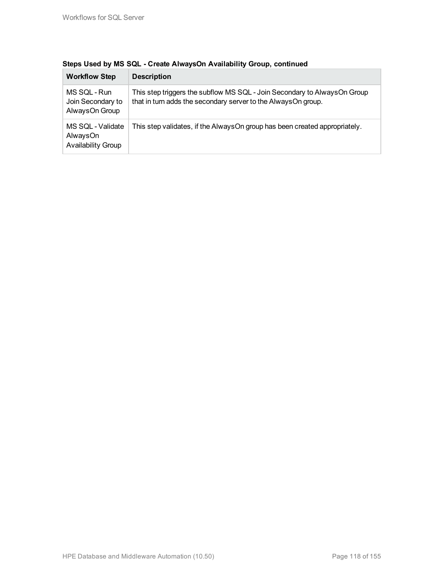| <b>Workflow Step</b>                                       | <b>Description</b>                                                                                                                        |
|------------------------------------------------------------|-------------------------------------------------------------------------------------------------------------------------------------------|
| MS SQL - Run<br>Join Secondary to<br>AlwaysOn Group        | This step triggers the subflow MS SQL - Join Secondary to AlwaysOn Group<br>that in turn adds the secondary server to the AlwaysOn group. |
| MS SQL - Validate<br>AlwaysOn<br><b>Availability Group</b> | This step validates, if the AlwaysOn group has been created appropriately.                                                                |

#### **Steps Used by MS SQL - Create AlwaysOn Availability Group, continued**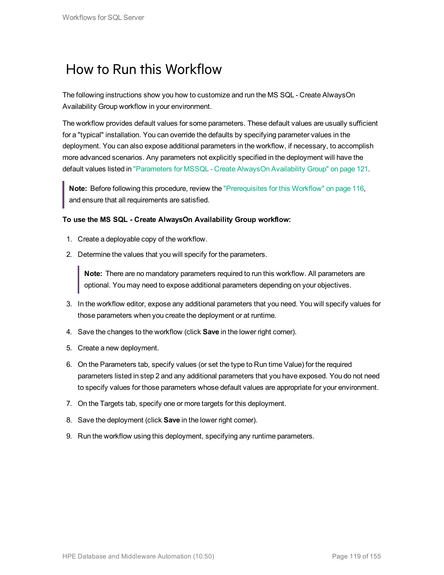### <span id="page-118-0"></span>How to Run this Workflow

The following instructions show you how to customize and run the MS SQL - Create AlwaysOn Availability Group workflow in your environment.

The workflow provides default values for some parameters. These default values are usually sufficient for a "typical" installation. You can override the defaults by specifying parameter values in the deployment. You can also expose additional parameters in the workflow, if necessary, to accomplish more advanced scenarios. Any parameters not explicitly specified in the deployment will have the default values listed in ["Parameters](#page-120-0) for MSSQL - Create AlwaysOn Availability Group" on page 121.

**Note:** Before following this procedure, review the ["Prerequisites](#page-115-0) for this Workflow" on page 116, and ensure that all requirements are satisfied.

#### **To use the MS SQL - Create AlwaysOn Availability Group workflow:**

- 1. Create a deployable copy of the workflow.
- 2. Determine the values that you will specify for the parameters.

**Note:** There are no mandatory parameters required to run this workflow. All parameters are optional. You may need to expose additional parameters depending on your objectives.

- 3. In the workflow editor, expose any additional parameters that you need. You will specify values for those parameters when you create the deployment or at runtime.
- 4. Save the changes to the workflow (click **Save** in the lower right corner).
- 5. Create a new deployment.
- 6. On the Parameters tab, specify values (or set the type to Run time Value) for the required parameters listed in step 2 and any additional parameters that you have exposed. You do not need to specify values for those parameters whose default values are appropriate for your environment.
- 7. On the Targets tab, specify one or more targets for this deployment.
- 8. Save the deployment (click **Save** in the lower right corner).
- 9. Run the workflow using this deployment, specifying any runtime parameters.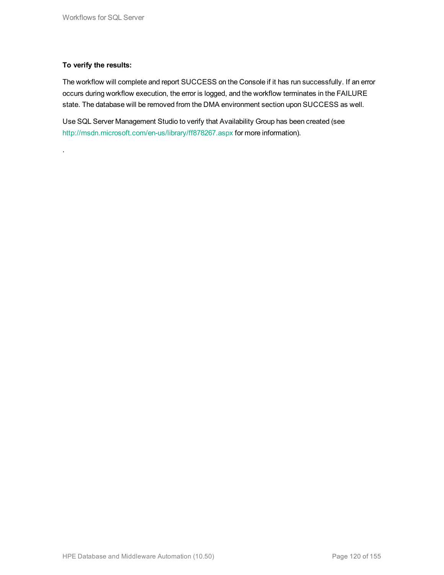#### **To verify the results:**

.

The workflow will complete and report SUCCESS on the Console if it has run successfully. If an error occurs during workflow execution, the error is logged, and the workflow terminates in the FAILURE state. The database will be removed from the DMA environment section upon SUCCESS as well.

Use SQL Server Management Studio to verify that Availability Group has been created (see <http://msdn.microsoft.com/en-us/library/ff878267.aspx> for more information).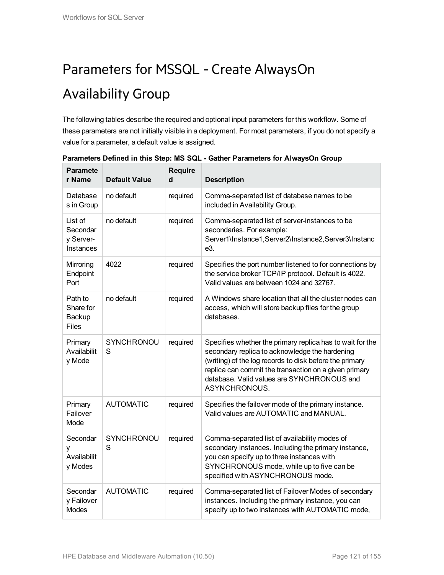# <span id="page-120-0"></span>Parameters for MSSQL - Create AlwaysOn Availability Group

The following tables describe the required and optional input parameters for this workflow. Some of these parameters are not initially visible in a deployment. For most parameters, if you do not specify a value for a parameter, a default value is assigned.

| <b>Paramete</b><br>r Name                      | <b>Default Value</b>   | <b>Require</b><br>d | <b>Description</b>                                                                                                                                                                                                                                                                             |
|------------------------------------------------|------------------------|---------------------|------------------------------------------------------------------------------------------------------------------------------------------------------------------------------------------------------------------------------------------------------------------------------------------------|
| Database<br>s in Group                         | no default             | required            | Comma-separated list of database names to be<br>included in Availability Group.                                                                                                                                                                                                                |
| List of<br>Secondar<br>y Server-<br>Instances  | no default             | required            | Comma-separated list of server-instances to be<br>secondaries. For example:<br>Server1\Instance1,Server2\Instance2,Server3\Instanc<br>e3.                                                                                                                                                      |
| Mirroring<br>Endpoint<br>Port                  | 4022                   | required            | Specifies the port number listened to for connections by<br>the service broker TCP/IP protocol. Default is 4022.<br>Valid values are between 1024 and 32767.                                                                                                                                   |
| Path to<br>Share for<br>Backup<br><b>Files</b> | no default             | required            | A Windows share location that all the cluster nodes can<br>access, which will store backup files for the group<br>databases.                                                                                                                                                                   |
| Primary<br>Availabilit<br>y Mode               | <b>SYNCHRONOU</b><br>S | required            | Specifies whether the primary replica has to wait for the<br>secondary replica to acknowledge the hardening<br>(writing) of the log records to disk before the primary<br>replica can commit the transaction on a given primary<br>database. Valid values are SYNCHRONOUS and<br>ASYNCHRONOUS. |
| Primary<br>Failover<br>Mode                    | <b>AUTOMATIC</b>       | required            | Specifies the failover mode of the primary instance.<br>Valid values are AUTOMATIC and MANUAL.                                                                                                                                                                                                 |
| Secondar<br>y<br>Availabilit<br>y Modes        | SYNCHRONOU<br>S        | required            | Comma-separated list of availability modes of<br>secondary instances. Including the primary instance,<br>you can specify up to three instances with<br>SYNCHRONOUS mode, while up to five can be<br>specified with ASYNCHRONOUS mode.                                                          |
| Secondar<br>y Failover<br><b>Modes</b>         | <b>AUTOMATIC</b>       | required            | Comma-separated list of Failover Modes of secondary<br>instances. Including the primary instance, you can<br>specify up to two instances with AUTOMATIC mode,                                                                                                                                  |

**Parameters Defined in this Step: MS SQL - Gather Parameters for AlwaysOn Group**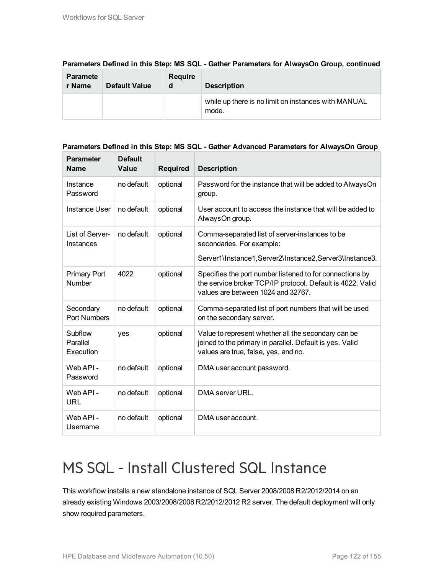| <b>Paramete</b><br>r Name | <b>Default Value</b> | Require<br>d | <b>Description</b>                                           |
|---------------------------|----------------------|--------------|--------------------------------------------------------------|
|                           |                      |              | while up there is no limit on instances with MANUAL<br>mode. |

#### **Parameters Defined in this Step: MS SQL - Gather Parameters for AlwaysOn Group, continued**

#### **Parameters Defined in this Step: MS SQL - Gather Advanced Parameters for AlwaysOn Group**

| <b>Parameter</b><br><b>Name</b>  | <b>Default</b><br>Value | <b>Required</b> | <b>Description</b>                                                                                                                                           |
|----------------------------------|-------------------------|-----------------|--------------------------------------------------------------------------------------------------------------------------------------------------------------|
| Instance<br>Password             | no default              | optional        | Password for the instance that will be added to AlwaysOn<br>group.                                                                                           |
| Instance User                    | no default              | optional        | User account to access the instance that will be added to<br>AlwaysOn group.                                                                                 |
| List of Server-<br>Instances     | no default              | optional        | Comma-separated list of server-instances to be<br>secondaries. For example:                                                                                  |
|                                  |                         |                 | Server1\Instance1,Server2\Instance2,Server3\Instance3.                                                                                                       |
| Primary Port<br>Number           | 4022                    | optional        | Specifies the port number listened to for connections by<br>the service broker TCP/IP protocol. Default is 4022. Valid<br>values are between 1024 and 32767. |
| Secondary<br><b>Port Numbers</b> | no default              | optional        | Comma-separated list of port numbers that will be used<br>on the secondary server.                                                                           |
| Subflow<br>Parallel<br>Execution | yes                     | optional        | Value to represent whether all the secondary can be<br>joined to the primary in parallel. Default is yes. Valid<br>values are true, false, yes, and no.      |
| Web API -<br>Password            | no default              | optional        | DMA user account password.                                                                                                                                   |
| Web API -<br><b>URL</b>          | no default              | optional        | DMA server URL.                                                                                                                                              |
| Web API -<br>Username            | no default              | optional        | DMA user account.                                                                                                                                            |

# MS SQL - Install Clustered SQL Instance

This workflow installs a new standalone instance of SQL Server 2008/2008 R2/2012/2014 on an already existing Windows 2003/2008/2008 R2/2012/2012 R2 server. The default deployment will only show required parameters.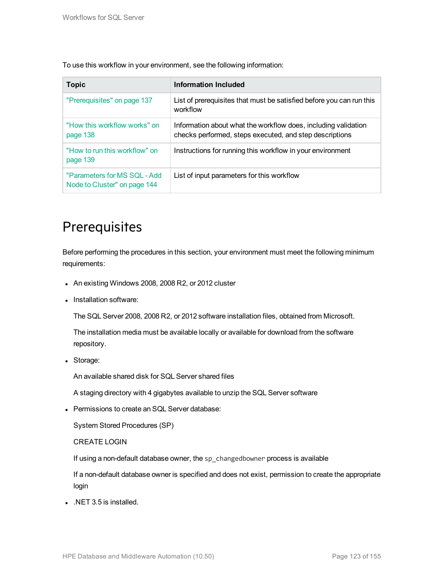To use this workflow in your environment, see the following information:

| <b>Topic</b>                                                 | Information Included                                                                                                      |
|--------------------------------------------------------------|---------------------------------------------------------------------------------------------------------------------------|
| "Prerequisites" on page 137                                  | List of prerequisites that must be satisfied before you can run this<br>workflow                                          |
| "How this workflow works" on<br>page 138                     | Information about what the workflow does, including validation<br>checks performed, steps executed, and step descriptions |
| "How to run this workflow" on<br>page 139                    | Instructions for running this workflow in your environment                                                                |
| "Parameters for MS SQL - Add<br>Node to Cluster" on page 144 | List of input parameters for this workflow                                                                                |

### **Prerequisites**

Before performing the procedures in this section, your environment must meet the following minimum requirements:

- An existing Windows 2008, 2008 R2, or 2012 cluster
- Installation software:

The SQL Server 2008, 2008 R2, or 2012 software installation files, obtained from Microsoft.

The installation media must be available locally or available for download from the software repository.

• Storage:

An available shared disk for SQL Server shared files

A staging directory with 4 gigabytes available to unzip the SQL Server software

• Permissions to create an SQL Server database:

System Stored Procedures (SP)

CREATE LOGIN

If using a non-default database owner, the sp\_changedbowner process is available

If a non-default database owner is specified and does not exist, permission to create the appropriate login

 $\bullet$  .NET 3.5 is installed.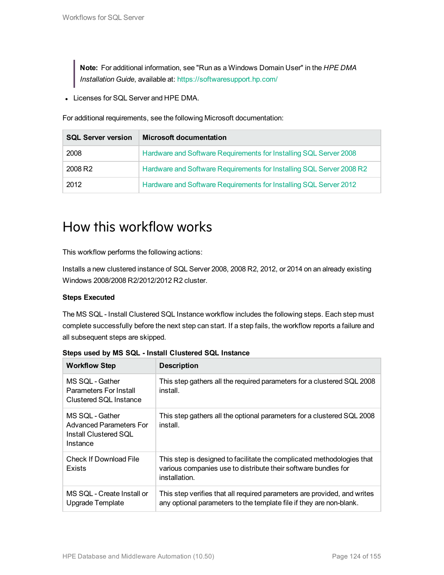**Note:** For additional information, see "Run as a Windows Domain User" in the *HPE DMA Installation Guide*, available at: <https://softwaresupport.hp.com/>

• Licenses for SQL Server and HPE DMA.

For additional requirements, see the following Microsoft documentation:

| <b>SQL Server version</b> | <b>Microsoft documentation</b>                                       |
|---------------------------|----------------------------------------------------------------------|
| 2008                      | Hardware and Software Requirements for Installing SQL Server 2008    |
| 2008 R <sub>2</sub>       | Hardware and Software Requirements for Installing SQL Server 2008 R2 |
| 2012                      | Hardware and Software Requirements for Installing SQL Server 2012    |

### How this workflow works

This workflow performs the following actions:

Installs a new clustered instance of SQL Server 2008, 2008 R2, 2012, or 2014 on an already existing Windows 2008/2008 R2/2012/2012 R2 cluster.

#### **Steps Executed**

The MS SQL - Install Clustered SQL Instance workflow includes the following steps. Each step must complete successfully before the next step can start. If a step fails, the workflow reports a failure and all subsequent steps are skipped.

| <b>Workflow Step</b>                                                            | <b>Description</b>                                                                                                                                        |
|---------------------------------------------------------------------------------|-----------------------------------------------------------------------------------------------------------------------------------------------------------|
| MS SQL - Gather<br>Parameters For Install<br>Clustered SQL Instance             | This step gathers all the required parameters for a clustered SQL 2008<br>install.                                                                        |
| MS SQL - Gather<br>Advanced Parameters For<br>Install Clustered SQL<br>Instance | This step gathers all the optional parameters for a clustered SQL 2008<br>install.                                                                        |
| <b>Check If Download File</b><br>Exists                                         | This step is designed to facilitate the complicated methodologies that<br>various companies use to distribute their software bundles for<br>installation. |
| MS SQL - Create Install or<br>Upgrade Template                                  | This step verifies that all required parameters are provided, and writes<br>any optional parameters to the template file if they are non-blank.           |

**Steps used by MS SQL - Install Clustered SQL Instance**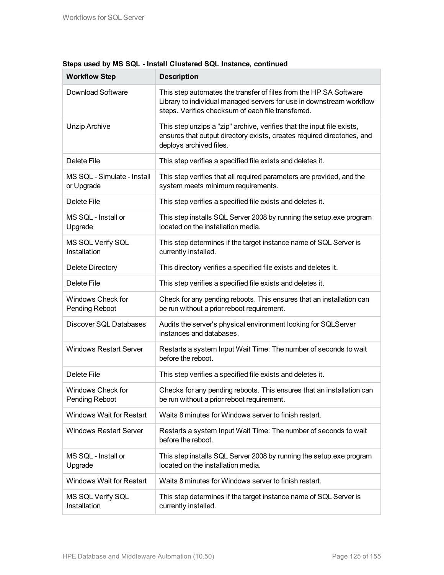| <b>Workflow Step</b>                      | <b>Description</b>                                                                                                                                                                              |
|-------------------------------------------|-------------------------------------------------------------------------------------------------------------------------------------------------------------------------------------------------|
| Download Software                         | This step automates the transfer of files from the HP SA Software<br>Library to individual managed servers for use in downstream workflow<br>steps. Verifies checksum of each file transferred. |
| <b>Unzip Archive</b>                      | This step unzips a "zip" archive, verifies that the input file exists,<br>ensures that output directory exists, creates required directories, and<br>deploys archived files.                    |
| Delete File                               | This step verifies a specified file exists and deletes it.                                                                                                                                      |
| MS SQL - Simulate - Install<br>or Upgrade | This step verifies that all required parameters are provided, and the<br>system meets minimum requirements.                                                                                     |
| Delete File                               | This step verifies a specified file exists and deletes it.                                                                                                                                      |
| MS SQL - Install or<br>Upgrade            | This step installs SQL Server 2008 by running the setup.exe program<br>located on the installation media.                                                                                       |
| MS SQL Verify SQL<br>Installation         | This step determines if the target instance name of SQL Server is<br>currently installed.                                                                                                       |
| Delete Directory                          | This directory verifies a specified file exists and deletes it.                                                                                                                                 |
| Delete File                               | This step verifies a specified file exists and deletes it.                                                                                                                                      |
| Windows Check for<br>Pending Reboot       | Check for any pending reboots. This ensures that an installation can<br>be run without a prior reboot requirement.                                                                              |
| Discover SQL Databases                    | Audits the server's physical environment looking for SQLServer<br>instances and databases.                                                                                                      |
| <b>Windows Restart Server</b>             | Restarts a system Input Wait Time: The number of seconds to wait<br>before the reboot.                                                                                                          |
| Delete File                               | This step verifies a specified file exists and deletes it.                                                                                                                                      |
| Windows Check for<br>Pending Reboot       | Checks for any pending reboots. This ensures that an installation can<br>be run without a prior reboot requirement.                                                                             |
| <b>Windows Wait for Restart</b>           | Waits 8 minutes for Windows server to finish restart.                                                                                                                                           |
| <b>Windows Restart Server</b>             | Restarts a system Input Wait Time: The number of seconds to wait<br>before the reboot.                                                                                                          |
| MS SQL - Install or<br>Upgrade            | This step installs SQL Server 2008 by running the setup exe program<br>located on the installation media.                                                                                       |
| <b>Windows Wait for Restart</b>           | Waits 8 minutes for Windows server to finish restart.                                                                                                                                           |
| MS SQL Verify SQL<br>Installation         | This step determines if the target instance name of SQL Server is<br>currently installed.                                                                                                       |

#### **Steps used by MS SQL - Install Clustered SQL Instance, continued**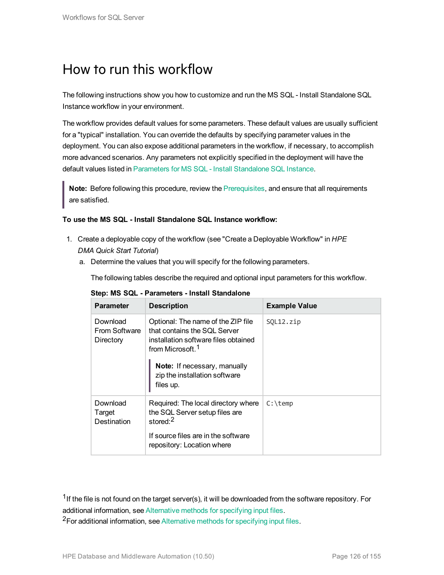### How to run this workflow

The following instructions show you how to customize and run the MS SQL - Install Standalone SQL Instance workflow in your environment.

The workflow provides default values for some parameters. These default values are usually sufficient for a "typical" installation. You can override the defaults by specifying parameter values in the deployment. You can also expose additional parameters in the workflow, if necessary, to accomplish more advanced scenarios. Any parameters not explicitly specified in the deployment will have the default values listed in Parameters for MS SQL - Install Standalone SQL Instance.

**Note:** Before following this procedure, review the Prerequisites, and ensure that all requirements are satisfied.

#### **To use the MS SQL - Install Standalone SQL Instance workflow:**

- 1. Create a deployable copy of the workflow (see "Create a Deployable Workflow" in *HPE DMA Quick Start Tutorial*)
	- a. Determine the values that you will specify for the following parameters.

The following tables describe the required and optional input parameters for this workflow.

| <b>Parameter</b>                       | <b>Description</b>                                                                                                                                                                                          | <b>Example Value</b> |
|----------------------------------------|-------------------------------------------------------------------------------------------------------------------------------------------------------------------------------------------------------------|----------------------|
| Download<br>From Software<br>Directory | Optional: The name of the ZIP file<br>that contains the SQL Server<br>installation software files obtained<br>from Microsoft. <sup>1</sup><br>Note: If necessary, manually<br>zip the installation software | SQL12.zip            |
|                                        | files up.                                                                                                                                                                                                   |                      |
| Download<br>Target<br>Destination      | Required: The local directory where<br>the SQL Server setup files are<br>stored: <sup>2</sup>                                                                                                               | $C:\text{temp}$      |
|                                        | If source files are in the software<br>repository: Location where                                                                                                                                           |                      |

**Step: MS SQL - Parameters - Install Standalone**

<sup>1</sup> If the file is not found on the target server(s), it will be downloaded from the software repository. For additional information, see Alternative methods for specifying input files. 2For additional information, see Alternative methods for specifying input files.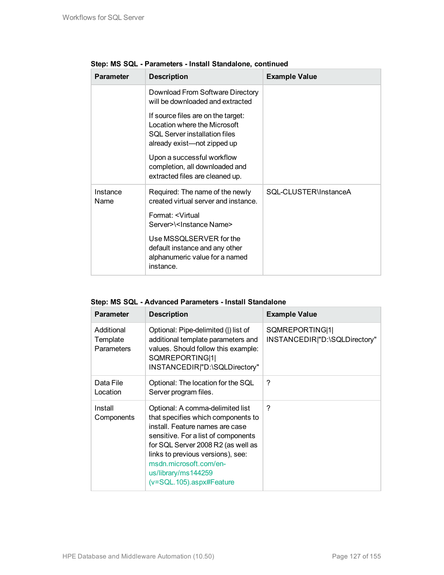| <b>Parameter</b> | <b>Description</b>                                                                                                                                                                                                                           | <b>Example Value</b>  |
|------------------|----------------------------------------------------------------------------------------------------------------------------------------------------------------------------------------------------------------------------------------------|-----------------------|
|                  | Download From Software Directory<br>will be downloaded and extracted                                                                                                                                                                         |                       |
|                  | If source files are on the target:<br>Location where the Microsoft<br><b>SQL Server installation files</b><br>already exist-not zipped up<br>Upon a successful workflow<br>completion, all downloaded and<br>extracted files are cleaned up. |                       |
| Instance<br>Name | Required: The name of the newly<br>created virtual server and instance.                                                                                                                                                                      | SQL-CLUSTER\InstanceA |
|                  | Format: <virtual<br>Server&gt;\<instance name=""></instance></virtual<br>                                                                                                                                                                    |                       |
|                  | Use MSSQLSERVER for the<br>default instance and any other<br>alphanumeric value for a named<br>instance.                                                                                                                                     |                       |

| Step: MS SQL - Parameters - Install Standalone, continued |  |  |  |  |  |  |
|-----------------------------------------------------------|--|--|--|--|--|--|
|-----------------------------------------------------------|--|--|--|--|--|--|

|  |  |  | Step: MS SQL - Advanced Parameters - Install Standalone |  |  |
|--|--|--|---------------------------------------------------------|--|--|
|--|--|--|---------------------------------------------------------|--|--|

| <b>Parameter</b>                            | <b>Description</b>                                                                                                                                                                                                                                                                                             | <b>Example Value</b>                             |
|---------------------------------------------|----------------------------------------------------------------------------------------------------------------------------------------------------------------------------------------------------------------------------------------------------------------------------------------------------------------|--------------------------------------------------|
| Additional<br>Template<br><b>Parameters</b> | Optional: Pipe-delimited ( ) list of<br>additional template parameters and<br>values. Should follow this example:<br>SQMREPORTING[1]<br>INSTANCEDIR "D:\SQLDirectory"                                                                                                                                          | SQMREPORTING[1]<br>INSTANCEDIR "D:\SQLDirectory" |
| Data File<br>Location                       | Optional: The location for the SQL<br>Server program files.                                                                                                                                                                                                                                                    | ?                                                |
| Install<br>Components                       | Optional: A comma-delimited list<br>that specifies which components to<br>install. Feature names are case<br>sensitive. For a list of components<br>for SQL Server 2008 R2 (as well as<br>links to previous versions), see:<br>msdn.microsoft.com/en-<br>us/library/ms144259<br>$(v = SQL.105)$ . aspx#Feature | ?                                                |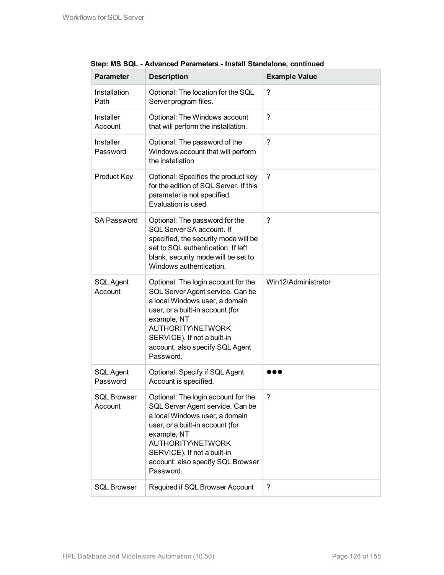| <b>Parameter</b>              | <b>Description</b>                                                                                                                                                                                                                                                 | <b>Example Value</b>     |
|-------------------------------|--------------------------------------------------------------------------------------------------------------------------------------------------------------------------------------------------------------------------------------------------------------------|--------------------------|
| Installation<br>Path          | Optional: The location for the SQL<br>Server program files.                                                                                                                                                                                                        | $\overline{\phantom{0}}$ |
| Installer<br>Account          | Optional: The Windows account<br>that will perform the installation.                                                                                                                                                                                               | $\overline{?}$           |
| Installer<br>Password         | Optional: The password of the<br>Windows account that will perform<br>the installation                                                                                                                                                                             | $\overline{?}$           |
| <b>Product Key</b>            | Optional: Specifies the product key<br>for the edition of SQL Server. If this<br>parameter is not specified,<br>Evaluation is used.                                                                                                                                | $\overline{\mathcal{C}}$ |
| <b>SA Password</b>            | Optional: The password for the<br>SQL Server SA account. If<br>specified, the security mode will be<br>set to SQL authentication. If left<br>blank, security mode will be set to<br>Windows authentication.                                                        | $\overline{\phantom{0}}$ |
| <b>SQL Agent</b><br>Account   | Optional: The login account for the<br>SQL Server Agent service. Can be<br>a local Windows user, a domain<br>user, or a built-in account (for<br>example, NT<br>AUTHORITY\NETWORK<br>SERVICE). If not a built-in<br>account, also specify SQL Agent<br>Password.   | Win12\Administrator      |
| <b>SQL Agent</b><br>Password  | Optional: Specify if SQL Agent<br>Account is specified.                                                                                                                                                                                                            | ,,,                      |
| <b>SQL Browser</b><br>Account | Optional: The login account for the<br>SQL Server Agent service. Can be<br>a local Windows user, a domain<br>user, or a built-in account (for<br>example, NT<br>AUTHORITY\NETWORK<br>SERVICE). If not a built-in<br>account, also specify SQL Browser<br>Password. | ?                        |
| <b>SQL Browser</b>            | Required if SQL Browser Account                                                                                                                                                                                                                                    | $\overline{\cdot}$       |

**Step: MS SQL - Advanced Parameters - Install Standalone, continued**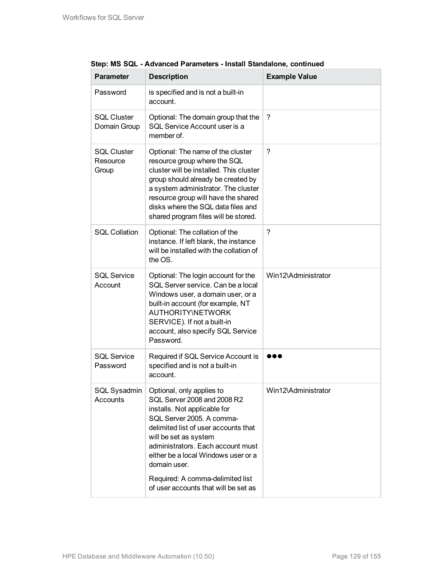| <b>Parameter</b>                        | <b>Description</b>                                                                                                                                                                                                                                                                                                                                             | <b>Example Value</b>     |
|-----------------------------------------|----------------------------------------------------------------------------------------------------------------------------------------------------------------------------------------------------------------------------------------------------------------------------------------------------------------------------------------------------------------|--------------------------|
| Password                                | is specified and is not a built-in<br>account.                                                                                                                                                                                                                                                                                                                 |                          |
| <b>SQL Cluster</b><br>Domain Group      | Optional: The domain group that the<br>SQL Service Account user is a<br>member of.                                                                                                                                                                                                                                                                             | ?                        |
| <b>SQL Cluster</b><br>Resource<br>Group | Optional: The name of the cluster<br>resource group where the SQL<br>cluster will be installed. This cluster<br>group should already be created by<br>a system administrator. The cluster<br>resource group will have the shared<br>disks where the SQL data files and<br>shared program files will be stored.                                                 | $\overline{\phantom{0}}$ |
| <b>SQL Collation</b>                    | Optional: The collation of the<br>instance. If left blank, the instance<br>will be installed with the collation of<br>the OS.                                                                                                                                                                                                                                  | $\overline{\phantom{0}}$ |
| <b>SQL Service</b><br>Account           | Optional: The login account for the<br>SQL Server service. Can be a local<br>Windows user, a domain user, or a<br>built-in account (for example, NT<br>AUTHORITY\NETWORK<br>SERVICE). If not a built-in<br>account, also specify SQL Service<br>Password.                                                                                                      | Win12\Administrator      |
| <b>SQL Service</b><br>Password          | Required if SQL Service Account is<br>specified and is not a built-in<br>account.                                                                                                                                                                                                                                                                              |                          |
| SQL Sysadmin<br>Accounts                | Optional, only applies to<br>SQL Server 2008 and 2008 R2<br>installs. Not applicable for<br>SQL Server 2005. A comma-<br>delimited list of user accounts that<br>will be set as system<br>administrators. Each account must<br>either be a local Windows user or a<br>domain user.<br>Required: A comma-delimited list<br>of user accounts that will be set as | Win12\Administrator      |

| Step: MS SQL - Advanced Parameters - Install Standalone, continued |  |  |  |
|--------------------------------------------------------------------|--|--|--|
|--------------------------------------------------------------------|--|--|--|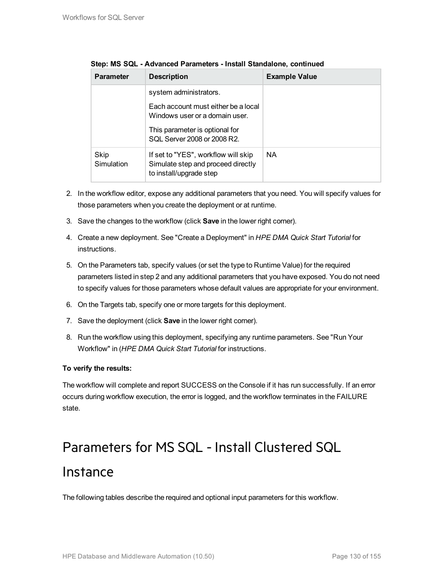| <b>Parameter</b>          | <b>Description</b>                                                                                   | <b>Example Value</b> |
|---------------------------|------------------------------------------------------------------------------------------------------|----------------------|
|                           | system administrators.                                                                               |                      |
|                           | Each account must either be a local<br>Windows user or a domain user.                                |                      |
|                           | This parameter is optional for<br>SQL Server 2008 or 2008 R2.                                        |                      |
| <b>Skip</b><br>Simulation | If set to "YES", workflow will skip<br>Simulate step and proceed directly<br>to install/upgrade step | <b>NA</b>            |

**Step: MS SQL - Advanced Parameters - Install Standalone, continued**

- 2. In the workflow editor, expose any additional parameters that you need. You will specify values for those parameters when you create the deployment or at runtime.
- 3. Save the changes to the workflow (click **Save** in the lower right corner).
- 4. Create a new deployment. See "Create a Deployment" in *HPE DMA Quick Start Tutorial* for instructions.
- 5. On the Parameters tab, specify values (or set the type to Runtime Value) for the required parameters listed in step 2 and any additional parameters that you have exposed. You do not need to specify values for those parameters whose default values are appropriate for your environment.
- 6. On the Targets tab, specify one or more targets for this deployment.
- 7. Save the deployment (click **Save** in the lower right corner).
- 8. Run the workflow using this deployment, specifying any runtime parameters. See "Run Your Workflow" in (*HPE DMA Quick Start Tutorial* for instructions.

#### **To verify the results:**

The workflow will complete and report SUCCESS on the Console if it has run successfully. If an error occurs during workflow execution, the error is logged, and the workflow terminates in the FAILURE state.

# Parameters for MS SQL - Install Clustered SQL

### Instance

The following tables describe the required and optional input parameters for this workflow.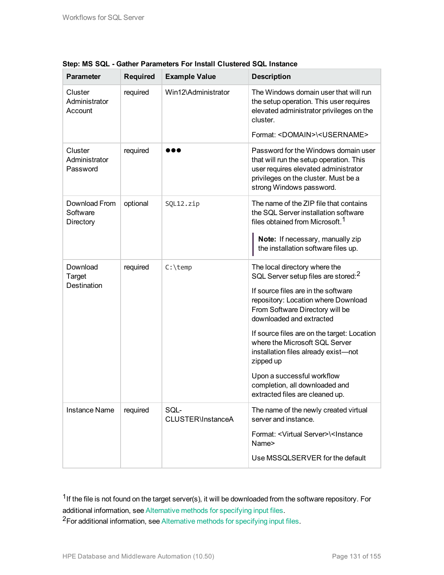| <b>Parameter</b>                       | <b>Required</b> | <b>Example Value</b>      | <b>Description</b>                                                                                                                                                                                       |
|----------------------------------------|-----------------|---------------------------|----------------------------------------------------------------------------------------------------------------------------------------------------------------------------------------------------------|
| Cluster<br>Administrator<br>Account    | required        | Win12\Administrator       | The Windows domain user that will run<br>the setup operation. This user requires<br>elevated administrator privileges on the<br>cluster.                                                                 |
|                                        |                 |                           | Format: <domain>\<username></username></domain>                                                                                                                                                          |
| Cluster<br>Administrator<br>Password   | required        |                           | Password for the Windows domain user<br>that will run the setup operation. This<br>user requires elevated administrator<br>privileges on the cluster. Must be a<br>strong Windows password.              |
| Download From<br>Software<br>Directory | optional        | SQL12.zip                 | The name of the ZIP file that contains<br>the SQL Server installation software<br>files obtained from Microsoft. <sup>1</sup><br>Note: If necessary, manually zip<br>the installation software files up. |
| Download<br><b>Target</b>              | required        | $C:\text{temp}$           | The local directory where the<br>SQL Server setup files are stored: <sup>2</sup>                                                                                                                         |
| Destination                            |                 |                           | If source files are in the software<br>repository: Location where Download<br>From Software Directory will be<br>downloaded and extracted                                                                |
|                                        |                 |                           | If source files are on the target: Location<br>where the Microsoft SQL Server<br>installation files already exist-not<br>zipped up                                                                       |
|                                        |                 |                           | Upon a successful workflow<br>completion, all downloaded and<br>extracted files are cleaned up.                                                                                                          |
| Instance Name                          | required        | SQL-<br>CLUSTER\InstanceA | The name of the newly created virtual<br>server and instance.                                                                                                                                            |
|                                        |                 |                           | Format: <virtual server="">\<instance<br>Name&gt;</instance<br></virtual>                                                                                                                                |
|                                        |                 |                           | Use MSSQLSERVER for the default                                                                                                                                                                          |

| Step: MS SQL - Gather Parameters For Install Clustered SQL Instance |  |  |  |
|---------------------------------------------------------------------|--|--|--|
|---------------------------------------------------------------------|--|--|--|

 $1$ If the file is not found on the target server(s), it will be downloaded from the software repository. For additional information, see Alternative methods for specifying input files. 2For additional information, see Alternative methods for specifying input files.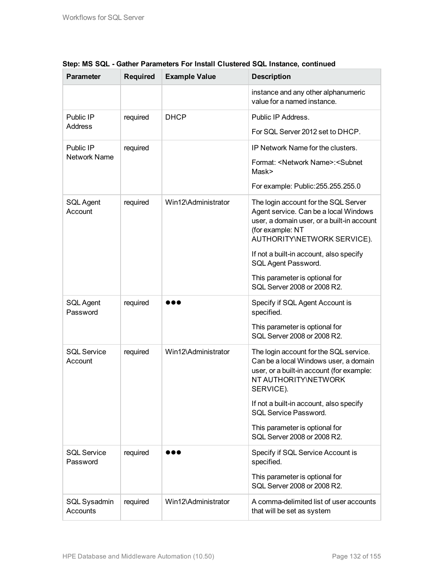| <b>Parameter</b>                 | <b>Required</b> | <b>Example Value</b> | <b>Description</b>                                                                                                                                                             |
|----------------------------------|-----------------|----------------------|--------------------------------------------------------------------------------------------------------------------------------------------------------------------------------|
|                                  |                 |                      | instance and any other alphanumeric<br>value for a named instance.                                                                                                             |
| Public IP                        | required        | <b>DHCP</b>          | Public IP Address.                                                                                                                                                             |
| <b>Address</b>                   |                 |                      | For SQL Server 2012 set to DHCP.                                                                                                                                               |
| Public IP<br><b>Network Name</b> | required        |                      | IP Network Name for the clusters.<br>Format: <network name="">:<subnet< td=""></subnet<></network>                                                                             |
|                                  |                 |                      | Mask><br>For example: Public: 255.255.255.0                                                                                                                                    |
| <b>SQL Agent</b><br>Account      | required        | Win12\Administrator  | The login account for the SQL Server<br>Agent service. Can be a local Windows<br>user, a domain user, or a built-in account<br>(for example: NT<br>AUTHORITY\NETWORK SERVICE). |
|                                  |                 |                      | If not a built-in account, also specify<br>SQL Agent Password.                                                                                                                 |
|                                  |                 |                      | This parameter is optional for<br>SQL Server 2008 or 2008 R2.                                                                                                                  |
| <b>SQL Agent</b><br>Password     | required        | .                    | Specify if SQL Agent Account is<br>specified.                                                                                                                                  |
|                                  |                 |                      | This parameter is optional for<br>SQL Server 2008 or 2008 R2.                                                                                                                  |
| <b>SQL Service</b><br>Account    | required        | Win12\Administrator  | The login account for the SQL service.<br>Can be a local Windows user, a domain<br>user, or a built-in account (for example:<br>NT AUTHORITY\NETWORK<br>SERVICE).              |
|                                  |                 |                      | If not a built-in account, also specify<br><b>SQL Service Password.</b>                                                                                                        |
|                                  |                 |                      | This parameter is optional for<br>SQL Server 2008 or 2008 R2.                                                                                                                  |
| <b>SQL Service</b><br>Password   | required        |                      | Specify if SQL Service Account is<br>specified.                                                                                                                                |
|                                  |                 |                      | This parameter is optional for<br>SQL Server 2008 or 2008 R2.                                                                                                                  |
| SQL Sysadmin<br>Accounts         | required        | Win12\Administrator  | A comma-delimited list of user accounts<br>that will be set as system                                                                                                          |

#### **Step: MS SQL - Gather Parameters For Install Clustered SQL Instance, continued**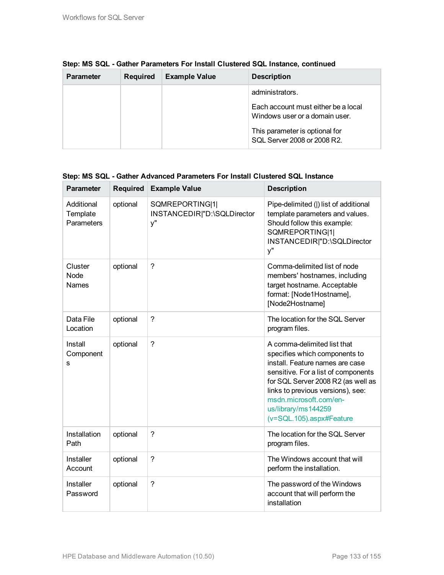| <b>Parameter</b> | <b>Required</b> | <b>Example Value</b> | <b>Description</b>                                                    |
|------------------|-----------------|----------------------|-----------------------------------------------------------------------|
|                  |                 |                      | administrators.                                                       |
|                  |                 |                      | Each account must either be a local<br>Windows user or a domain user. |
|                  |                 |                      | This parameter is optional for<br>SQL Server 2008 or 2008 R2.         |

#### **Step: MS SQL - Gather Parameters For Install Clustered SQL Instance, continued**

| <b>Parameter</b>                     | <b>Required</b> | <b>Example Value</b>                                 | <b>Description</b>                                                                                                                                                                                                                                                                             |
|--------------------------------------|-----------------|------------------------------------------------------|------------------------------------------------------------------------------------------------------------------------------------------------------------------------------------------------------------------------------------------------------------------------------------------------|
| Additional<br>Template<br>Parameters | optional        | SQMREPORTING[1]<br>INSTANCEDIR "D:\SQLDirector<br>y" | Pipe-delimited ( ) list of additional<br>template parameters and values.<br>Should follow this example:<br>SQMREPORTING[1]<br>INSTANCEDIR "D:\SQLDirector<br>y"                                                                                                                                |
| Cluster<br>Node<br><b>Names</b>      | optional        | $\overline{?}$                                       | Comma-delimited list of node<br>members' hostnames, including<br>target hostname. Acceptable<br>format: [Node1Hostname],<br>[Node2Hostname]                                                                                                                                                    |
| Data File<br>Location                | optional        | $\overline{?}$                                       | The location for the SQL Server<br>program files.                                                                                                                                                                                                                                              |
| Install<br>Component<br>S            | optional        | $\overline{?}$                                       | A comma-delimited list that<br>specifies which components to<br>install. Feature names are case<br>sensitive. For a list of components<br>for SQL Server 2008 R2 (as well as<br>links to previous versions), see:<br>msdn.microsoft.com/en-<br>us/library/ms144259<br>(v=SQL.105).aspx#Feature |
| Installation<br>Path                 | optional        | $\gamma$                                             | The location for the SQL Server<br>program files.                                                                                                                                                                                                                                              |
| Installer<br>Account                 | optional        | $\overline{\phantom{0}}$                             | The Windows account that will<br>perform the installation.                                                                                                                                                                                                                                     |
| Installer<br>Password                | optional        | $\overline{?}$                                       | The password of the Windows<br>account that will perform the<br>installation                                                                                                                                                                                                                   |

#### **Step: MS SQL - Gather Advanced Parameters For Install Clustered SQL Instance**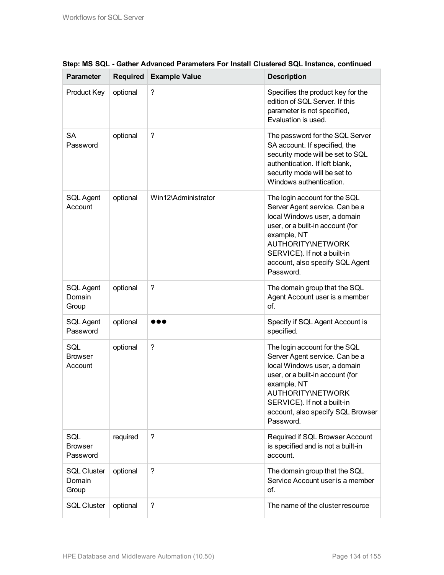| <b>Parameter</b>                      | Required | <b>Example Value</b> | <b>Description</b>                                                                                                                                                                                                                                       |
|---------------------------------------|----------|----------------------|----------------------------------------------------------------------------------------------------------------------------------------------------------------------------------------------------------------------------------------------------------|
| Product Key                           | optional | $\overline{?}$       | Specifies the product key for the<br>edition of SQL Server. If this<br>parameter is not specified,<br>Evaluation is used.                                                                                                                                |
| <b>SA</b><br>Password                 | optional | $\overline{?}$       | The password for the SQL Server<br>SA account. If specified, the<br>security mode will be set to SQL<br>authentication. If left blank,<br>security mode will be set to<br>Windows authentication.                                                        |
| <b>SQL Agent</b><br>Account           | optional | Win12\Administrator  | The login account for the SQL<br>Server Agent service. Can be a<br>local Windows user, a domain<br>user, or a built-in account (for<br>example, NT<br>AUTHORITY\NETWORK<br>SERVICE). If not a built-in<br>account, also specify SQL Agent<br>Password.   |
| <b>SQL Agent</b><br>Domain<br>Group   | optional | $\overline{?}$       | The domain group that the SQL<br>Agent Account user is a member<br>of.                                                                                                                                                                                   |
| <b>SQL Agent</b><br>Password          | optional |                      | Specify if SQL Agent Account is<br>specified.                                                                                                                                                                                                            |
| SQL<br><b>Browser</b><br>Account      | optional | $\overline{?}$       | The login account for the SQL<br>Server Agent service. Can be a<br>local Windows user, a domain<br>user, or a built-in account (for<br>example, NT<br>AUTHORITY\NETWORK<br>SERVICE). If not a built-in<br>account, also specify SQL Browser<br>Password. |
| SQL<br><b>Browser</b><br>Password     | required | $\overline{?}$       | Required if SQL Browser Account<br>is specified and is not a built-in<br>account.                                                                                                                                                                        |
| <b>SQL Cluster</b><br>Domain<br>Group | optional | $\overline{?}$       | The domain group that the SQL<br>Service Account user is a member<br>of.                                                                                                                                                                                 |
| <b>SQL Cluster</b>                    | optional | $\overline{?}$       | The name of the cluster resource                                                                                                                                                                                                                         |

| Step: MS SQL - Gather Advanced Parameters For Install Clustered SQL Instance, continued |  |
|-----------------------------------------------------------------------------------------|--|
|-----------------------------------------------------------------------------------------|--|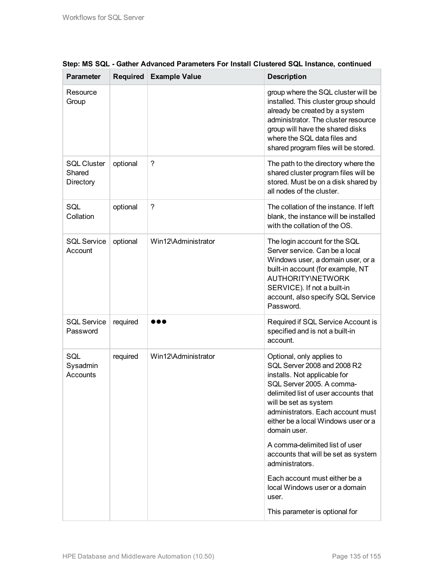| <b>Parameter</b>                          | Required | <b>Example Value</b> | <b>Description</b>                                                                                                                                                                                                                                                                 |
|-------------------------------------------|----------|----------------------|------------------------------------------------------------------------------------------------------------------------------------------------------------------------------------------------------------------------------------------------------------------------------------|
| Resource<br>Group                         |          |                      | group where the SQL cluster will be<br>installed. This cluster group should<br>already be created by a system<br>administrator. The cluster resource<br>group will have the shared disks<br>where the SQL data files and<br>shared program files will be stored.                   |
| <b>SQL Cluster</b><br>Shared<br>Directory | optional | $\overline{?}$       | The path to the directory where the<br>shared cluster program files will be<br>stored. Must be on a disk shared by<br>all nodes of the cluster.                                                                                                                                    |
| SQL<br>Collation                          | optional | $\overline{?}$       | The collation of the instance. If left<br>blank, the instance will be installed<br>with the collation of the OS.                                                                                                                                                                   |
| <b>SQL Service</b><br>Account             | optional | Win12\Administrator  | The login account for the SQL<br>Server service. Can be a local<br>Windows user, a domain user, or a<br>built-in account (for example, NT<br>AUTHORITY\NETWORK<br>SERVICE). If not a built-in<br>account, also specify SQL Service<br>Password.                                    |
| <b>SQL Service</b><br>Password            | required |                      | Required if SQL Service Account is<br>specified and is not a built-in<br>account.                                                                                                                                                                                                  |
| SQL<br>Sysadmin<br>Accounts               | required | Win12\Administrator  | Optional, only applies to<br>SQL Server 2008 and 2008 R2<br>installs. Not applicable for<br>SQL Server 2005. A comma-<br>delimited list of user accounts that<br>will be set as system<br>administrators. Each account must<br>either be a local Windows user or a<br>domain user. |
|                                           |          |                      | A comma-delimited list of user<br>accounts that will be set as system<br>administrators.                                                                                                                                                                                           |
|                                           |          |                      | Each account must either be a<br>local Windows user or a domain<br>user.                                                                                                                                                                                                           |
|                                           |          |                      | This parameter is optional for                                                                                                                                                                                                                                                     |

|  | Step: MS SQL - Gather Advanced Parameters For Install Clustered SQL Instance, continued |  |  |  |  |
|--|-----------------------------------------------------------------------------------------|--|--|--|--|
|--|-----------------------------------------------------------------------------------------|--|--|--|--|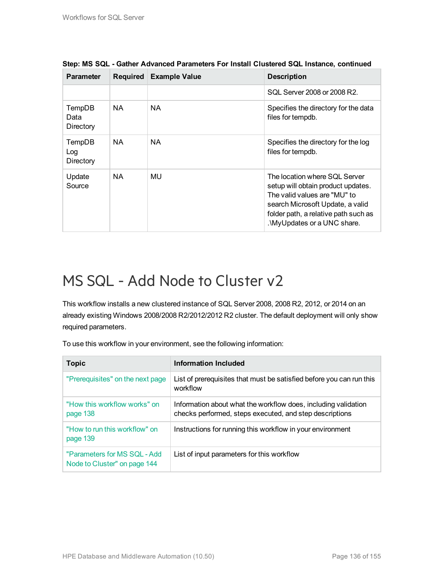| <b>Parameter</b>            | <b>Required</b> | <b>Example Value</b> | <b>Description</b>                                                                                                                                                                                             |
|-----------------------------|-----------------|----------------------|----------------------------------------------------------------------------------------------------------------------------------------------------------------------------------------------------------------|
|                             |                 |                      | SOL Server 2008 or 2008 R2.                                                                                                                                                                                    |
| TempDB<br>Data<br>Directory | NA.             | NA.                  | Specifies the directory for the data<br>files for tempdb.                                                                                                                                                      |
| TempDB<br>Log<br>Directory  | NA.             | NA.                  | Specifies the directory for the log<br>files for tempdb.                                                                                                                                                       |
| Update<br>Source            | NA.             | MU                   | The location where SQL Server<br>setup will obtain product updates.<br>The valid values are "MU" to<br>search Microsoft Update, a valid<br>folder path, a relative path such as<br>.\MyUpdates or a UNC share. |

**Step: MS SQL - Gather Advanced Parameters For Install Clustered SQL Instance, continued**

## MS SQL - Add Node to Cluster v2

This workflow installs a new clustered instance of SQL Server 2008, 2008 R2, 2012, or 2014 on an already existing Windows 2008/2008 R2/2012/2012 R2 cluster. The default deployment will only show required parameters.

To use this workflow in your environment, see the following information:

| <b>Topic</b>                                                 | Information Included                                                                                                      |
|--------------------------------------------------------------|---------------------------------------------------------------------------------------------------------------------------|
| "Prerequisites" on the next page                             | List of prerequisites that must be satisfied before you can run this<br>workflow                                          |
| "How this workflow works" on<br>page 138                     | Information about what the workflow does, including validation<br>checks performed, steps executed, and step descriptions |
| "How to run this workflow" on<br>page 139                    | Instructions for running this workflow in your environment                                                                |
| "Parameters for MS SQL - Add<br>Node to Cluster" on page 144 | List of input parameters for this workflow                                                                                |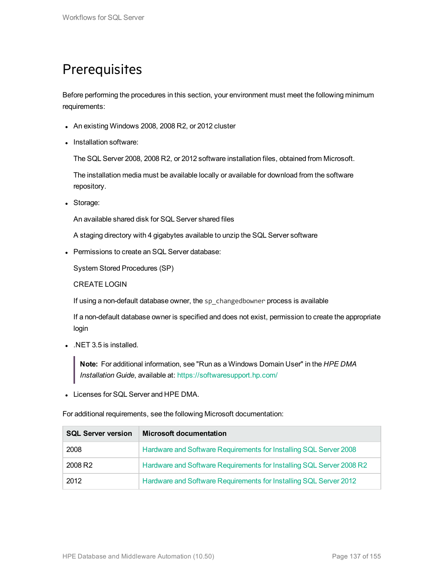### <span id="page-136-0"></span>**Prerequisites**

Before performing the procedures in this section, your environment must meet the following minimum requirements:

- An existing Windows 2008, 2008 R2, or 2012 cluster
- Installation software:

The SQL Server 2008, 2008 R2, or 2012 software installation files, obtained from Microsoft.

The installation media must be available locally or available for download from the software repository.

• Storage:

An available shared disk for SQL Server shared files

A staging directory with 4 gigabytes available to unzip the SQL Server software

• Permissions to create an SQL Server database:

System Stored Procedures (SP)

CREATE LOGIN

If using a non-default database owner, the sp\_changedbowner process is available

If a non-default database owner is specified and does not exist, permission to create the appropriate login

 $\bullet$  .NET 3.5 is installed.

**Note:** For additional information, see "Run as a Windows Domain User" in the *HPE DMA Installation Guide*, available at: <https://softwaresupport.hp.com/>

• Licenses for SQL Server and HPE DMA.

For additional requirements, see the following Microsoft documentation:

| <b>SQL Server version</b> | <b>Microsoft documentation</b>                                       |
|---------------------------|----------------------------------------------------------------------|
| 2008                      | Hardware and Software Requirements for Installing SQL Server 2008    |
| 2008 R <sub>2</sub>       | Hardware and Software Requirements for Installing SQL Server 2008 R2 |
| 2012                      | Hardware and Software Requirements for Installing SQL Server 2012    |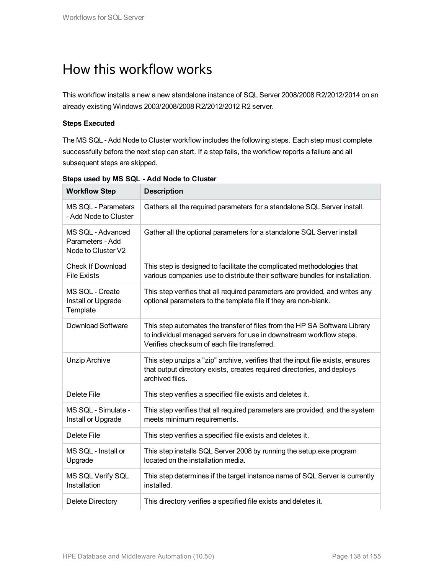### <span id="page-137-0"></span>How this workflow works

This workflow installs a new a new standalone instance of SQL Server 2008/2008 R2/2012/2014 on an already existing Windows 2003/2008/2008 R2/2012/2012 R2 server.

#### **Steps Executed**

The MS SQL - Add Node to Cluster workflow includes the following steps. Each step must complete successfully before the next step can start. If a step fails, the workflow reports a failure and all subsequent steps are skipped.

| <b>Workflow Step</b>                                        | <b>Description</b>                                                                                                                                                                              |
|-------------------------------------------------------------|-------------------------------------------------------------------------------------------------------------------------------------------------------------------------------------------------|
| MS SQL - Parameters<br>- Add Node to Cluster                | Gathers all the required parameters for a standalone SQL Server install.                                                                                                                        |
| MS SQL - Advanced<br>Parameters - Add<br>Node to Cluster V2 | Gather all the optional parameters for a standalone SQL Server install                                                                                                                          |
| <b>Check If Download</b><br><b>File Exists</b>              | This step is designed to facilitate the complicated methodologies that<br>various companies use to distribute their software bundles for installation.                                          |
| MS SQL - Create<br>Install or Upgrade<br>Template           | This step verifies that all required parameters are provided, and writes any<br>optional parameters to the template file if they are non-blank.                                                 |
| <b>Download Software</b>                                    | This step automates the transfer of files from the HP SA Software Library<br>to individual managed servers for use in downstream workflow steps.<br>Verifies checksum of each file transferred. |
| <b>Unzip Archive</b>                                        | This step unzips a "zip" archive, verifies that the input file exists, ensures<br>that output directory exists, creates required directories, and deploys<br>archived files.                    |
| Delete File                                                 | This step verifies a specified file exists and deletes it.                                                                                                                                      |
| MS SQL - Simulate -<br>Install or Upgrade                   | This step verifies that all required parameters are provided, and the system<br>meets minimum requirements.                                                                                     |
| Delete File                                                 | This step verifies a specified file exists and deletes it.                                                                                                                                      |
| MS SQL - Install or<br>Upgrade                              | This step installs SQL Server 2008 by running the setup.exe program<br>located on the installation media.                                                                                       |
| MS SQL Verify SQL<br>Installation                           | This step determines if the target instance name of SQL Server is currently<br>installed.                                                                                                       |
| Delete Directory                                            | This directory verifies a specified file exists and deletes it.                                                                                                                                 |

| Steps used by MS SQL - Add Node to Cluster |
|--------------------------------------------|
|--------------------------------------------|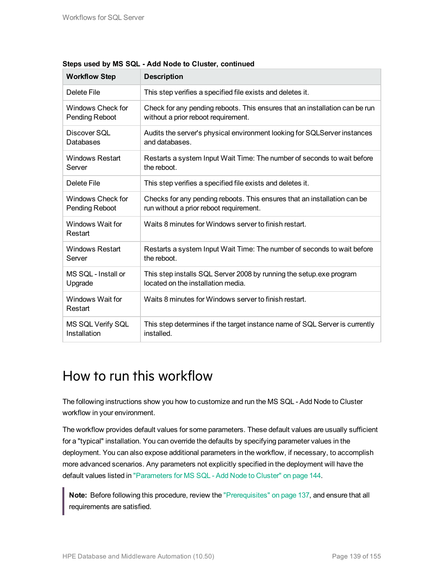| <b>Workflow Step</b>        | <b>Description</b>                                                          |
|-----------------------------|-----------------------------------------------------------------------------|
| Delete File                 | This step verifies a specified file exists and deletes it.                  |
| Windows Check for           | Check for any pending reboots. This ensures that an installation can be run |
| Pending Reboot              | without a prior reboot requirement.                                         |
| Discover SQL                | Audits the server's physical environment looking for SQL Server instances   |
| Databases                   | and databases.                                                              |
| <b>Windows Restart</b>      | Restarts a system Input Wait Time: The number of seconds to wait before     |
| Server                      | the reboot.                                                                 |
| Delete File                 | This step verifies a specified file exists and deletes it.                  |
| Windows Check for           | Checks for any pending reboots. This ensures that an installation can be    |
| Pending Reboot              | run without a prior reboot requirement.                                     |
| Windows Wait for<br>Restart | Waits 8 minutes for Windows server to finish restart.                       |
| <b>Windows Restart</b>      | Restarts a system Input Wait Time: The number of seconds to wait before     |
| Server                      | the reboot.                                                                 |
| MS SQL - Install or         | This step installs SQL Server 2008 by running the setup exe program         |
| Upgrade                     | located on the installation media.                                          |
| Windows Wait for<br>Restart | Waits 8 minutes for Windows server to finish restart.                       |
| MS SQL Verify SQL           | This step determines if the target instance name of SQL Server is currently |
| Installation                | installed.                                                                  |

#### **Steps used by MS SQL - Add Node to Cluster, continued**

### <span id="page-138-0"></span>How to run this workflow

The following instructions show you how to customize and run the MS SQL - Add Node to Cluster workflow in your environment.

The workflow provides default values for some parameters. These default values are usually sufficient for a "typical" installation. You can override the defaults by specifying parameter values in the deployment. You can also expose additional parameters in the workflow, if necessary, to accomplish more advanced scenarios. Any parameters not explicitly specified in the deployment will have the default values listed in ["Parameters](#page-143-0) for MS SQL - Add Node to Cluster" on page 144.

**Note:** Before following this procedure, review the ["Prerequisites"](#page-136-0) on page 137, and ensure that all requirements are satisfied.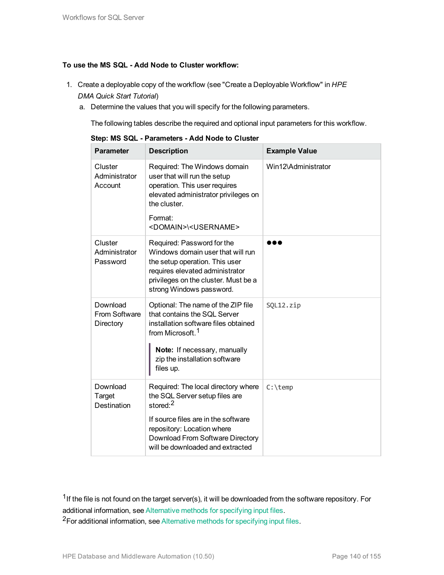#### **To use the MS SQL - Add Node to Cluster workflow:**

- 1. Create a deployable copy of the workflow (see "Create a Deployable Workflow" in *HPE DMA Quick Start Tutorial*)
	- a. Determine the values that you will specify for the following parameters.

The following tables describe the required and optional input parameters for this workflow.

| <b>Parameter</b>                              | <b>Description</b>                                                                                                                                                                                          | <b>Example Value</b> |
|-----------------------------------------------|-------------------------------------------------------------------------------------------------------------------------------------------------------------------------------------------------------------|----------------------|
| Cluster<br>Administrator<br>Account           | Required: The Windows domain<br>user that will run the setup<br>operation. This user requires<br>elevated administrator privileges on<br>the cluster.<br>Format:<br><domain>\<username></username></domain> | Win12\Administrator  |
| Cluster<br>Administrator<br>Password          | Required: Password for the<br>Windows domain user that will run<br>the setup operation. This user<br>requires elevated administrator<br>privileges on the cluster. Must be a<br>strong Windows password.    |                      |
| Download<br><b>From Software</b><br>Directory | Optional: The name of the ZIP file<br>that contains the SQL Server<br>installation software files obtained<br>from Microsoft. <sup>1</sup>                                                                  | SQL12.zip            |
|                                               | Note: If necessary, manually<br>zip the installation software<br>files up.                                                                                                                                  |                      |
| Download<br>Target<br>Destination             | Required: The local directory where<br>the SQL Server setup files are<br>stored: <sup>2</sup>                                                                                                               | $C:\text{temp}$      |
|                                               | If source files are in the software<br>repository: Location where<br>Download From Software Directory<br>will be downloaded and extracted                                                                   |                      |

**Step: MS SQL - Parameters - Add Node to Cluster**

 $1$ If the file is not found on the target server(s), it will be downloaded from the software repository. For additional information, see Alternative methods for specifying input files. 2For additional information, see Alternative methods for specifying input files.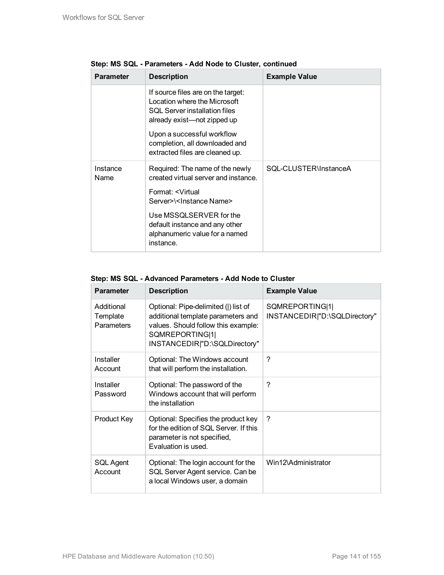| <b>Parameter</b> | <b>Description</b>                                                                                                                                   | <b>Example Value</b>  |
|------------------|------------------------------------------------------------------------------------------------------------------------------------------------------|-----------------------|
|                  | If source files are on the target:<br>Location where the Microsoft<br><b>SOL Server installation files</b><br>already exist-not zipped up            |                       |
|                  | Upon a successful workflow<br>completion, all downloaded and<br>extracted files are cleaned up.                                                      |                       |
| Instance<br>Name | Required: The name of the newly<br>created virtual server and instance.<br>Format: <virtual<br>Server&gt;\<instance name=""></instance></virtual<br> | SQL-CLUSTER\InstanceA |
|                  | Use MSSQLSERVER for the<br>default instance and any other<br>alphanumeric value for a named<br>instance.                                             |                       |

| Step: MS SQL - Parameters - Add Node to Cluster, continued |  |  |
|------------------------------------------------------------|--|--|
|------------------------------------------------------------|--|--|

#### **Step: MS SQL - Advanced Parameters - Add Node to Cluster**

| <b>Parameter</b>                            | <b>Description</b>                                                                                                                                                    | <b>Example Value</b>                             |
|---------------------------------------------|-----------------------------------------------------------------------------------------------------------------------------------------------------------------------|--------------------------------------------------|
| Additional<br>Template<br><b>Parameters</b> | Optional: Pipe-delimited ( ) list of<br>additional template parameters and<br>values. Should follow this example:<br>SQMREPORTING[1]<br>INSTANCEDIR "D:\SQLDirectory" | SQMREPORTING[1]<br>INSTANCEDIR "D:\SQLDirectory" |
| Installer<br>Account                        | Optional: The Windows account<br>that will perform the installation.                                                                                                  | ?                                                |
| Installer<br>Password                       | Optional: The password of the<br>Windows account that will perform<br>the installation                                                                                | ?                                                |
| <b>Product Key</b>                          | Optional: Specifies the product key<br>for the edition of SQL Server. If this<br>parameter is not specified,<br>Evaluation is used.                                   | ?                                                |
| <b>SQL Agent</b><br>Account                 | Optional: The login account for the<br>SQL Server Agent service. Can be<br>a local Windows user, a domain                                                             | Win12\Administrator                              |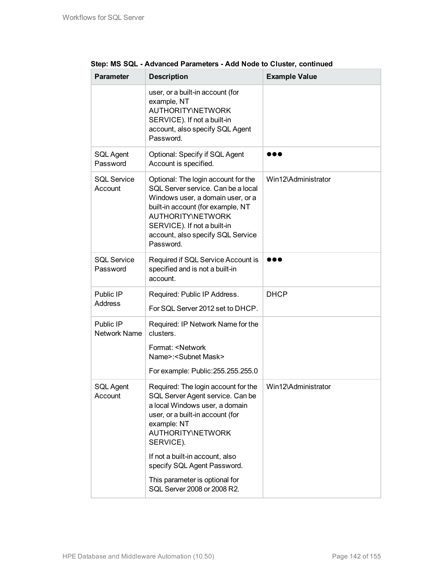| <b>Parameter</b>               | <b>Description</b>                                                                                                                                                                                                                                                                                                                | <b>Example Value</b> |  |
|--------------------------------|-----------------------------------------------------------------------------------------------------------------------------------------------------------------------------------------------------------------------------------------------------------------------------------------------------------------------------------|----------------------|--|
|                                | user, or a built-in account (for<br>example, NT<br><b>AUTHORITY\NETWORK</b><br>SERVICE). If not a built-in<br>account, also specify SQL Agent<br>Password.                                                                                                                                                                        |                      |  |
| <b>SQL Agent</b><br>Password   | Optional: Specify if SQL Agent<br>Account is specified.                                                                                                                                                                                                                                                                           | ,,,                  |  |
| <b>SQL Service</b><br>Account  | Optional: The login account for the<br>SQL Server service. Can be a local<br>Windows user, a domain user, or a<br>built-in account (for example, NT<br><b>AUTHORITY\NETWORK</b><br>SERVICE). If not a built-in<br>account, also specify SQL Service<br>Password.                                                                  | Win12\Administrator  |  |
| <b>SQL Service</b><br>Password | Required if SQL Service Account is<br>specified and is not a built-in<br>account.                                                                                                                                                                                                                                                 | ,                    |  |
| Public IP<br>Address           | Required: Public IP Address.<br>For SQL Server 2012 set to DHCP.                                                                                                                                                                                                                                                                  | <b>DHCP</b>          |  |
| Public IP<br>Network Name      | Required: IP Network Name for the<br>clusters.<br>Format: <network<br>Name&gt;:<subnet mask=""><br/>For example: Public: 255.255.255.0</subnet></network<br>                                                                                                                                                                      |                      |  |
| <b>SQL Agent</b><br>Account    | Required: The login account for the<br>SQL Server Agent service. Can be<br>a local Windows user, a domain<br>user, or a built-in account (for<br>example: NT<br>AUTHORITY\NETWORK<br>SERVICE).<br>If not a built-in account, also<br>specify SQL Agent Password.<br>This parameter is optional for<br>SQL Server 2008 or 2008 R2. | Win12\Administrator  |  |

**Step: MS SQL - Advanced Parameters - Add Node to Cluster, continued**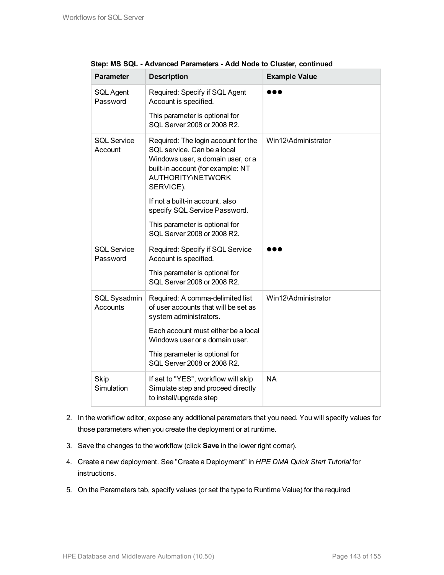| <b>Parameter</b>                | <b>Description</b>                                                                                                                                                                    | <b>Example Value</b> |
|---------------------------------|---------------------------------------------------------------------------------------------------------------------------------------------------------------------------------------|----------------------|
| <b>SQL Agent</b><br>Password    | Required: Specify if SQL Agent<br>Account is specified.                                                                                                                               |                      |
|                                 | This parameter is optional for<br>SQL Server 2008 or 2008 R2.                                                                                                                         |                      |
| <b>SOL Service</b><br>Account   | Required: The login account for the<br>SQL service. Can be a local<br>Windows user, a domain user, or a<br>built-in account (for example: NT<br><b>AUTHORITY\NETWORK</b><br>SERVICE). | Win12\Administrator  |
|                                 | If not a built-in account, also<br>specify SQL Service Password.                                                                                                                      |                      |
|                                 | This parameter is optional for<br>SQL Server 2008 or 2008 R2.                                                                                                                         |                      |
| <b>SQL Service</b><br>Password  | Required: Specify if SQL Service<br>Account is specified.                                                                                                                             |                      |
|                                 | This parameter is optional for<br>SQL Server 2008 or 2008 R2.                                                                                                                         |                      |
| SQL Sysadmin<br><b>Accounts</b> | Required: A comma-delimited list<br>of user accounts that will be set as<br>system administrators.                                                                                    | Win12\Administrator  |
|                                 | Each account must either be a local<br>Windows user or a domain user.                                                                                                                 |                      |
|                                 | This parameter is optional for<br>SQL Server 2008 or 2008 R2.                                                                                                                         |                      |
| Skip<br>Simulation              | If set to "YES", workflow will skip<br>Simulate step and proceed directly<br>to install/upgrade step                                                                                  | <b>NA</b>            |

**Step: MS SQL - Advanced Parameters - Add Node to Cluster, continued**

- 2. In the workflow editor, expose any additional parameters that you need. You will specify values for those parameters when you create the deployment or at runtime.
- 3. Save the changes to the workflow (click **Save** in the lower right corner).
- 4. Create a new deployment. See "Create a Deployment" in *HPE DMA Quick Start Tutorial* for instructions.
- 5. On the Parameters tab, specify values (or set the type to Runtime Value) for the required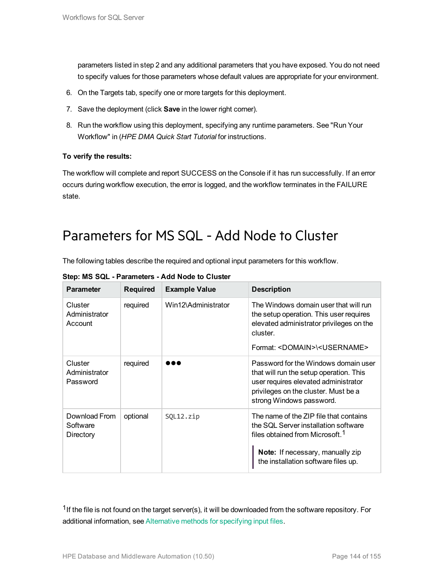parameters listed in step 2 and any additional parameters that you have exposed. You do not need to specify values for those parameters whose default values are appropriate for your environment.

- 6. On the Targets tab, specify one or more targets for this deployment.
- 7. Save the deployment (click **Save** in the lower right corner).
- 8. Run the workflow using this deployment, specifying any runtime parameters. See "Run Your Workflow" in (*HPE DMA Quick Start Tutorial* for instructions.

#### **To verify the results:**

The workflow will complete and report SUCCESS on the Console if it has run successfully. If an error occurs during workflow execution, the error is logged, and the workflow terminates in the FAILURE state.

### <span id="page-143-0"></span>Parameters for MS SQL - Add Node to Cluster

The following tables describe the required and optional input parameters for this workflow.

| <b>Parameter</b>                       | <b>Required</b> | <b>Example Value</b> | <b>Description</b>                                                                                                                                                                                       |
|----------------------------------------|-----------------|----------------------|----------------------------------------------------------------------------------------------------------------------------------------------------------------------------------------------------------|
| Cluster<br>Administrator<br>Account    | required        | Win12\Administrator  | The Windows domain user that will run<br>the setup operation. This user requires<br>elevated administrator privileges on the<br>cluster.<br>Format: <domain>\<username></username></domain>              |
| Cluster<br>Administrator<br>Password   | required        | ه ه د                | Password for the Windows domain user<br>that will run the setup operation. This<br>user requires elevated administrator<br>privileges on the cluster. Must be a<br>strong Windows password.              |
| Download From<br>Software<br>Directory | optional        | SQL12.zip            | The name of the ZIP file that contains<br>the SQL Server installation software<br>files obtained from Microsoft. <sup>1</sup><br>Note: If necessary, manually zip<br>the installation software files up. |

**Step: MS SQL - Parameters - Add Node to Cluster**

<sup>1</sup> If the file is not found on the target server(s), it will be downloaded from the software repository. For additional information, see Alternative methods for specifying input files.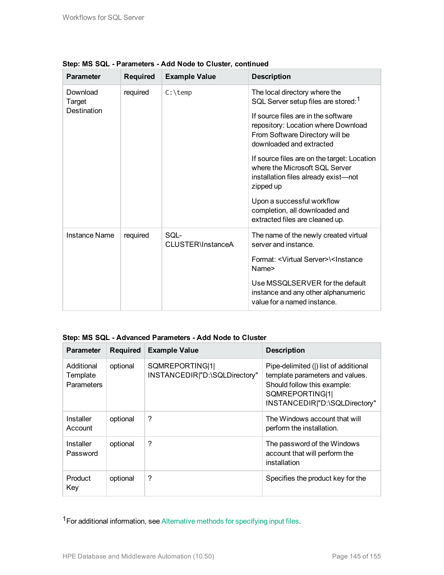| <b>Parameter</b>                              | <b>Required</b> | <b>Example Value</b>      | <b>Description</b>                                                                                                                        |
|-----------------------------------------------|-----------------|---------------------------|-------------------------------------------------------------------------------------------------------------------------------------------|
| Download<br>required<br>Target<br>Destination |                 | $C:\text{temp}$           | The local directory where the<br>SQL Server setup files are stored: 1                                                                     |
|                                               |                 |                           | If source files are in the software<br>repository: Location where Download<br>From Software Directory will be<br>downloaded and extracted |
|                                               |                 |                           | If source files are on the target: Location<br>where the Microsoft SQL Server<br>installation files already exist-not<br>zipped up        |
|                                               |                 |                           | Upon a successful workflow<br>completion, all downloaded and<br>extracted files are cleaned up.                                           |
| Instance Name                                 | required        | SQL-<br>CLUSTER\InstanceA | The name of the newly created virtual<br>server and instance.                                                                             |
|                                               |                 |                           | Format: <virtual server="">\<instance<br>Name&gt;</instance<br></virtual>                                                                 |
|                                               |                 |                           | Use MSSQLSERVER for the default<br>instance and any other alphanumeric<br>value for a named instance.                                     |

|  |  | Step: MS SQL - Parameters - Add Node to Cluster, continued |  |  |
|--|--|------------------------------------------------------------|--|--|
|--|--|------------------------------------------------------------|--|--|

#### **Step: MS SQL - Advanced Parameters - Add Node to Cluster**

| <b>Parameter</b>                     | <b>Required</b> | <b>Example Value</b>                             | <b>Description</b>                                                                                                                                          |
|--------------------------------------|-----------------|--------------------------------------------------|-------------------------------------------------------------------------------------------------------------------------------------------------------------|
| Additional<br>Template<br>Parameters | optional        | SQMREPORTING[1]<br>INSTANCEDIR "D:\SQLDirectory" | Pipe-delimited ( ) list of additional<br>template parameters and values.<br>Should follow this example:<br>SQMREPORTING[1]<br>INSTANCEDIR "D:\SQLDirectory" |
| Installer<br>Account                 | optional        | ?                                                | The Windows account that will<br>perform the installation.                                                                                                  |
| Installer<br>Password                | optional        | ?                                                | The password of the Windows<br>account that will perform the<br>installation                                                                                |
| Product<br>Key                       | optional        | ?                                                | Specifies the product key for the                                                                                                                           |

1For additional information, see Alternative methods for specifying input files.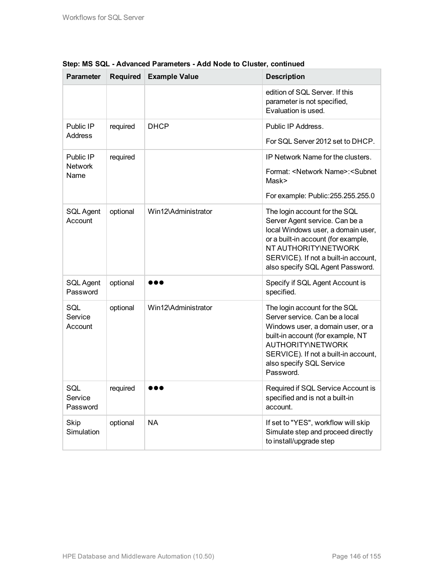| <b>Parameter</b>                    | <b>Required</b> | <b>Example Value</b> | <b>Description</b>                                                                                                                                                                                                                                     |
|-------------------------------------|-----------------|----------------------|--------------------------------------------------------------------------------------------------------------------------------------------------------------------------------------------------------------------------------------------------------|
|                                     |                 |                      | edition of SQL Server. If this<br>parameter is not specified,<br>Evaluation is used.                                                                                                                                                                   |
| Public IP<br><b>Address</b>         | required        | <b>DHCP</b>          | Public IP Address.<br>For SQL Server 2012 set to DHCP.                                                                                                                                                                                                 |
| Public IP<br><b>Network</b><br>Name | required        |                      | IP Network Name for the clusters.<br>Format: <network name="">:<subnet<br>Mask&gt;<br/>For example: Public: 255.255.255.0</subnet<br></network>                                                                                                        |
| <b>SQL Agent</b><br>Account         | optional        | Win12\Administrator  | The login account for the SQL<br>Server Agent service. Can be a<br>local Windows user, a domain user,<br>or a built-in account (for example,<br>NT AUTHORITY\NETWORK<br>SERVICE). If not a built-in account,<br>also specify SQL Agent Password.       |
| <b>SQL Agent</b><br>Password        | optional        |                      | Specify if SQL Agent Account is<br>specified.                                                                                                                                                                                                          |
| SQL<br>Service<br>Account           | optional        | Win12\Administrator  | The login account for the SQL<br>Server service. Can be a local<br>Windows user, a domain user, or a<br>built-in account (for example, NT<br><b>AUTHORITY\NETWORK</b><br>SERVICE). If not a built-in account,<br>also specify SQL Service<br>Password. |
| SQL<br>Service<br>Password          | required        |                      | Required if SQL Service Account is<br>specified and is not a built-in<br>account.                                                                                                                                                                      |
| Skip<br>Simulation                  | optional        | <b>NA</b>            | If set to "YES", workflow will skip<br>Simulate step and proceed directly<br>to install/upgrade step                                                                                                                                                   |

**Step: MS SQL - Advanced Parameters - Add Node to Cluster, continued**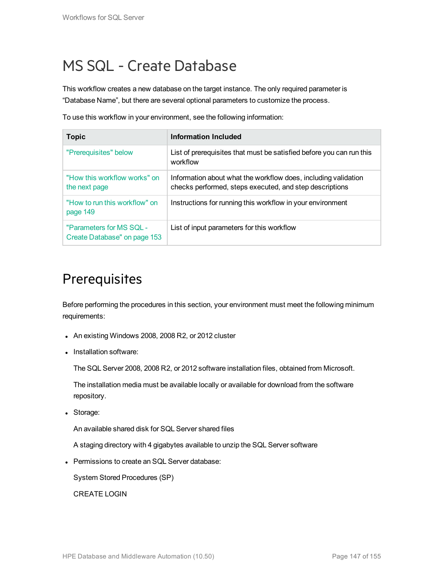## MS SQL - Create Database

This workflow creates a new database on the target instance. The only required parameter is "Database Name", but there are several optional parameters to customize the process.

To use this workflow in your environment, see the following information:

| <b>Topic</b>                                             | Information Included                                                                                                      |
|----------------------------------------------------------|---------------------------------------------------------------------------------------------------------------------------|
| "Prerequisites" below                                    | List of prerequisites that must be satisfied before you can run this<br>workflow                                          |
| "How this workflow works" on<br>the next page            | Information about what the workflow does, including validation<br>checks performed, steps executed, and step descriptions |
| "How to run this workflow" on<br>page 149                | Instructions for running this workflow in your environment                                                                |
| "Parameters for MS SQL -<br>Create Database" on page 153 | List of input parameters for this workflow                                                                                |

## <span id="page-146-0"></span>**Prerequisites**

Before performing the procedures in this section, your environment must meet the following minimum requirements:

- An existing Windows 2008, 2008 R2, or 2012 cluster
- Installation software:

The SQL Server 2008, 2008 R2, or 2012 software installation files, obtained from Microsoft.

The installation media must be available locally or available for download from the software repository.

• Storage:

An available shared disk for SQL Server shared files

- A staging directory with 4 gigabytes available to unzip the SQL Server software
- Permissions to create an SQL Server database:

System Stored Procedures (SP)

CREATE LOGIN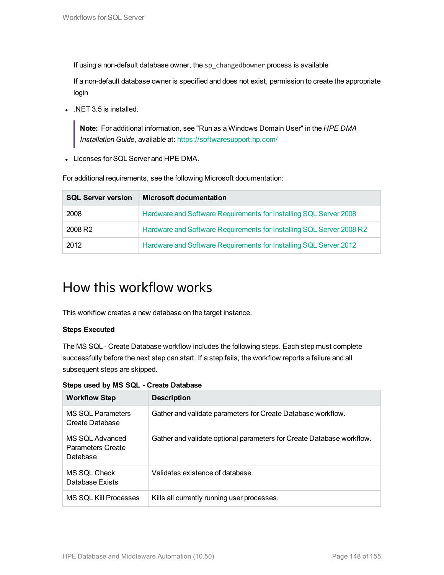If using a non-default database owner, the sp\_changedbowner process is available

If a non-default database owner is specified and does not exist, permission to create the appropriate login

 $\bullet$  .NET 3.5 is installed.

**Note:** For additional information, see "Run as a Windows Domain User" in the *HPE DMA Installation Guide*, available at: <https://softwaresupport.hp.com/>

• Licenses for SQL Server and HPE DMA.

For additional requirements, see the following Microsoft documentation:

| <b>SQL Server version</b> | <b>Microsoft documentation</b>                                       |
|---------------------------|----------------------------------------------------------------------|
| 2008                      | Hardware and Software Requirements for Installing SQL Server 2008    |
| 2008 R <sub>2</sub>       | Hardware and Software Requirements for Installing SQL Server 2008 R2 |
| 2012                      | Hardware and Software Requirements for Installing SQL Server 2012    |

### <span id="page-147-0"></span>How this workflow works

This workflow creates a new database on the target instance.

#### **Steps Executed**

The MS SQL - Create Database workflow includes the following steps. Each step must complete successfully before the next step can start. If a step fails, the workflow reports a failure and all subsequent steps are skipped.

| <b>Workflow Step</b>                             | <b>Description</b>                                                    |
|--------------------------------------------------|-----------------------------------------------------------------------|
| <b>MS SQL Parameters</b><br>Create Database      | Gather and validate parameters for Create Database workflow.          |
| MS SQL Advanced<br>Parameters Create<br>Database | Gather and validate optional parameters for Create Database workflow. |
| MS SQL Check<br>Database Exists                  | Validates existence of database.                                      |
| MS SQL Kill Processes                            | Kills all currently running user processes.                           |

**Steps used by MS SQL - Create Database**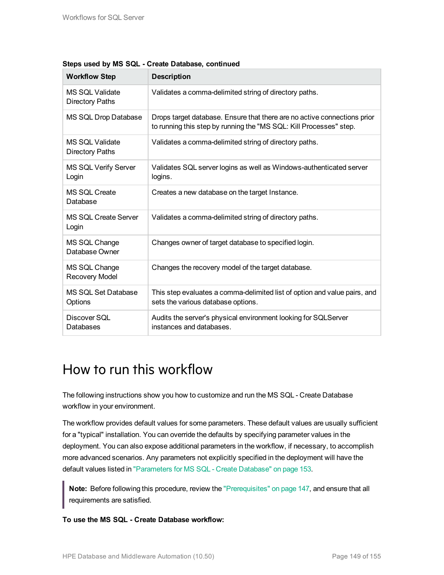| <b>Workflow Step</b>                      | <b>Description</b>                                                                                                                             |
|-------------------------------------------|------------------------------------------------------------------------------------------------------------------------------------------------|
| MS SQL Validate<br><b>Directory Paths</b> | Validates a comma-delimited string of directory paths.                                                                                         |
| MS SQL Drop Database                      | Drops target database. Ensure that there are no active connections prior<br>to running this step by running the "MS SQL: Kill Processes" step. |
| MS SQL Validate<br><b>Directory Paths</b> | Validates a comma-delimited string of directory paths.                                                                                         |
| MS SQL Verify Server<br>Login             | Validates SQL server logins as well as Windows-authenticated server<br>logins.                                                                 |
| MS SQL Create<br>Database                 | Creates a new database on the target Instance.                                                                                                 |
| <b>MS SQL Create Server</b><br>Login      | Validates a comma-delimited string of directory paths.                                                                                         |
| MS SQL Change<br>Database Owner           | Changes owner of target database to specified login.                                                                                           |
| MS SQL Change<br>Recovery Model           | Changes the recovery model of the target database.                                                                                             |
| MS SQL Set Database<br>Options            | This step evaluates a comma-delimited list of option and value pairs, and<br>sets the various database options.                                |
| Discover SQL<br>Databases                 | Audits the server's physical environment looking for SQLServer<br>instances and databases.                                                     |

#### **Steps used by MS SQL - Create Database, continued**

### <span id="page-148-0"></span>How to run this workflow

The following instructions show you how to customize and run the MS SQL - Create Database workflow in your environment.

The workflow provides default values for some parameters. These default values are usually sufficient for a "typical" installation. You can override the defaults by specifying parameter values in the deployment. You can also expose additional parameters in the workflow, if necessary, to accomplish more advanced scenarios. Any parameters not explicitly specified in the deployment will have the default values listed in ["Parameters](#page-152-0) for MS SQL - Create Database" on page 153.

**Note:** Before following this procedure, review the ["Prerequisites"](#page-146-0) on page 147, and ensure that all requirements are satisfied.

**To use the MS SQL - Create Database workflow:**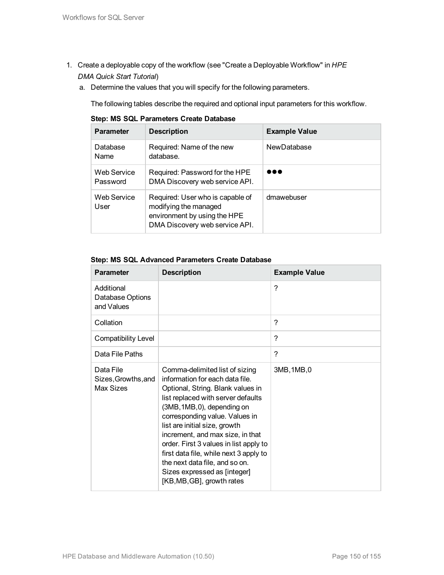- 1. Create a deployable copy of the workflow (see "Create a Deployable Workflow" in *HPE DMA Quick Start Tutorial*)
	- a. Determine the values that you will specify for the following parameters.

The following tables describe the required and optional input parameters for this workflow.

**Step: MS SQL Parameters Create Database**

| <b>Parameter</b>               | <b>Description</b>                                                                                                          | <b>Example Value</b>    |
|--------------------------------|-----------------------------------------------------------------------------------------------------------------------------|-------------------------|
| Database<br>Name               | Required: Name of the new<br>database.                                                                                      | <b>NewDatabase</b>      |
| <b>Web Service</b><br>Password | Required: Password for the HPE<br>DMA Discovery web service API.                                                            | $\bullet\bullet\bullet$ |
| <b>Web Service</b><br>User     | Required: User who is capable of<br>modifying the managed<br>environment by using the HPE<br>DMA Discovery web service API. | dmawebuser              |

#### **Step: MS SQL Advanced Parameters Create Database**

| <b>Parameter</b>                              | <b>Description</b>                                                                                                                                                                                                                                                                                                                                                                                                                                                     | <b>Example Value</b> |
|-----------------------------------------------|------------------------------------------------------------------------------------------------------------------------------------------------------------------------------------------------------------------------------------------------------------------------------------------------------------------------------------------------------------------------------------------------------------------------------------------------------------------------|----------------------|
| Additional<br>Database Options<br>and Values  |                                                                                                                                                                                                                                                                                                                                                                                                                                                                        | ?                    |
| Collation                                     |                                                                                                                                                                                                                                                                                                                                                                                                                                                                        | ?                    |
| <b>Compatibility Level</b>                    |                                                                                                                                                                                                                                                                                                                                                                                                                                                                        | 7                    |
| Data File Paths                               |                                                                                                                                                                                                                                                                                                                                                                                                                                                                        | ?                    |
| Data File<br>Sizes, Growths, and<br>Max Sizes | Comma-delimited list of sizing<br>information for each data file.<br>Optional, String. Blank values in<br>list replaced with server defaults<br>(3MB, 1MB, 0), depending on<br>corresponding value. Values in<br>list are initial size, growth<br>increment, and max size, in that<br>order. First 3 values in list apply to<br>first data file, while next 3 apply to<br>the next data file, and so on.<br>Sizes expressed as [integer]<br>[KB, MB, GB], growth rates | 3MB, 1MB, 0          |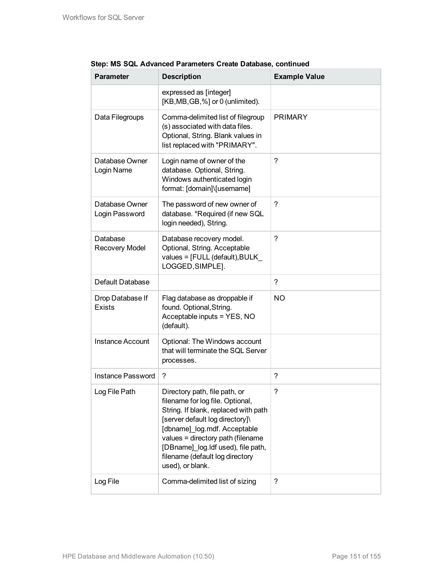| <b>Parameter</b>                  | <b>Description</b>                                                                                                                                                                                                                                                                                             | <b>Example Value</b> |
|-----------------------------------|----------------------------------------------------------------------------------------------------------------------------------------------------------------------------------------------------------------------------------------------------------------------------------------------------------------|----------------------|
|                                   | expressed as [integer]<br>[KB, MB, GB, %] or 0 (unlimited).                                                                                                                                                                                                                                                    |                      |
| Data Filegroups                   | Comma-delimited list of filegroup<br>(s) associated with data files.<br>Optional, String. Blank values in<br>list replaced with "PRIMARY".                                                                                                                                                                     | <b>PRIMARY</b>       |
| Database Owner<br>Login Name      | Login name of owner of the<br>database. Optional, String.<br>Windows authenticated login<br>format: [domain]\[username]                                                                                                                                                                                        | $\overline{?}$       |
| Database Owner<br>Login Password  | The password of new owner of<br>database. *Required (if new SQL<br>login needed), String.                                                                                                                                                                                                                      | $\overline{?}$       |
| Database<br>Recovery Model        | Database recovery model.<br>Optional, String. Acceptable<br>values = [FULL (default), BULK_<br>LOGGED, SIMPLE].                                                                                                                                                                                                | $\overline{?}$       |
| Default Database                  |                                                                                                                                                                                                                                                                                                                | $\overline{?}$       |
| Drop Database If<br><b>Exists</b> | Flag database as droppable if<br>found. Optional, String.<br>Acceptable inputs = YES, NO<br>(default).                                                                                                                                                                                                         | NO                   |
| <b>Instance Account</b>           | Optional: The Windows account<br>that will terminate the SQL Server<br>processes.                                                                                                                                                                                                                              |                      |
| <b>Instance Password</b>          | ?                                                                                                                                                                                                                                                                                                              | $\overline{?}$       |
| Log File Path                     | Directory path, file path, or<br>filename for log file. Optional,<br>String. If blank, replaced with path<br>[server default log directory]\<br>[dbname]_log.mdf. Acceptable<br>values = directory path (filename<br>[DBname]_log.ldf used), file path,<br>filename (default log directory<br>used), or blank. | ?                    |
| Log File                          | Comma-delimited list of sizing                                                                                                                                                                                                                                                                                 | $\overline{?}$       |

|  | Step: MS SQL Advanced Parameters Create Database, continued |  |
|--|-------------------------------------------------------------|--|
|--|-------------------------------------------------------------|--|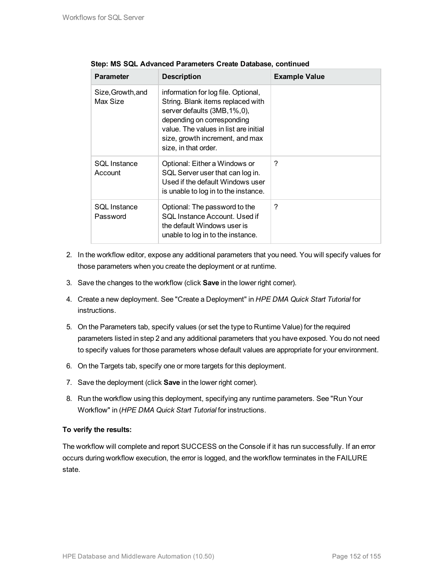| <b>Parameter</b>              | <b>Description</b>                                                                                                                                                                                                                          | <b>Example Value</b> |
|-------------------------------|---------------------------------------------------------------------------------------------------------------------------------------------------------------------------------------------------------------------------------------------|----------------------|
| Size, Growth, and<br>Max Size | information for log file. Optional,<br>String. Blank items replaced with<br>server defaults (3MB, 1%, 0),<br>depending on corresponding<br>value. The values in list are initial<br>size, growth increment, and max<br>size, in that order. |                      |
| SQL Instance<br>Account       | Optional: Either a Windows or<br>SQL Server user that can log in.<br>Used if the default Windows user<br>is unable to log in to the instance.                                                                                               | ?                    |
| SQL Instance<br>Password      | Optional: The password to the<br>SQL Instance Account. Used if<br>the default Windows user is<br>unable to log in to the instance.                                                                                                          | ?                    |

|  | Step: MS SQL Advanced Parameters Create Database, continued |  |  |  |  |
|--|-------------------------------------------------------------|--|--|--|--|
|--|-------------------------------------------------------------|--|--|--|--|

- 2. In the workflow editor, expose any additional parameters that you need. You will specify values for those parameters when you create the deployment or at runtime.
- 3. Save the changes to the workflow (click **Save** in the lower right corner).
- 4. Create a new deployment. See "Create a Deployment" in *HPE DMA Quick Start Tutorial* for instructions.
- 5. On the Parameters tab, specify values (or set the type to Runtime Value) for the required parameters listed in step 2 and any additional parameters that you have exposed. You do not need to specify values for those parameters whose default values are appropriate for your environment.
- 6. On the Targets tab, specify one or more targets for this deployment.
- 7. Save the deployment (click **Save** in the lower right corner).
- 8. Run the workflow using this deployment, specifying any runtime parameters. See "Run Your Workflow" in (*HPE DMA Quick Start Tutorial* for instructions.

#### **To verify the results:**

The workflow will complete and report SUCCESS on the Console if it has run successfully. If an error occurs during workflow execution, the error is logged, and the workflow terminates in the FAILURE state.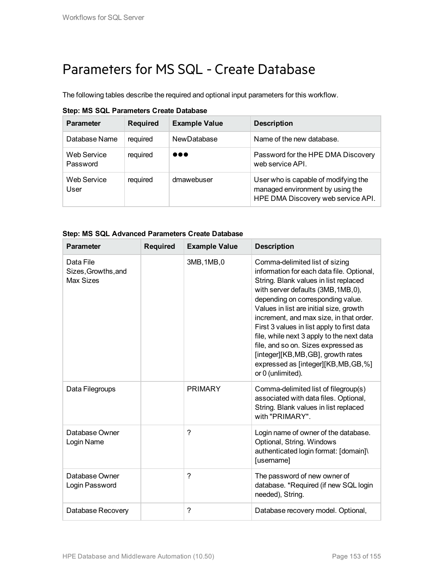## <span id="page-152-0"></span>Parameters for MS SQL - Create Database

The following tables describe the required and optional input parameters for this workflow.

| <b>Parameter</b>               | <b>Required</b> | <b>Example Value</b>    | <b>Description</b>                                                                                             |
|--------------------------------|-----------------|-------------------------|----------------------------------------------------------------------------------------------------------------|
| Database Name                  | required        | <b>NewDatabase</b>      | Name of the new database.                                                                                      |
| <b>Web Service</b><br>Password | required        | $\bullet\bullet\bullet$ | Password for the HPE DMA Discovery<br>web service API.                                                         |
| <b>Web Service</b><br>User     | required        | dmawebuser              | User who is capable of modifying the<br>managed environment by using the<br>HPE DMA Discovery web service API. |

**Step: MS SQL Parameters Create Database**

| Step: MS SQL Advanced Parameters Create Database |  |  |  |  |  |  |
|--------------------------------------------------|--|--|--|--|--|--|
|--------------------------------------------------|--|--|--|--|--|--|

| <b>Parameter</b>                              | <b>Required</b> | <b>Example Value</b> | <b>Description</b>                                                                                                                                                                                                                                                                                                                                                                                                                                                                                                          |
|-----------------------------------------------|-----------------|----------------------|-----------------------------------------------------------------------------------------------------------------------------------------------------------------------------------------------------------------------------------------------------------------------------------------------------------------------------------------------------------------------------------------------------------------------------------------------------------------------------------------------------------------------------|
| Data File<br>Sizes, Growths, and<br>Max Sizes |                 | 3MB, 1MB, 0          | Comma-delimited list of sizing<br>information for each data file. Optional,<br>String. Blank values in list replaced<br>with server defaults (3MB, 1MB, 0),<br>depending on corresponding value.<br>Values in list are initial size, growth<br>increment, and max size, in that order.<br>First 3 values in list apply to first data<br>file, while next 3 apply to the next data<br>file, and so on. Sizes expressed as<br>[integer][KB,MB,GB], growth rates<br>expressed as [integer][KB, MB, GB, %]<br>or 0 (unlimited). |
| Data Filegroups                               |                 | <b>PRIMARY</b>       | Comma-delimited list of filegroup(s)<br>associated with data files. Optional,<br>String. Blank values in list replaced<br>with "PRIMARY".                                                                                                                                                                                                                                                                                                                                                                                   |
| Database Owner<br>Login Name                  |                 | ?                    | Login name of owner of the database.<br>Optional, String. Windows<br>authenticated login format: [domain]\<br>[username]                                                                                                                                                                                                                                                                                                                                                                                                    |
| Database Owner<br>Login Password              |                 | ?                    | The password of new owner of<br>database. *Required (if new SQL login<br>needed), String.                                                                                                                                                                                                                                                                                                                                                                                                                                   |
| Database Recovery                             |                 | ?                    | Database recovery model. Optional,                                                                                                                                                                                                                                                                                                                                                                                                                                                                                          |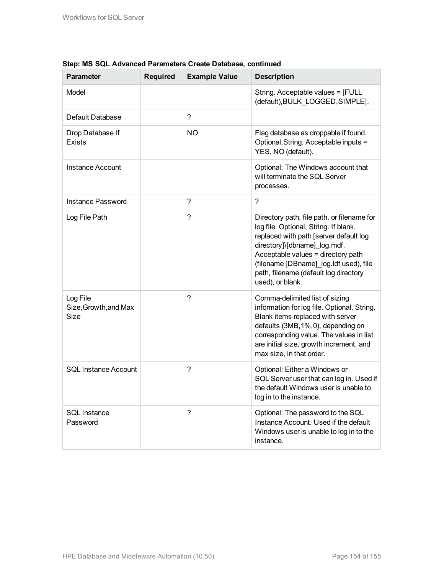| <b>Parameter</b>                                 | <b>Required</b> | <b>Example Value</b> | <b>Description</b>                                                                                                                                                                                                                                                                                         |
|--------------------------------------------------|-----------------|----------------------|------------------------------------------------------------------------------------------------------------------------------------------------------------------------------------------------------------------------------------------------------------------------------------------------------------|
| Model                                            |                 |                      | String. Acceptable values = [FULL<br>(default), BULK LOGGED, SIMPLE].                                                                                                                                                                                                                                      |
| Default Database                                 |                 | $\tilde{?}$          |                                                                                                                                                                                                                                                                                                            |
| Drop Database If<br><b>Exists</b>                |                 | <b>NO</b>            | Flag database as droppable if found.<br>Optional, String. Acceptable inputs =<br>YES, NO (default).                                                                                                                                                                                                        |
| <b>Instance Account</b>                          |                 |                      | Optional: The Windows account that<br>will terminate the SQL Server<br>processes.                                                                                                                                                                                                                          |
| Instance Password                                |                 | $\overline{?}$       | ?                                                                                                                                                                                                                                                                                                          |
| Log File Path                                    |                 | $\tilde{?}$          | Directory path, file path, or filename for<br>log file. Optional, String. If blank,<br>replaced with path [server default log<br>directory]\[dbname]_log.mdf.<br>Acceptable values = directory path<br>(filename [DBname]_log.ldf used), file<br>path, filename (default log directory<br>used), or blank. |
| Log File<br>Size, Growth, and Max<br><b>Size</b> |                 | ?                    | Comma-delimited list of sizing<br>information for log file. Optional, String.<br>Blank items replaced with server<br>defaults (3MB, 1%, 0), depending on<br>corresponding value. The values in list<br>are initial size, growth increment, and<br>max size, in that order.                                 |
| <b>SQL Instance Account</b>                      |                 | $\tilde{?}$          | Optional: Either a Windows or<br>SQL Server user that can log in. Used if<br>the default Windows user is unable to<br>log in to the instance.                                                                                                                                                              |
| <b>SQL Instance</b><br>Password                  |                 | $\tilde{?}$          | Optional: The password to the SQL<br>Instance Account. Used if the default<br>Windows user is unable to log in to the<br>instance.                                                                                                                                                                         |

#### **Step: MS SQL Advanced Parameters Create Database, continued**